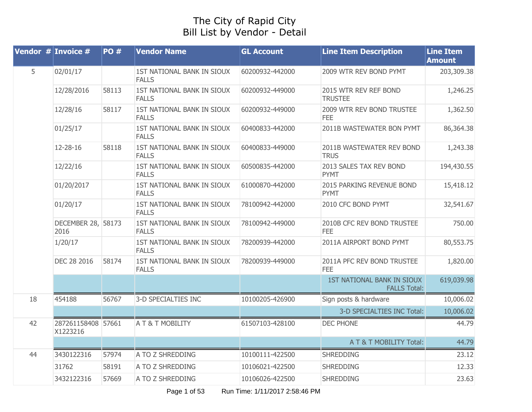## The City of Rapid City Bill List by Vendor - Detail

|    | <b>Vendor # Invoice #</b>      | PO#   | <b>Vendor Name</b>                         | <b>GL Account</b> | <b>Line Item Description</b>                      | <b>Line Item</b><br><b>Amount</b> |
|----|--------------------------------|-------|--------------------------------------------|-------------------|---------------------------------------------------|-----------------------------------|
| 5  | 02/01/17                       |       | 1ST NATIONAL BANK IN SIOUX<br><b>FALLS</b> | 60200932-442000   | 2009 WTR REV BOND PYMT                            | 203,309.38                        |
|    | 12/28/2016                     | 58113 | 1ST NATIONAL BANK IN SIOUX<br><b>FALLS</b> | 60200932-449000   | 2015 WTR REV REF BOND<br><b>TRUSTEE</b>           | 1,246.25                          |
|    | 12/28/16                       | 58117 | 1ST NATIONAL BANK IN SIOUX<br><b>FALLS</b> | 60200932-449000   | 2009 WTR REV BOND TRUSTEE<br><b>FEE</b>           | 1,362.50                          |
|    | 01/25/17                       |       | 1ST NATIONAL BANK IN SIOUX<br><b>FALLS</b> | 60400833-442000   | 2011B WASTEWATER BON PYMT                         | 86,364.38                         |
|    | 12-28-16                       | 58118 | 1ST NATIONAL BANK IN SIOUX<br><b>FALLS</b> | 60400833-449000   | 2011B WASTEWATER REV BOND<br><b>TRUS</b>          | 1,243.38                          |
|    | 12/22/16                       |       | 1ST NATIONAL BANK IN SIOUX<br><b>FALLS</b> | 60500835-442000   | 2013 SALES TAX REV BOND<br><b>PYMT</b>            | 194,430.55                        |
|    | 01/20/2017                     |       | 1ST NATIONAL BANK IN SIOUX<br><b>FALLS</b> | 61000870-442000   | 2015 PARKING REVENUE BOND<br><b>PYMT</b>          | 15,418.12                         |
|    | 01/20/17                       |       | 1ST NATIONAL BANK IN SIOUX<br><b>FALLS</b> | 78100942-442000   | 2010 CFC BOND PYMT                                | 32,541.67                         |
|    | DECEMBER 28, 58173<br>2016     |       | 1ST NATIONAL BANK IN SIOUX<br><b>FALLS</b> | 78100942-449000   | 2010B CFC REV BOND TRUSTEE<br><b>FEE</b>          | 750.00                            |
|    | 1/20/17                        |       | 1ST NATIONAL BANK IN SIOUX<br><b>FALLS</b> | 78200939-442000   | 2011A AIRPORT BOND PYMT                           | 80,553.75                         |
|    | DEC 28 2016                    | 58174 | 1ST NATIONAL BANK IN SIOUX<br><b>FALLS</b> | 78200939-449000   | 2011A PFC REV BOND TRUSTEE<br><b>FEE</b>          | 1,820.00                          |
|    |                                |       |                                            |                   | 1ST NATIONAL BANK IN SIOUX<br><b>FALLS Total:</b> | 619,039.98                        |
| 18 | 454188                         | 56767 | 3-D SPECIALTIES INC                        | 10100205-426900   | Sign posts & hardware                             | 10,006.02                         |
|    |                                |       |                                            |                   | 3-D SPECIALTIES INC Total:                        | 10,006.02                         |
| 42 | 287261158408 57661<br>X1223216 |       | A T & T MOBILITY                           | 61507103-428100   | <b>DEC PHONE</b>                                  | 44.79                             |
|    |                                |       |                                            |                   | A T & T MOBILITY Total:                           | 44.79                             |
| 44 | 3430122316                     | 57974 | A TO Z SHREDDING                           | 10100111-422500   | <b>SHREDDING</b>                                  | 23.12                             |
|    | 31762                          | 58191 | A TO Z SHREDDING                           | 10106021-422500   | <b>SHREDDING</b>                                  | 12.33                             |
|    | 3432122316                     | 57669 | A TO Z SHREDDING                           | 10106026-422500   | <b>SHREDDING</b>                                  | 23.63                             |

Page 1 of 53 Run Time: 1/11/2017 2:58:46 PM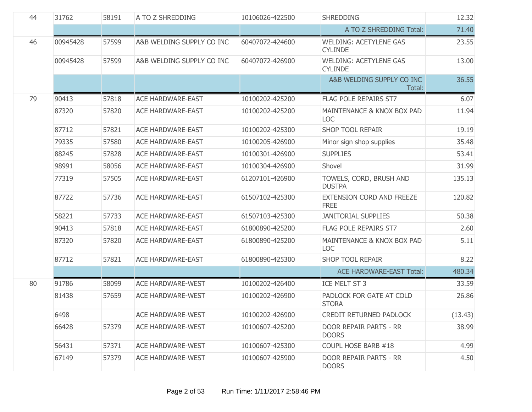| 44 | 31762    | 58191 | A TO Z SHREDDING          | 10106026-422500 | <b>SHREDDING</b>                                | 12.32   |
|----|----------|-------|---------------------------|-----------------|-------------------------------------------------|---------|
|    |          |       |                           |                 | A TO Z SHREDDING Total:                         | 71.40   |
| 46 | 00945428 | 57599 | A&B WELDING SUPPLY CO INC | 60407072-424600 | <b>WELDING: ACETYLENE GAS</b><br><b>CYLINDE</b> | 23.55   |
|    | 00945428 | 57599 | A&B WELDING SUPPLY CO INC | 60407072-426900 | <b>WELDING: ACETYLENE GAS</b><br><b>CYLINDE</b> | 13.00   |
|    |          |       |                           |                 | A&B WELDING SUPPLY CO INC<br>Total:             | 36.55   |
| 79 | 90413    | 57818 | <b>ACE HARDWARE-EAST</b>  | 10100202-425200 | <b>FLAG POLE REPAIRS ST7</b>                    | 6.07    |
|    | 87320    | 57820 | <b>ACE HARDWARE-EAST</b>  | 10100202-425200 | MAINTENANCE & KNOX BOX PAD<br><b>LOC</b>        | 11.94   |
|    | 87712    | 57821 | <b>ACE HARDWARE-EAST</b>  | 10100202-425300 | <b>SHOP TOOL REPAIR</b>                         | 19.19   |
|    | 79335    | 57580 | <b>ACE HARDWARE-EAST</b>  | 10100205-426900 | Minor sign shop supplies                        | 35.48   |
|    | 88245    | 57828 | <b>ACE HARDWARE-EAST</b>  | 10100301-426900 | <b>SUPPLIES</b>                                 | 53.41   |
|    | 98991    | 58056 | <b>ACE HARDWARE-EAST</b>  | 10100304-426900 | Shovel                                          | 31.99   |
|    | 77319    | 57505 | <b>ACE HARDWARE-EAST</b>  | 61207101-426900 | TOWELS, CORD, BRUSH AND<br><b>DUSTPA</b>        | 135.13  |
|    | 87722    | 57736 | <b>ACE HARDWARE-EAST</b>  | 61507102-425300 | EXTENSION CORD AND FREEZE<br><b>FREE</b>        | 120.82  |
|    | 58221    | 57733 | <b>ACE HARDWARE-EAST</b>  | 61507103-425300 | <b>JANITORIAL SUPPLIES</b>                      | 50.38   |
|    | 90413    | 57818 | <b>ACE HARDWARE-EAST</b>  | 61800890-425200 | FLAG POLE REPAIRS ST7                           | 2.60    |
|    | 87320    | 57820 | <b>ACE HARDWARE-EAST</b>  | 61800890-425200 | MAINTENANCE & KNOX BOX PAD<br><b>LOC</b>        | 5.11    |
|    | 87712    | 57821 | <b>ACE HARDWARE-EAST</b>  | 61800890-425300 | <b>SHOP TOOL REPAIR</b>                         | 8.22    |
|    |          |       |                           |                 | <b>ACE HARDWARE-EAST Total:</b>                 | 480.34  |
| 80 | 91786    | 58099 | <b>ACE HARDWARE-WEST</b>  | 10100202-426400 | ICE MELT ST 3                                   | 33.59   |
|    | 81438    | 57659 | <b>ACE HARDWARE-WEST</b>  | 10100202-426900 | PADLOCK FOR GATE AT COLD<br><b>STORA</b>        | 26.86   |
|    | 6498     |       | <b>ACE HARDWARE-WEST</b>  | 10100202-426900 | CREDIT RETURNED PADLOCK                         | (13.43) |
|    | 66428    | 57379 | <b>ACE HARDWARE-WEST</b>  | 10100607-425200 | DOOR REPAIR PARTS - RR<br><b>DOORS</b>          | 38.99   |
|    | 56431    | 57371 | <b>ACE HARDWARE-WEST</b>  | 10100607-425300 | COUPL HOSE BARB #18                             | 4.99    |
|    | 67149    | 57379 | <b>ACE HARDWARE-WEST</b>  | 10100607-425900 | DOOR REPAIR PARTS - RR<br><b>DOORS</b>          | 4.50    |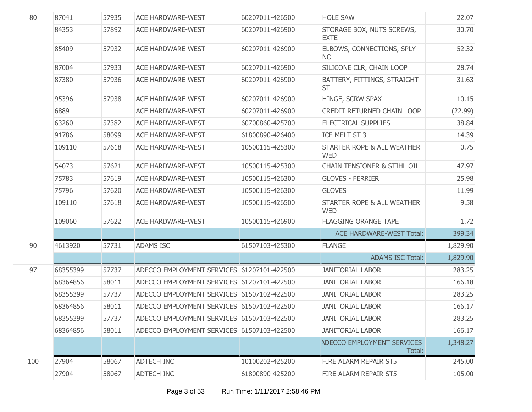| 80  | 87041    | 57935 | <b>ACE HARDWARE-WEST</b>                   | 60207011-426500 | <b>HOLE SAW</b>                          | 22.07    |
|-----|----------|-------|--------------------------------------------|-----------------|------------------------------------------|----------|
|     | 84353    | 57892 | <b>ACE HARDWARE-WEST</b>                   | 60207011-426900 | STORAGE BOX, NUTS SCREWS,<br><b>EXTE</b> | 30.70    |
|     | 85409    | 57932 | <b>ACE HARDWARE-WEST</b>                   | 60207011-426900 | ELBOWS, CONNECTIONS, SPLY -<br><b>NO</b> | 52.32    |
|     | 87004    | 57933 | <b>ACE HARDWARE-WEST</b>                   | 60207011-426900 | SILICONE CLR, CHAIN LOOP                 | 28.74    |
|     | 87380    | 57936 | <b>ACE HARDWARE-WEST</b>                   | 60207011-426900 | BATTERY, FITTINGS, STRAIGHT<br><b>ST</b> | 31.63    |
|     | 95396    | 57938 | <b>ACE HARDWARE-WEST</b>                   | 60207011-426900 | HINGE, SCRW SPAX                         | 10.15    |
|     | 6889     |       | <b>ACE HARDWARE-WEST</b>                   | 60207011-426900 | CREDIT RETURNED CHAIN LOOP               | (22.99)  |
|     | 63260    | 57382 | <b>ACE HARDWARE-WEST</b>                   | 60700860-425700 | <b>ELECTRICAL SUPPLIES</b>               | 38.84    |
|     | 91786    | 58099 | <b>ACE HARDWARE-WEST</b>                   | 61800890-426400 | ICE MELT ST 3                            | 14.39    |
|     | 109110   | 57618 | <b>ACE HARDWARE-WEST</b>                   | 10500115-425300 | STARTER ROPE & ALL WEATHER<br><b>WED</b> | 0.75     |
|     | 54073    | 57621 | <b>ACE HARDWARE-WEST</b>                   | 10500115-425300 | <b>CHAIN TENSIONER &amp; STIHL OIL</b>   | 47.97    |
|     | 75783    | 57619 | <b>ACE HARDWARE-WEST</b>                   | 10500115-426300 | <b>GLOVES - FERRIER</b>                  | 25.98    |
|     | 75796    | 57620 | <b>ACE HARDWARE-WEST</b>                   | 10500115-426300 | <b>GLOVES</b>                            | 11.99    |
|     | 109110   | 57618 | <b>ACE HARDWARE-WEST</b>                   | 10500115-426500 | STARTER ROPE & ALL WEATHER<br><b>WED</b> | 9.58     |
|     | 109060   | 57622 | <b>ACE HARDWARE-WEST</b>                   | 10500115-426900 | <b>FLAGGING ORANGE TAPE</b>              | 1.72     |
|     |          |       |                                            |                 | <b>ACE HARDWARE-WEST Total:</b>          | 399.34   |
| 90  | 4613920  | 57731 | <b>ADAMS ISC</b>                           | 61507103-425300 | <b>FLANGE</b>                            | 1,829.90 |
|     |          |       |                                            |                 | <b>ADAMS ISC Total:</b>                  | 1,829.90 |
| 97  | 68355399 | 57737 | ADECCO EMPLOYMENT SERVICES 61207101-422500 |                 | <b>JANITORIAL LABOR</b>                  | 283.25   |
|     | 68364856 | 58011 | ADECCO EMPLOYMENT SERVICES 61207101-422500 |                 | <b>JANITORIAL LABOR</b>                  | 166.18   |
|     | 68355399 | 57737 | ADECCO EMPLOYMENT SERVICES 61507102-422500 |                 | <b>JANITORIAL LABOR</b>                  | 283.25   |
|     | 68364856 | 58011 | ADECCO EMPLOYMENT SERVICES 61507102-422500 |                 | <b>JANITORIAL LABOR</b>                  | 166.17   |
|     | 68355399 | 57737 | ADECCO EMPLOYMENT SERVICES 61507103-422500 |                 | <b>JANITORIAL LABOR</b>                  | 283.25   |
|     | 68364856 | 58011 | ADECCO EMPLOYMENT SERVICES 61507103-422500 |                 | <b>JANITORIAL LABOR</b>                  | 166.17   |
|     |          |       |                                            |                 | ADECCO EMPLOYMENT SERVICES<br>Total:     | 1,348.27 |
| 100 | 27904    | 58067 | <b>ADTECH INC</b>                          | 10100202-425200 | FIRE ALARM REPAIR ST5                    | 245.00   |
|     | 27904    | 58067 | ADTECH INC                                 | 61800890-425200 | FIRE ALARM REPAIR ST5                    | 105.00   |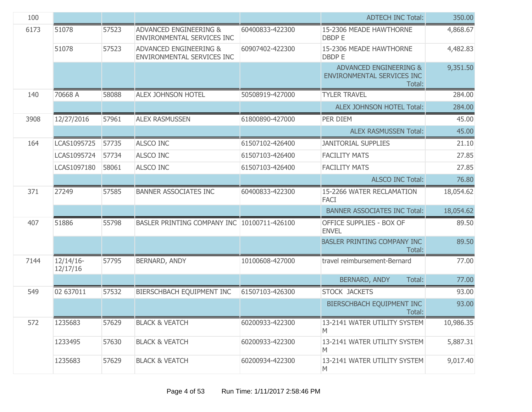| 100  |                          |       |                                                                 |                 | <b>ADTECH INC Total:</b>                                       | 350.00    |
|------|--------------------------|-------|-----------------------------------------------------------------|-----------------|----------------------------------------------------------------|-----------|
| 6173 | 51078                    | 57523 | <b>ADVANCED ENGINEERING &amp;</b><br>ENVIRONMENTAL SERVICES INC | 60400833-422300 | 15-2306 MEADE HAWTHORNE<br><b>DBDP E</b>                       | 4,868.67  |
|      | 51078                    | 57523 | <b>ADVANCED ENGINEERING &amp;</b><br>ENVIRONMENTAL SERVICES INC | 60907402-422300 | 15-2306 MEADE HAWTHORNE<br><b>DBDP E</b>                       | 4,482.83  |
|      |                          |       |                                                                 |                 | ADVANCED ENGINEERING &<br>ENVIRONMENTAL SERVICES INC<br>Total: | 9,351.50  |
| 140  | 70668 A                  | 58088 | <b>ALEX JOHNSON HOTEL</b>                                       | 50508919-427000 | <b>TYLER TRAVEL</b>                                            | 284.00    |
|      |                          |       |                                                                 |                 | ALEX JOHNSON HOTEL Total:                                      | 284.00    |
| 3908 | 12/27/2016               | 57961 | <b>ALEX RASMUSSEN</b>                                           | 61800890-427000 | PER DIEM                                                       | 45.00     |
|      |                          |       |                                                                 |                 | <b>ALEX RASMUSSEN Total:</b>                                   | 45.00     |
| 164  | LCAS1095725              | 57735 | <b>ALSCO INC</b>                                                | 61507102-426400 | <b>JANITORIAL SUPPLIES</b>                                     | 21.10     |
|      | LCAS1095724              | 57734 | <b>ALSCO INC</b>                                                | 61507103-426400 | <b>FACILITY MATS</b>                                           | 27.85     |
|      | LCAS1097180              | 58061 | ALSCO INC                                                       | 61507103-426400 | <b>FACILITY MATS</b>                                           | 27.85     |
|      |                          |       |                                                                 |                 | <b>ALSCO INC Total:</b>                                        | 76.80     |
| 371  | 27249                    | 57585 | BANNER ASSOCIATES INC                                           | 60400833-422300 | 15-2266 WATER RECLAMATION<br><b>FACI</b>                       | 18,054.62 |
|      |                          |       |                                                                 |                 | <b>BANNER ASSOCIATES INC Total:</b>                            | 18,054.62 |
| 407  | 51886                    | 55798 | BASLER PRINTING COMPANY INC 10100711-426100                     |                 | OFFICE SUPPLIES - BOX OF<br><b>ENVEL</b>                       | 89.50     |
|      |                          |       |                                                                 |                 | BASLER PRINTING COMPANY INC<br>Total:                          | 89.50     |
| 7144 | $12/14/16$ -<br>12/17/16 | 57795 | BERNARD, ANDY                                                   | 10100608-427000 | travel reimbursement-Bernard                                   | 77.00     |
|      |                          |       |                                                                 |                 | BERNARD, ANDY<br>Total:                                        | 77.00     |
| 549  | 02 637011                | 57532 | BIERSCHBACH EQUIPMENT INC                                       | 61507103-426300 | STOCK JACKETS                                                  | 93.00     |
|      |                          |       |                                                                 |                 | BIERSCHBACH EQUIPMENT INC<br>Total:                            | 93.00     |
| 572  | 1235683                  | 57629 | <b>BLACK &amp; VEATCH</b>                                       | 60200933-422300 | 13-2141 WATER UTILITY SYSTEM<br>M                              | 10,986.35 |
|      | 1233495                  | 57630 | <b>BLACK &amp; VEATCH</b>                                       | 60200933-422300 | 13-2141 WATER UTILITY SYSTEM<br>M                              | 5,887.31  |
|      | 1235683                  | 57629 | <b>BLACK &amp; VEATCH</b>                                       | 60200934-422300 | 13-2141 WATER UTILITY SYSTEM<br>M                              | 9,017.40  |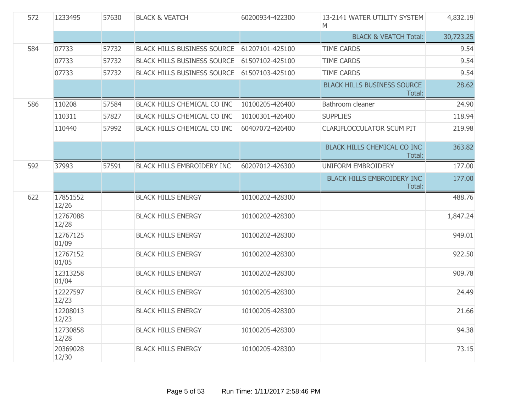| 572 | 1233495           | 57630 | <b>BLACK &amp; VEATCH</b>          | 60200934-422300 | 13-2141 WATER UTILITY SYSTEM<br>M            | 4,832.19  |
|-----|-------------------|-------|------------------------------------|-----------------|----------------------------------------------|-----------|
|     |                   |       |                                    |                 | <b>BLACK &amp; VEATCH Total:</b>             | 30,723.25 |
| 584 | 07733             | 57732 | <b>BLACK HILLS BUSINESS SOURCE</b> | 61207101-425100 | <b>TIME CARDS</b>                            | 9.54      |
|     | 07733             | 57732 | <b>BLACK HILLS BUSINESS SOURCE</b> | 61507102-425100 | <b>TIME CARDS</b>                            | 9.54      |
|     | 07733             | 57732 | <b>BLACK HILLS BUSINESS SOURCE</b> | 61507103-425100 | <b>TIME CARDS</b>                            | 9.54      |
|     |                   |       |                                    |                 | <b>BLACK HILLS BUSINESS SOURCE</b><br>Total: | 28.62     |
| 586 | 110208            | 57584 | BLACK HILLS CHEMICAL CO INC        | 10100205-426400 | Bathroom cleaner                             | 24.90     |
|     | 110311            | 57827 | BLACK HILLS CHEMICAL CO INC        | 10100301-426400 | <b>SUPPLIES</b>                              | 118.94    |
|     | 110440            | 57992 | BLACK HILLS CHEMICAL CO INC        | 60407072-426400 | <b>CLARIFLOCCULATOR SCUM PIT</b>             | 219.98    |
|     |                   |       |                                    |                 | BLACK HILLS CHEMICAL CO INC<br>Total:        | 363.82    |
| 592 | 37993             | 57591 | <b>BLACK HILLS EMBROIDERY INC</b>  | 60207012-426300 | UNIFORM EMBROIDERY                           | 177.00    |
|     |                   |       |                                    |                 | <b>BLACK HILLS EMBROIDERY INC</b><br>Total:  | 177.00    |
| 622 | 17851552<br>12/26 |       | <b>BLACK HILLS ENERGY</b>          | 10100202-428300 |                                              | 488.76    |
|     | 12767088<br>12/28 |       | <b>BLACK HILLS ENERGY</b>          | 10100202-428300 |                                              | 1,847.24  |
|     | 12767125<br>01/09 |       | <b>BLACK HILLS ENERGY</b>          | 10100202-428300 |                                              | 949.01    |
|     | 12767152<br>01/05 |       | <b>BLACK HILLS ENERGY</b>          | 10100202-428300 |                                              | 922.50    |
|     | 12313258<br>01/04 |       | <b>BLACK HILLS ENERGY</b>          | 10100202-428300 |                                              | 909.78    |
|     | 12227597<br>12/23 |       | <b>BLACK HILLS ENERGY</b>          | 10100205-428300 |                                              | 24.49     |
|     | 12208013<br>12/23 |       | <b>BLACK HILLS ENERGY</b>          | 10100205-428300 |                                              | 21.66     |
|     | 12730858<br>12/28 |       | <b>BLACK HILLS ENERGY</b>          | 10100205-428300 |                                              | 94.38     |
|     | 20369028<br>12/30 |       | <b>BLACK HILLS ENERGY</b>          | 10100205-428300 |                                              | 73.15     |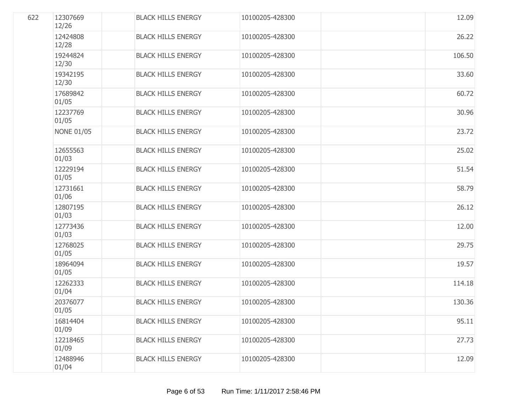| 622 | 12307669<br>12/26 | <b>BLACK HILLS ENERGY</b> | 10100205-428300 | 12.09  |
|-----|-------------------|---------------------------|-----------------|--------|
|     | 12424808<br>12/28 | <b>BLACK HILLS ENERGY</b> | 10100205-428300 | 26.22  |
|     | 19244824<br>12/30 | <b>BLACK HILLS ENERGY</b> | 10100205-428300 | 106.50 |
|     | 19342195<br>12/30 | <b>BLACK HILLS ENERGY</b> | 10100205-428300 | 33.60  |
|     | 17689842<br>01/05 | <b>BLACK HILLS ENERGY</b> | 10100205-428300 | 60.72  |
|     | 12237769<br>01/05 | <b>BLACK HILLS ENERGY</b> | 10100205-428300 | 30.96  |
|     | <b>NONE 01/05</b> | <b>BLACK HILLS ENERGY</b> | 10100205-428300 | 23.72  |
|     | 12655563<br>01/03 | <b>BLACK HILLS ENERGY</b> | 10100205-428300 | 25.02  |
|     | 12229194<br>01/05 | <b>BLACK HILLS ENERGY</b> | 10100205-428300 | 51.54  |
|     | 12731661<br>01/06 | <b>BLACK HILLS ENERGY</b> | 10100205-428300 | 58.79  |
|     | 12807195<br>01/03 | <b>BLACK HILLS ENERGY</b> | 10100205-428300 | 26.12  |
|     | 12773436<br>01/03 | <b>BLACK HILLS ENERGY</b> | 10100205-428300 | 12.00  |
|     | 12768025<br>01/05 | <b>BLACK HILLS ENERGY</b> | 10100205-428300 | 29.75  |
|     | 18964094<br>01/05 | <b>BLACK HILLS ENERGY</b> | 10100205-428300 | 19.57  |
|     | 12262333<br>01/04 | <b>BLACK HILLS ENERGY</b> | 10100205-428300 | 114.18 |
|     | 20376077<br>01/05 | <b>BLACK HILLS ENERGY</b> | 10100205-428300 | 130.36 |
|     | 16814404<br>01/09 | <b>BLACK HILLS ENERGY</b> | 10100205-428300 | 95.11  |
|     | 12218465<br>01/09 | <b>BLACK HILLS ENERGY</b> | 10100205-428300 | 27.73  |
|     | 12488946<br>01/04 | <b>BLACK HILLS ENERGY</b> | 10100205-428300 | 12.09  |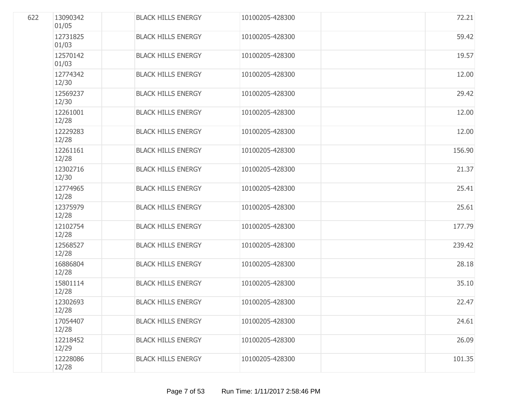| 622 | 13090342<br>01/05 | <b>BLACK HILLS ENERGY</b> | 10100205-428300 | 72.21  |
|-----|-------------------|---------------------------|-----------------|--------|
|     | 12731825<br>01/03 | <b>BLACK HILLS ENERGY</b> | 10100205-428300 | 59.42  |
|     | 12570142<br>01/03 | <b>BLACK HILLS ENERGY</b> | 10100205-428300 | 19.57  |
|     | 12774342<br>12/30 | <b>BLACK HILLS ENERGY</b> | 10100205-428300 | 12.00  |
|     | 12569237<br>12/30 | <b>BLACK HILLS ENERGY</b> | 10100205-428300 | 29.42  |
|     | 12261001<br>12/28 | <b>BLACK HILLS ENERGY</b> | 10100205-428300 | 12.00  |
|     | 12229283<br>12/28 | <b>BLACK HILLS ENERGY</b> | 10100205-428300 | 12.00  |
|     | 12261161<br>12/28 | <b>BLACK HILLS ENERGY</b> | 10100205-428300 | 156.90 |
|     | 12302716<br>12/30 | <b>BLACK HILLS ENERGY</b> | 10100205-428300 | 21.37  |
|     | 12774965<br>12/28 | <b>BLACK HILLS ENERGY</b> | 10100205-428300 | 25.41  |
|     | 12375979<br>12/28 | <b>BLACK HILLS ENERGY</b> | 10100205-428300 | 25.61  |
|     | 12102754<br>12/28 | <b>BLACK HILLS ENERGY</b> | 10100205-428300 | 177.79 |
|     | 12568527<br>12/28 | <b>BLACK HILLS ENERGY</b> | 10100205-428300 | 239.42 |
|     | 16886804<br>12/28 | <b>BLACK HILLS ENERGY</b> | 10100205-428300 | 28.18  |
|     | 15801114<br>12/28 | <b>BLACK HILLS ENERGY</b> | 10100205-428300 | 35.10  |
|     | 12302693<br>12/28 | <b>BLACK HILLS ENERGY</b> | 10100205-428300 | 22.47  |
|     | 17054407<br>12/28 | <b>BLACK HILLS ENERGY</b> | 10100205-428300 | 24.61  |
|     | 12218452<br>12/29 | <b>BLACK HILLS ENERGY</b> | 10100205-428300 | 26.09  |
|     | 12228086<br>12/28 | <b>BLACK HILLS ENERGY</b> | 10100205-428300 | 101.35 |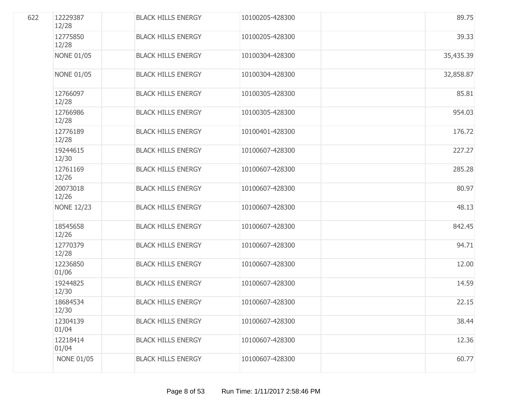| 622 | 12229387<br>12/28 | <b>BLACK HILLS ENERGY</b> | 10100205-428300 | 89.75     |
|-----|-------------------|---------------------------|-----------------|-----------|
|     | 12775850<br>12/28 | <b>BLACK HILLS ENERGY</b> | 10100205-428300 | 39.33     |
|     | <b>NONE 01/05</b> | <b>BLACK HILLS ENERGY</b> | 10100304-428300 | 35,435.39 |
|     | <b>NONE 01/05</b> | <b>BLACK HILLS ENERGY</b> | 10100304-428300 | 32,858.87 |
|     | 12766097<br>12/28 | <b>BLACK HILLS ENERGY</b> | 10100305-428300 | 85.81     |
|     | 12766986<br>12/28 | <b>BLACK HILLS ENERGY</b> | 10100305-428300 | 954.03    |
|     | 12776189<br>12/28 | <b>BLACK HILLS ENERGY</b> | 10100401-428300 | 176.72    |
|     | 19244615<br>12/30 | <b>BLACK HILLS ENERGY</b> | 10100607-428300 | 227.27    |
|     | 12761169<br>12/26 | <b>BLACK HILLS ENERGY</b> | 10100607-428300 | 285.28    |
|     | 20073018<br>12/26 | <b>BLACK HILLS ENERGY</b> | 10100607-428300 | 80.97     |
|     | <b>NONE 12/23</b> | <b>BLACK HILLS ENERGY</b> | 10100607-428300 | 48.13     |
|     | 18545658<br>12/26 | <b>BLACK HILLS ENERGY</b> | 10100607-428300 | 842.45    |
|     | 12770379<br>12/28 | <b>BLACK HILLS ENERGY</b> | 10100607-428300 | 94.71     |
|     | 12236850<br>01/06 | <b>BLACK HILLS ENERGY</b> | 10100607-428300 | 12.00     |
|     | 19244825<br>12/30 | <b>BLACK HILLS ENERGY</b> | 10100607-428300 | 14.59     |
|     | 18684534<br>12/30 | <b>BLACK HILLS ENERGY</b> | 10100607-428300 | 22.15     |
|     | 12304139<br>01/04 | <b>BLACK HILLS ENERGY</b> | 10100607-428300 | 38.44     |
|     | 12218414<br>01/04 | <b>BLACK HILLS ENERGY</b> | 10100607-428300 | 12.36     |
|     | <b>NONE 01/05</b> | <b>BLACK HILLS ENERGY</b> | 10100607-428300 | 60.77     |
|     |                   |                           |                 |           |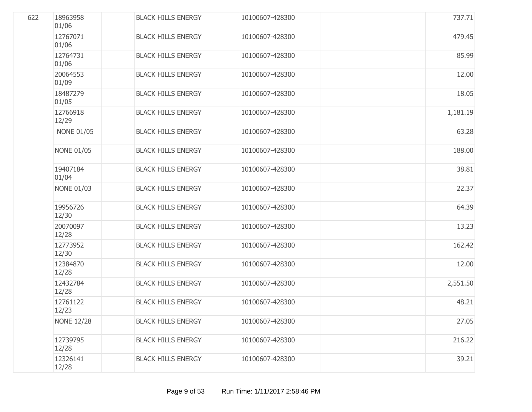| 622 | 18963958<br>01/06 | <b>BLACK HILLS ENERGY</b> | 10100607-428300 | 737.71   |
|-----|-------------------|---------------------------|-----------------|----------|
|     | 12767071<br>01/06 | <b>BLACK HILLS ENERGY</b> | 10100607-428300 | 479.45   |
|     | 12764731<br>01/06 | <b>BLACK HILLS ENERGY</b> | 10100607-428300 | 85.99    |
|     | 20064553<br>01/09 | <b>BLACK HILLS ENERGY</b> | 10100607-428300 | 12.00    |
|     | 18487279<br>01/05 | <b>BLACK HILLS ENERGY</b> | 10100607-428300 | 18.05    |
|     | 12766918<br>12/29 | <b>BLACK HILLS ENERGY</b> | 10100607-428300 | 1,181.19 |
|     | <b>NONE 01/05</b> | <b>BLACK HILLS ENERGY</b> | 10100607-428300 | 63.28    |
|     | <b>NONE 01/05</b> | <b>BLACK HILLS ENERGY</b> | 10100607-428300 | 188.00   |
|     | 19407184<br>01/04 | <b>BLACK HILLS ENERGY</b> | 10100607-428300 | 38.81    |
|     | <b>NONE 01/03</b> | <b>BLACK HILLS ENERGY</b> | 10100607-428300 | 22.37    |
|     | 19956726<br>12/30 | <b>BLACK HILLS ENERGY</b> | 10100607-428300 | 64.39    |
|     | 20070097<br>12/28 | <b>BLACK HILLS ENERGY</b> | 10100607-428300 | 13.23    |
|     | 12773952<br>12/30 | <b>BLACK HILLS ENERGY</b> | 10100607-428300 | 162.42   |
|     | 12384870<br>12/28 | <b>BLACK HILLS ENERGY</b> | 10100607-428300 | 12.00    |
|     | 12432784<br>12/28 | <b>BLACK HILLS ENERGY</b> | 10100607-428300 | 2,551.50 |
|     | 12761122<br>12/23 | <b>BLACK HILLS ENERGY</b> | 10100607-428300 | 48.21    |
|     | <b>NONE 12/28</b> | <b>BLACK HILLS ENERGY</b> | 10100607-428300 | 27.05    |
|     | 12739795<br>12/28 | <b>BLACK HILLS ENERGY</b> | 10100607-428300 | 216.22   |
|     | 12326141<br>12/28 | <b>BLACK HILLS ENERGY</b> | 10100607-428300 | 39.21    |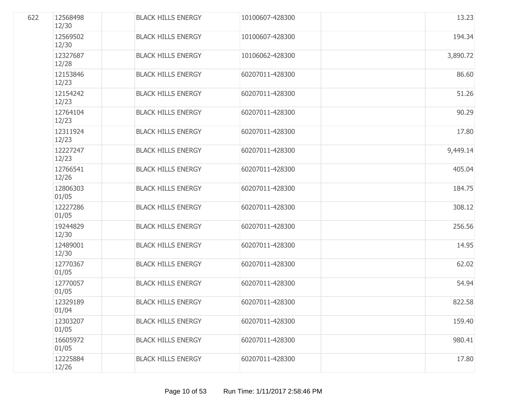| 622 | 12568498<br>12/30 | <b>BLACK HILLS ENERGY</b> | 10100607-428300 | 13.23    |
|-----|-------------------|---------------------------|-----------------|----------|
|     | 12569502<br>12/30 | <b>BLACK HILLS ENERGY</b> | 10100607-428300 | 194.34   |
|     | 12327687<br>12/28 | <b>BLACK HILLS ENERGY</b> | 10106062-428300 | 3,890.72 |
|     | 12153846<br>12/23 | <b>BLACK HILLS ENERGY</b> | 60207011-428300 | 86.60    |
|     | 12154242<br>12/23 | <b>BLACK HILLS ENERGY</b> | 60207011-428300 | 51.26    |
|     | 12764104<br>12/23 | <b>BLACK HILLS ENERGY</b> | 60207011-428300 | 90.29    |
|     | 12311924<br>12/23 | <b>BLACK HILLS ENERGY</b> | 60207011-428300 | 17.80    |
|     | 12227247<br>12/23 | <b>BLACK HILLS ENERGY</b> | 60207011-428300 | 9,449.14 |
|     | 12766541<br>12/26 | <b>BLACK HILLS ENERGY</b> | 60207011-428300 | 405.04   |
|     | 12806303<br>01/05 | <b>BLACK HILLS ENERGY</b> | 60207011-428300 | 184.75   |
|     | 12227286<br>01/05 | <b>BLACK HILLS ENERGY</b> | 60207011-428300 | 308.12   |
|     | 19244829<br>12/30 | <b>BLACK HILLS ENERGY</b> | 60207011-428300 | 256.56   |
|     | 12489001<br>12/30 | <b>BLACK HILLS ENERGY</b> | 60207011-428300 | 14.95    |
|     | 12770367<br>01/05 | <b>BLACK HILLS ENERGY</b> | 60207011-428300 | 62.02    |
|     | 12770057<br>01/05 | <b>BLACK HILLS ENERGY</b> | 60207011-428300 | 54.94    |
|     | 12329189<br>01/04 | <b>BLACK HILLS ENERGY</b> | 60207011-428300 | 822.58   |
|     | 12303207<br>01/05 | <b>BLACK HILLS ENERGY</b> | 60207011-428300 | 159.40   |
|     | 16605972<br>01/05 | <b>BLACK HILLS ENERGY</b> | 60207011-428300 | 980.41   |
|     | 12225884<br>12/26 | <b>BLACK HILLS ENERGY</b> | 60207011-428300 | 17.80    |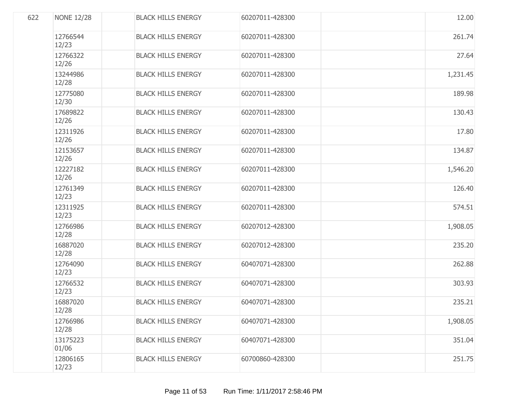| 622 | <b>NONE 12/28</b> | <b>BLACK HILLS ENERGY</b> | 60207011-428300 | 12.00    |
|-----|-------------------|---------------------------|-----------------|----------|
|     | 12766544<br>12/23 | <b>BLACK HILLS ENERGY</b> | 60207011-428300 | 261.74   |
|     | 12766322<br>12/26 | <b>BLACK HILLS ENERGY</b> | 60207011-428300 | 27.64    |
|     | 13244986<br>12/28 | <b>BLACK HILLS ENERGY</b> | 60207011-428300 | 1,231.45 |
|     | 12775080<br>12/30 | <b>BLACK HILLS ENERGY</b> | 60207011-428300 | 189.98   |
|     | 17689822<br>12/26 | <b>BLACK HILLS ENERGY</b> | 60207011-428300 | 130.43   |
|     | 12311926<br>12/26 | <b>BLACK HILLS ENERGY</b> | 60207011-428300 | 17.80    |
|     | 12153657<br>12/26 | <b>BLACK HILLS ENERGY</b> | 60207011-428300 | 134.87   |
|     | 12227182<br>12/26 | <b>BLACK HILLS ENERGY</b> | 60207011-428300 | 1,546.20 |
|     | 12761349<br>12/23 | <b>BLACK HILLS ENERGY</b> | 60207011-428300 | 126.40   |
|     | 12311925<br>12/23 | <b>BLACK HILLS ENERGY</b> | 60207011-428300 | 574.51   |
|     | 12766986<br>12/28 | <b>BLACK HILLS ENERGY</b> | 60207012-428300 | 1,908.05 |
|     | 16887020<br>12/28 | <b>BLACK HILLS ENERGY</b> | 60207012-428300 | 235.20   |
|     | 12764090<br>12/23 | <b>BLACK HILLS ENERGY</b> | 60407071-428300 | 262.88   |
|     | 12766532<br>12/23 | <b>BLACK HILLS ENERGY</b> | 60407071-428300 | 303.93   |
|     | 16887020<br>12/28 | <b>BLACK HILLS ENERGY</b> | 60407071-428300 | 235.21   |
|     | 12766986<br>12/28 | <b>BLACK HILLS ENERGY</b> | 60407071-428300 | 1,908.05 |
|     | 13175223<br>01/06 | <b>BLACK HILLS ENERGY</b> | 60407071-428300 | 351.04   |
|     | 12806165<br>12/23 | <b>BLACK HILLS ENERGY</b> | 60700860-428300 | 251.75   |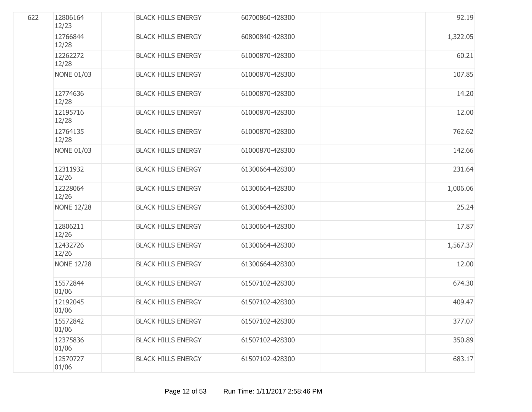| 622 | 12806164<br>12/23 | <b>BLACK HILLS ENERGY</b> | 60700860-428300 | 92.19    |
|-----|-------------------|---------------------------|-----------------|----------|
|     | 12766844<br>12/28 | <b>BLACK HILLS ENERGY</b> | 60800840-428300 | 1,322.05 |
|     | 12262272<br>12/28 | <b>BLACK HILLS ENERGY</b> | 61000870-428300 | 60.21    |
|     | <b>NONE 01/03</b> | <b>BLACK HILLS ENERGY</b> | 61000870-428300 | 107.85   |
|     | 12774636<br>12/28 | <b>BLACK HILLS ENERGY</b> | 61000870-428300 | 14.20    |
|     | 12195716<br>12/28 | <b>BLACK HILLS ENERGY</b> | 61000870-428300 | 12.00    |
|     | 12764135<br>12/28 | <b>BLACK HILLS ENERGY</b> | 61000870-428300 | 762.62   |
|     | <b>NONE 01/03</b> | <b>BLACK HILLS ENERGY</b> | 61000870-428300 | 142.66   |
|     | 12311932<br>12/26 | <b>BLACK HILLS ENERGY</b> | 61300664-428300 | 231.64   |
|     | 12228064<br>12/26 | <b>BLACK HILLS ENERGY</b> | 61300664-428300 | 1,006.06 |
|     | <b>NONE 12/28</b> | <b>BLACK HILLS ENERGY</b> | 61300664-428300 | 25.24    |
|     | 12806211<br>12/26 | <b>BLACK HILLS ENERGY</b> | 61300664-428300 | 17.87    |
|     | 12432726<br>12/26 | <b>BLACK HILLS ENERGY</b> | 61300664-428300 | 1,567.37 |
|     | <b>NONE 12/28</b> | <b>BLACK HILLS ENERGY</b> | 61300664-428300 | 12.00    |
|     | 15572844<br>01/06 | <b>BLACK HILLS ENERGY</b> | 61507102-428300 | 674.30   |
|     | 12192045<br>01/06 | <b>BLACK HILLS ENERGY</b> | 61507102-428300 | 409.47   |
|     | 15572842<br>01/06 | <b>BLACK HILLS ENERGY</b> | 61507102-428300 | 377.07   |
|     | 12375836<br>01/06 | <b>BLACK HILLS ENERGY</b> | 61507102-428300 | 350.89   |
|     | 12570727<br>01/06 | <b>BLACK HILLS ENERGY</b> | 61507102-428300 | 683.17   |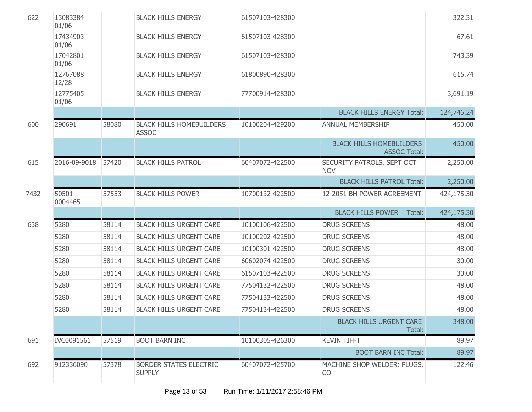| 622  | 13083384<br>01/06 |       | <b>BLACK HILLS ENERGY</b>                       | 61507103-428300 |                                                        | 322.31     |
|------|-------------------|-------|-------------------------------------------------|-----------------|--------------------------------------------------------|------------|
|      | 17434903<br>01/06 |       | <b>BLACK HILLS ENERGY</b>                       | 61507103-428300 |                                                        | 67.61      |
|      | 17042801<br>01/06 |       | <b>BLACK HILLS ENERGY</b>                       | 61507103-428300 |                                                        | 743.39     |
|      | 12767088<br>12/28 |       | <b>BLACK HILLS ENERGY</b>                       | 61800890-428300 |                                                        | 615.74     |
|      | 12775405<br>01/06 |       | <b>BLACK HILLS ENERGY</b>                       | 77700914-428300 |                                                        | 3,691.19   |
|      |                   |       |                                                 |                 | <b>BLACK HILLS ENERGY Total:</b>                       | 124,746.24 |
| 600  | 290691            | 58080 | <b>BLACK HILLS HOMEBUILDERS</b><br><b>ASSOC</b> | 10100204-429200 | <b>ANNUAL MEMBERSHIP</b>                               | 450.00     |
|      |                   |       |                                                 |                 | <b>BLACK HILLS HOMEBUILDERS</b><br><b>ASSOC Total:</b> | 450.00     |
| 615  | 2016-09-9018      | 57420 | <b>BLACK HILLS PATROL</b>                       | 60407072-422500 | SECURITY PATROLS, SEPT OCT<br><b>NOV</b>               | 2,250.00   |
|      |                   |       |                                                 |                 | <b>BLACK HILLS PATROL Total:</b>                       | 2,250.00   |
| 7432 | 50501-<br>0004465 | 57553 | <b>BLACK HILLS POWER</b>                        | 10700132-422500 | 12-2051 BH POWER AGREEMENT                             | 424,175.30 |
|      |                   |       |                                                 |                 | <b>BLACK HILLS POWER</b><br>Total:                     | 424,175.30 |
| 638  | 5280              | 58114 | <b>BLACK HILLS URGENT CARE</b>                  | 10100106-422500 | <b>DRUG SCREENS</b>                                    | 48.00      |
|      | 5280              | 58114 | <b>BLACK HILLS URGENT CARE</b>                  | 10100202-422500 | <b>DRUG SCREENS</b>                                    | 48.00      |
|      | 5280              | 58114 | <b>BLACK HILLS URGENT CARE</b>                  | 10100301-422500 | <b>DRUG SCREENS</b>                                    | 48.00      |
|      | 5280              | 58114 | <b>BLACK HILLS URGENT CARE</b>                  | 60602074-422500 | <b>DRUG SCREENS</b>                                    | 30.00      |
|      | 5280              | 58114 | <b>BLACK HILLS URGENT CARE</b>                  | 61507103-422500 | <b>DRUG SCREENS</b>                                    | 30.00      |
|      | 5280              | 58114 | <b>BLACK HILLS URGENT CARE</b>                  | 77504132-422500 | <b>DRUG SCREENS</b>                                    | 48.00      |
|      | 5280              | 58114 | <b>BLACK HILLS URGENT CARE</b>                  | 77504133-422500 | <b>DRUG SCREENS</b>                                    | 48.00      |
|      | 5280              | 58114 | <b>BLACK HILLS URGENT CARE</b>                  | 77504134-422500 | <b>DRUG SCREENS</b>                                    | 48.00      |
|      |                   |       |                                                 |                 | <b>BLACK HILLS URGENT CARE</b><br>Total:               | 348.00     |
| 691  | IVC0091561        | 57519 | <b>BOOT BARN INC</b>                            | 10100305-426300 | <b>KEVIN TIFFT</b>                                     | 89.97      |
|      |                   |       |                                                 |                 | <b>BOOT BARN INC Total:</b>                            | 89.97      |
| 692  | 912336090         | 57378 | <b>BORDER STATES ELECTRIC</b><br><b>SUPPLY</b>  | 60407072-425700 | MACHINE SHOP WELDER: PLUGS,<br><b>CO</b>               | 122.46     |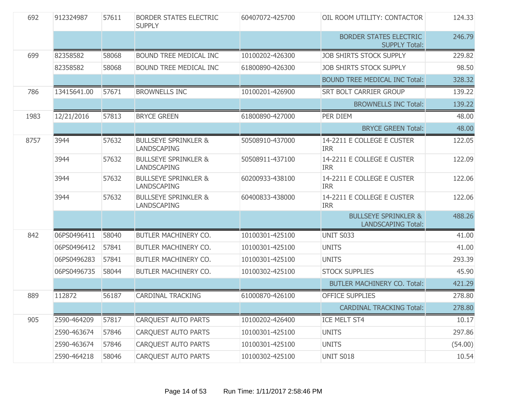| 692  | 912324987   | 57611 | <b>BORDER STATES ELECTRIC</b><br><b>SUPPLY</b>        | 60407072-425700 | OIL ROOM UTILITY: CONTACTOR                                  | 124.33  |
|------|-------------|-------|-------------------------------------------------------|-----------------|--------------------------------------------------------------|---------|
|      |             |       |                                                       |                 | <b>BORDER STATES ELECTRIC</b><br><b>SUPPLY Total:</b>        | 246.79  |
| 699  | 82358582    | 58068 | BOUND TREE MEDICAL INC                                | 10100202-426300 | <b>JOB SHIRTS STOCK SUPPLY</b>                               | 229.82  |
|      | 82358582    | 58068 | BOUND TREE MEDICAL INC                                | 61800890-426300 | <b>JOB SHIRTS STOCK SUPPLY</b>                               | 98.50   |
|      |             |       |                                                       |                 | <b>BOUND TREE MEDICAL INC Total:</b>                         | 328.32  |
| 786  | 13415641.00 | 57671 | <b>BROWNELLS INC</b>                                  | 10100201-426900 | <b>SRT BOLT CARRIER GROUP</b>                                | 139.22  |
|      |             |       |                                                       |                 | <b>BROWNELLS INC Total:</b>                                  | 139.22  |
| 1983 | 12/21/2016  | 57813 | <b>BRYCE GREEN</b>                                    | 61800890-427000 | PER DIEM                                                     | 48.00   |
|      |             |       |                                                       |                 | <b>BRYCE GREEN Total:</b>                                    | 48.00   |
| 8757 | 3944        | 57632 | <b>BULLSEYE SPRINKLER &amp;</b><br>LANDSCAPING        | 50508910-437000 | 14-2211 E COLLEGE E CUSTER<br><b>IRR</b>                     | 122.05  |
|      | 3944        | 57632 | <b>BULLSEYE SPRINKLER &amp;</b><br><b>LANDSCAPING</b> | 50508911-437100 | 14-2211 E COLLEGE E CUSTER<br><b>IRR</b>                     | 122.09  |
|      | 3944        | 57632 | <b>BULLSEYE SPRINKLER &amp;</b><br><b>LANDSCAPING</b> | 60200933-438100 | 14-2211 E COLLEGE E CUSTER<br><b>IRR</b>                     | 122.06  |
|      | 3944        | 57632 | <b>BULLSEYE SPRINKLER &amp;</b><br><b>LANDSCAPING</b> | 60400833-438000 | 14-2211 E COLLEGE E CUSTER<br><b>IRR</b>                     | 122.06  |
|      |             |       |                                                       |                 | <b>BULLSEYE SPRINKLER &amp;</b><br><b>LANDSCAPING Total:</b> | 488.26  |
| 842  | 06PS0496411 | 58040 | <b>BUTLER MACHINERY CO.</b>                           | 10100301-425100 | UNIT S033                                                    | 41.00   |
|      | 06PS0496412 | 57841 | BUTLER MACHINERY CO.                                  | 10100301-425100 | <b>UNITS</b>                                                 | 41.00   |
|      | 06PS0496283 | 57841 | BUTLER MACHINERY CO.                                  | 10100301-425100 | <b>UNITS</b>                                                 | 293.39  |
|      | 06PS0496735 | 58044 | BUTLER MACHINERY CO.                                  | 10100302-425100 | <b>STOCK SUPPLIES</b>                                        | 45.90   |
|      |             |       |                                                       |                 | <b>BUTLER MACHINERY CO. Total:</b>                           | 421.29  |
| 889  | 112872      | 56187 | <b>CARDINAL TRACKING</b>                              | 61000870-426100 | <b>OFFICE SUPPLIES</b>                                       | 278.80  |
|      |             |       |                                                       |                 | <b>CARDINAL TRACKING Total:</b>                              | 278.80  |
| 905  | 2590-464209 | 57817 | <b>CARQUEST AUTO PARTS</b>                            | 10100202-426400 | ICE MELT ST4                                                 | 10.17   |
|      | 2590-463674 | 57846 | <b>CARQUEST AUTO PARTS</b>                            | 10100301-425100 | <b>UNITS</b>                                                 | 297.86  |
|      | 2590-463674 | 57846 | <b>CARQUEST AUTO PARTS</b>                            | 10100301-425100 | <b>UNITS</b>                                                 | (54.00) |
|      | 2590-464218 | 58046 | <b>CAROUEST AUTO PARTS</b>                            | 10100302-425100 | UNIT S018                                                    | 10.54   |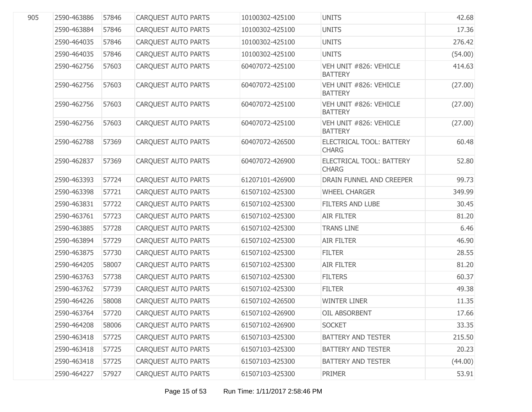| 905 | 2590-463886 | 57846 | <b>CARQUEST AUTO PARTS</b> | 10100302-425100 | <b>UNITS</b>                             | 42.68   |
|-----|-------------|-------|----------------------------|-----------------|------------------------------------------|---------|
|     | 2590-463884 | 57846 | CARQUEST AUTO PARTS        | 10100302-425100 | <b>UNITS</b>                             | 17.36   |
|     | 2590-464035 | 57846 | CARQUEST AUTO PARTS        | 10100302-425100 | <b>UNITS</b>                             | 276.42  |
|     | 2590-464035 | 57846 | CARQUEST AUTO PARTS        | 10100302-425100 | <b>UNITS</b>                             | (54.00) |
|     | 2590-462756 | 57603 | <b>CARQUEST AUTO PARTS</b> | 60407072-425100 | VEH UNIT #826: VEHICLE<br><b>BATTERY</b> | 414.63  |
|     | 2590-462756 | 57603 | <b>CARQUEST AUTO PARTS</b> | 60407072-425100 | VEH UNIT #826: VEHICLE<br><b>BATTERY</b> | (27.00) |
|     | 2590-462756 | 57603 | <b>CARQUEST AUTO PARTS</b> | 60407072-425100 | VEH UNIT #826: VEHICLE<br><b>BATTERY</b> | (27.00) |
|     | 2590-462756 | 57603 | <b>CARQUEST AUTO PARTS</b> | 60407072-425100 | VEH UNIT #826: VEHICLE<br><b>BATTERY</b> | (27.00) |
|     | 2590-462788 | 57369 | <b>CARQUEST AUTO PARTS</b> | 60407072-426500 | ELECTRICAL TOOL: BATTERY<br><b>CHARG</b> | 60.48   |
|     | 2590-462837 | 57369 | <b>CARQUEST AUTO PARTS</b> | 60407072-426900 | ELECTRICAL TOOL: BATTERY<br><b>CHARG</b> | 52.80   |
|     | 2590-463393 | 57724 | <b>CARQUEST AUTO PARTS</b> | 61207101-426900 | DRAIN FUNNEL AND CREEPER                 | 99.73   |
|     | 2590-463398 | 57721 | <b>CARQUEST AUTO PARTS</b> | 61507102-425300 | <b>WHEEL CHARGER</b>                     | 349.99  |
|     | 2590-463831 | 57722 | <b>CARQUEST AUTO PARTS</b> | 61507102-425300 | <b>FILTERS AND LUBE</b>                  | 30.45   |
|     | 2590-463761 | 57723 | <b>CARQUEST AUTO PARTS</b> | 61507102-425300 | <b>AIR FILTER</b>                        | 81.20   |
|     | 2590-463885 | 57728 | <b>CARQUEST AUTO PARTS</b> | 61507102-425300 | <b>TRANS LINE</b>                        | 6.46    |
|     | 2590-463894 | 57729 | <b>CARQUEST AUTO PARTS</b> | 61507102-425300 | <b>AIR FILTER</b>                        | 46.90   |
|     | 2590-463875 | 57730 | <b>CARQUEST AUTO PARTS</b> | 61507102-425300 | <b>FILTER</b>                            | 28.55   |
|     | 2590-464205 | 58007 | <b>CARQUEST AUTO PARTS</b> | 61507102-425300 | <b>AIR FILTER</b>                        | 81.20   |
|     | 2590-463763 | 57738 | <b>CARQUEST AUTO PARTS</b> | 61507102-425300 | <b>FILTERS</b>                           | 60.37   |
|     | 2590-463762 | 57739 | <b>CARQUEST AUTO PARTS</b> | 61507102-425300 | <b>FILTER</b>                            | 49.38   |
|     | 2590-464226 | 58008 | <b>CARQUEST AUTO PARTS</b> | 61507102-426500 | <b>WINTER LINER</b>                      | 11.35   |
|     | 2590-463764 | 57720 | CARQUEST AUTO PARTS        | 61507102-426900 | OIL ABSORBENT                            | 17.66   |
|     | 2590-464208 | 58006 | <b>CARQUEST AUTO PARTS</b> | 61507102-426900 | <b>SOCKET</b>                            | 33.35   |
|     | 2590-463418 | 57725 | <b>CARQUEST AUTO PARTS</b> | 61507103-425300 | <b>BATTERY AND TESTER</b>                | 215.50  |
|     | 2590-463418 | 57725 | <b>CARQUEST AUTO PARTS</b> | 61507103-425300 | <b>BATTERY AND TESTER</b>                | 20.23   |
|     | 2590-463418 | 57725 | CARQUEST AUTO PARTS        | 61507103-425300 | <b>BATTERY AND TESTER</b>                | (44.00) |
|     | 2590-464227 | 57927 | <b>CARQUEST AUTO PARTS</b> | 61507103-425300 | <b>PRIMER</b>                            | 53.91   |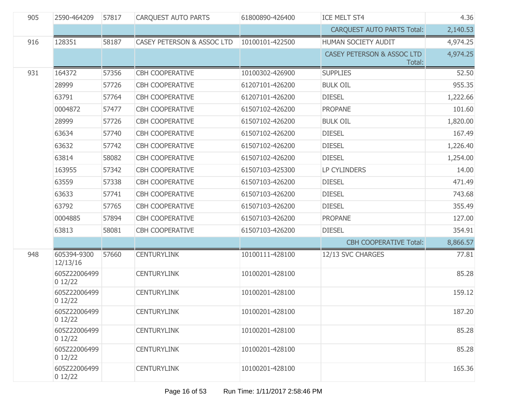| 905 | 2590-464209             | 57817 | <b>CARQUEST AUTO PARTS</b>            | 61800890-426400 | ICE MELT ST4                                    | 4.36     |
|-----|-------------------------|-------|---------------------------------------|-----------------|-------------------------------------------------|----------|
|     |                         |       |                                       |                 | <b>CARQUEST AUTO PARTS Total:</b>               | 2,140.53 |
| 916 | 128351                  | 58187 | <b>CASEY PETERSON &amp; ASSOC LTD</b> | 10100101-422500 | HUMAN SOCIETY AUDIT                             | 4,974.25 |
|     |                         |       |                                       |                 | <b>CASEY PETERSON &amp; ASSOC LTD</b><br>Total: | 4,974.25 |
| 931 | 164372                  | 57356 | <b>CBH COOPERATIVE</b>                | 10100302-426900 | <b>SUPPLIES</b>                                 | 52.50    |
|     | 28999                   | 57726 | <b>CBH COOPERATIVE</b>                | 61207101-426200 | <b>BULK OIL</b>                                 | 955.35   |
|     | 63791                   | 57764 | <b>CBH COOPERATIVE</b>                | 61207101-426200 | <b>DIESEL</b>                                   | 1,222.66 |
|     | 0004872                 | 57477 | <b>CBH COOPERATIVE</b>                | 61507102-426200 | <b>PROPANE</b>                                  | 101.60   |
|     | 28999                   | 57726 | <b>CBH COOPERATIVE</b>                | 61507102-426200 | <b>BULK OIL</b>                                 | 1,820.00 |
|     | 63634                   | 57740 | <b>CBH COOPERATIVE</b>                | 61507102-426200 | <b>DIESEL</b>                                   | 167.49   |
|     | 63632                   | 57742 | <b>CBH COOPERATIVE</b>                | 61507102-426200 | <b>DIESEL</b>                                   | 1,226.40 |
|     | 63814                   | 58082 | <b>CBH COOPERATIVE</b>                | 61507102-426200 | <b>DIESEL</b>                                   | 1,254.00 |
|     | 163955                  | 57342 | <b>CBH COOPERATIVE</b>                | 61507103-425300 | <b>LP CYLINDERS</b>                             | 14.00    |
|     | 63559                   | 57338 | <b>CBH COOPERATIVE</b>                | 61507103-426200 | <b>DIESEL</b>                                   | 471.49   |
|     | 63633                   | 57741 | <b>CBH COOPERATIVE</b>                | 61507103-426200 | <b>DIESEL</b>                                   | 743.68   |
|     | 63792                   | 57765 | <b>CBH COOPERATIVE</b>                | 61507103-426200 | <b>DIESEL</b>                                   | 355.49   |
|     | 0004885                 | 57894 | <b>CBH COOPERATIVE</b>                | 61507103-426200 | <b>PROPANE</b>                                  | 127.00   |
|     | 63813                   | 58081 | <b>CBH COOPERATIVE</b>                | 61507103-426200 | <b>DIESEL</b>                                   | 354.91   |
|     |                         |       |                                       |                 | <b>CBH COOPERATIVE Total:</b>                   | 8,866.57 |
| 948 | 605394-9300<br>12/13/16 | 57660 | <b>CENTURYLINK</b>                    | 10100111-428100 | 12/13 SVC CHARGES                               | 77.81    |
|     | 605Z22006499<br>012/22  |       | <b>CENTURYLINK</b>                    | 10100201-428100 |                                                 | 85.28    |
|     | 605Z22006499<br>012/22  |       | <b>CENTURYLINK</b>                    | 10100201-428100 |                                                 | 159.12   |
|     | 605Z22006499<br>012/22  |       | <b>CENTURYLINK</b>                    | 10100201-428100 |                                                 | 187.20   |
|     | 605Z22006499<br>012/22  |       | <b>CENTURYLINK</b>                    | 10100201-428100 |                                                 | 85.28    |
|     | 605Z22006499<br>012/22  |       | <b>CENTURYLINK</b>                    | 10100201-428100 |                                                 | 85.28    |
|     | 605Z22006499<br>012/22  |       | <b>CENTURYLINK</b>                    | 10100201-428100 |                                                 | 165.36   |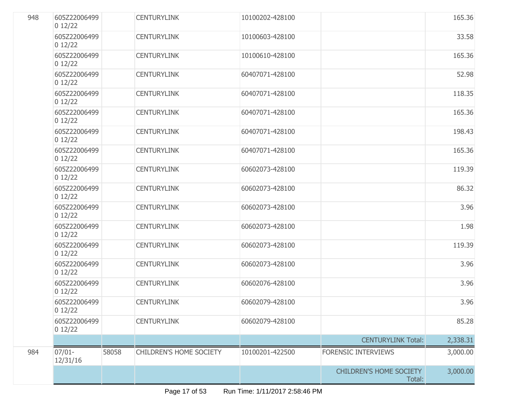| 948 | 605Z22006499<br>012/22 |       | <b>CENTURYLINK</b>      | 10100202-428100 |                                          | 165.36   |
|-----|------------------------|-------|-------------------------|-----------------|------------------------------------------|----------|
|     | 605Z22006499<br>012/22 |       | <b>CENTURYLINK</b>      | 10100603-428100 |                                          | 33.58    |
|     | 605Z22006499<br>012/22 |       | <b>CENTURYLINK</b>      | 10100610-428100 |                                          | 165.36   |
|     | 605Z22006499<br>012/22 |       | <b>CENTURYLINK</b>      | 60407071-428100 |                                          | 52.98    |
|     | 605Z22006499<br>012/22 |       | <b>CENTURYLINK</b>      | 60407071-428100 |                                          | 118.35   |
|     | 605Z22006499<br>012/22 |       | <b>CENTURYLINK</b>      | 60407071-428100 |                                          | 165.36   |
|     | 605Z22006499<br>012/22 |       | <b>CENTURYLINK</b>      | 60407071-428100 |                                          | 198.43   |
|     | 605Z22006499<br>012/22 |       | <b>CENTURYLINK</b>      | 60407071-428100 |                                          | 165.36   |
|     | 605Z22006499<br>012/22 |       | <b>CENTURYLINK</b>      | 60602073-428100 |                                          | 119.39   |
|     | 605Z22006499<br>012/22 |       | <b>CENTURYLINK</b>      | 60602073-428100 |                                          | 86.32    |
|     | 605Z22006499<br>012/22 |       | <b>CENTURYLINK</b>      | 60602073-428100 |                                          | 3.96     |
|     | 605Z22006499<br>012/22 |       | <b>CENTURYLINK</b>      | 60602073-428100 |                                          | 1.98     |
|     | 605Z22006499<br>012/22 |       | <b>CENTURYLINK</b>      | 60602073-428100 |                                          | 119.39   |
|     | 605Z22006499<br>012/22 |       | <b>CENTURYLINK</b>      | 60602073-428100 |                                          | 3.96     |
|     | 605Z22006499<br>012/22 |       | <b>CENTURYLINK</b>      | 60602076-428100 |                                          | 3.96     |
|     | 605Z22006499<br>012/22 |       | <b>CENTURYLINK</b>      | 60602079-428100 |                                          | 3.96     |
|     | 605Z22006499<br>012/22 |       | <b>CENTURYLINK</b>      | 60602079-428100 |                                          | 85.28    |
|     |                        |       |                         |                 | <b>CENTURYLINK Total:</b>                | 2,338.31 |
| 984 | $07/01 -$<br>12/31/16  | 58058 | CHILDREN'S HOME SOCIETY | 10100201-422500 | <b>FORENSIC INTERVIEWS</b>               | 3,000.00 |
|     |                        |       |                         |                 | <b>CHILDREN'S HOME SOCIETY</b><br>Total: | 3,000.00 |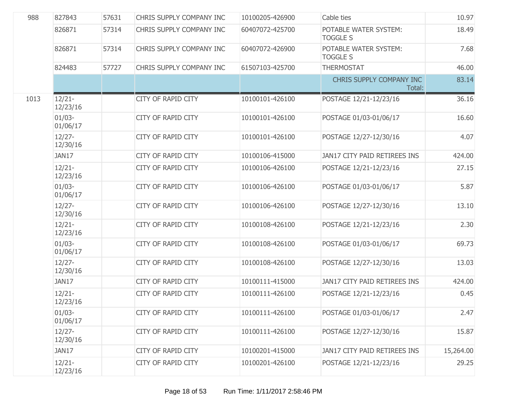| 988  | 827843                | 57631 | CHRIS SUPPLY COMPANY INC  | 10100205-426900 | Cable ties                               | 10.97     |
|------|-----------------------|-------|---------------------------|-----------------|------------------------------------------|-----------|
|      | 826871                | 57314 | CHRIS SUPPLY COMPANY INC  | 60407072-425700 | POTABLE WATER SYSTEM:<br><b>TOGGLE S</b> | 18.49     |
|      | 826871                | 57314 | CHRIS SUPPLY COMPANY INC  | 60407072-426900 | POTABLE WATER SYSTEM:<br><b>TOGGLE S</b> | 7.68      |
|      | 824483                | 57727 | CHRIS SUPPLY COMPANY INC  | 61507103-425700 | <b>THERMOSTAT</b>                        | 46.00     |
|      |                       |       |                           |                 | CHRIS SUPPLY COMPANY INC<br>Total:       | 83.14     |
| 1013 | $12/21 -$<br>12/23/16 |       | CITY OF RAPID CITY        | 10100101-426100 | POSTAGE 12/21-12/23/16                   | 36.16     |
|      | $01/03 -$<br>01/06/17 |       | <b>CITY OF RAPID CITY</b> | 10100101-426100 | POSTAGE 01/03-01/06/17                   | 16.60     |
|      | $12/27 -$<br>12/30/16 |       | <b>CITY OF RAPID CITY</b> | 10100101-426100 | POSTAGE 12/27-12/30/16                   | 4.07      |
|      | JAN17                 |       | <b>CITY OF RAPID CITY</b> | 10100106-415000 | JAN17 CITY PAID RETIREES INS             | 424.00    |
|      | $12/21 -$<br>12/23/16 |       | <b>CITY OF RAPID CITY</b> | 10100106-426100 | POSTAGE 12/21-12/23/16                   | 27.15     |
|      | $01/03 -$<br>01/06/17 |       | <b>CITY OF RAPID CITY</b> | 10100106-426100 | POSTAGE 01/03-01/06/17                   | 5.87      |
|      | $12/27 -$<br>12/30/16 |       | <b>CITY OF RAPID CITY</b> | 10100106-426100 | POSTAGE 12/27-12/30/16                   | 13.10     |
|      | $12/21 -$<br>12/23/16 |       | <b>CITY OF RAPID CITY</b> | 10100108-426100 | POSTAGE 12/21-12/23/16                   | 2.30      |
|      | $01/03 -$<br>01/06/17 |       | <b>CITY OF RAPID CITY</b> | 10100108-426100 | POSTAGE 01/03-01/06/17                   | 69.73     |
|      | $12/27 -$<br>12/30/16 |       | <b>CITY OF RAPID CITY</b> | 10100108-426100 | POSTAGE 12/27-12/30/16                   | 13.03     |
|      | JAN17                 |       | <b>CITY OF RAPID CITY</b> | 10100111-415000 | JAN17 CITY PAID RETIREES INS             | 424.00    |
|      | $12/21 -$<br>12/23/16 |       | <b>CITY OF RAPID CITY</b> | 10100111-426100 | POSTAGE 12/21-12/23/16                   | 0.45      |
|      | $01/03 -$<br>01/06/17 |       | CITY OF RAPID CITY        | 10100111-426100 | POSTAGE 01/03-01/06/17                   | 2.47      |
|      | $12/27 -$<br>12/30/16 |       | <b>CITY OF RAPID CITY</b> | 10100111-426100 | POSTAGE 12/27-12/30/16                   | 15.87     |
|      | JAN17                 |       | CITY OF RAPID CITY        | 10100201-415000 | JAN17 CITY PAID RETIREES INS             | 15,264.00 |
|      | $12/21 -$<br>12/23/16 |       | CITY OF RAPID CITY        | 10100201-426100 | POSTAGE 12/21-12/23/16                   | 29.25     |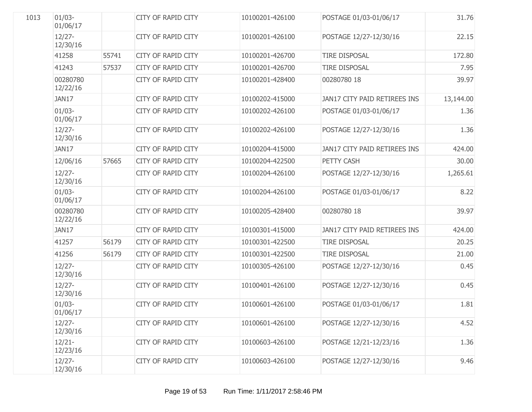| 1013 | $01/03 -$<br>01/06/17 |       | CITY OF RAPID CITY        | 10100201-426100 | POSTAGE 01/03-01/06/17       | 31.76     |
|------|-----------------------|-------|---------------------------|-----------------|------------------------------|-----------|
|      | $12/27 -$<br>12/30/16 |       | <b>CITY OF RAPID CITY</b> | 10100201-426100 | POSTAGE 12/27-12/30/16       | 22.15     |
|      | 41258                 | 55741 | CITY OF RAPID CITY        | 10100201-426700 | <b>TIRE DISPOSAL</b>         | 172.80    |
|      | 41243                 | 57537 | <b>CITY OF RAPID CITY</b> | 10100201-426700 | <b>TIRE DISPOSAL</b>         | 7.95      |
|      | 00280780<br>12/22/16  |       | <b>CITY OF RAPID CITY</b> | 10100201-428400 | 00280780 18                  | 39.97     |
|      | JAN17                 |       | <b>CITY OF RAPID CITY</b> | 10100202-415000 | JAN17 CITY PAID RETIREES INS | 13,144.00 |
|      | $01/03 -$<br>01/06/17 |       | <b>CITY OF RAPID CITY</b> | 10100202-426100 | POSTAGE 01/03-01/06/17       | 1.36      |
|      | $12/27 -$<br>12/30/16 |       | <b>CITY OF RAPID CITY</b> | 10100202-426100 | POSTAGE 12/27-12/30/16       | 1.36      |
|      | JAN17                 |       | <b>CITY OF RAPID CITY</b> | 10100204-415000 | JAN17 CITY PAID RETIREES INS | 424.00    |
|      | 12/06/16              | 57665 | <b>CITY OF RAPID CITY</b> | 10100204-422500 | PETTY CASH                   | 30.00     |
|      | $12/27 -$<br>12/30/16 |       | <b>CITY OF RAPID CITY</b> | 10100204-426100 | POSTAGE 12/27-12/30/16       | 1,265.61  |
|      | $01/03 -$<br>01/06/17 |       | <b>CITY OF RAPID CITY</b> | 10100204-426100 | POSTAGE 01/03-01/06/17       | 8.22      |
|      | 00280780<br>12/22/16  |       | <b>CITY OF RAPID CITY</b> | 10100205-428400 | 00280780 18                  | 39.97     |
|      | JAN17                 |       | <b>CITY OF RAPID CITY</b> | 10100301-415000 | JAN17 CITY PAID RETIREES INS | 424.00    |
|      | 41257                 | 56179 | <b>CITY OF RAPID CITY</b> | 10100301-422500 | <b>TIRE DISPOSAL</b>         | 20.25     |
|      | 41256                 | 56179 | <b>CITY OF RAPID CITY</b> | 10100301-422500 | <b>TIRE DISPOSAL</b>         | 21.00     |
|      | $12/27 -$<br>12/30/16 |       | <b>CITY OF RAPID CITY</b> | 10100305-426100 | POSTAGE 12/27-12/30/16       | 0.45      |
|      | $12/27 -$<br>12/30/16 |       | <b>CITY OF RAPID CITY</b> | 10100401-426100 | POSTAGE 12/27-12/30/16       | 0.45      |
|      | $01/03 -$<br>01/06/17 |       | <b>CITY OF RAPID CITY</b> | 10100601-426100 | POSTAGE 01/03-01/06/17       | 1.81      |
|      | $12/27 -$<br>12/30/16 |       | <b>CITY OF RAPID CITY</b> | 10100601-426100 | POSTAGE 12/27-12/30/16       | 4.52      |
|      | $12/21 -$<br>12/23/16 |       | <b>CITY OF RAPID CITY</b> | 10100603-426100 | POSTAGE 12/21-12/23/16       | 1.36      |
|      | $12/27 -$<br>12/30/16 |       | <b>CITY OF RAPID CITY</b> | 10100603-426100 | POSTAGE 12/27-12/30/16       | 9.46      |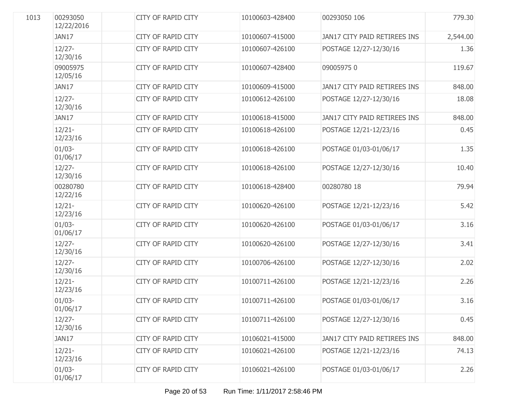| 1013 | 00293050<br>12/22/2016 | <b>CITY OF RAPID CITY</b> | 10100603-428400 | 00293050 106                 | 779.30   |
|------|------------------------|---------------------------|-----------------|------------------------------|----------|
|      | JAN17                  | <b>CITY OF RAPID CITY</b> | 10100607-415000 | JAN17 CITY PAID RETIREES INS | 2,544.00 |
|      | $12/27 -$<br>12/30/16  | <b>CITY OF RAPID CITY</b> | 10100607-426100 | POSTAGE 12/27-12/30/16       | 1.36     |
|      | 09005975<br>12/05/16   | <b>CITY OF RAPID CITY</b> | 10100607-428400 | 090059750                    | 119.67   |
|      | JAN17                  | <b>CITY OF RAPID CITY</b> | 10100609-415000 | JAN17 CITY PAID RETIREES INS | 848.00   |
|      | $12/27 -$<br>12/30/16  | <b>CITY OF RAPID CITY</b> | 10100612-426100 | POSTAGE 12/27-12/30/16       | 18.08    |
|      | JAN17                  | <b>CITY OF RAPID CITY</b> | 10100618-415000 | JAN17 CITY PAID RETIREES INS | 848.00   |
|      | $12/21 -$<br>12/23/16  | <b>CITY OF RAPID CITY</b> | 10100618-426100 | POSTAGE 12/21-12/23/16       | 0.45     |
|      | $01/03 -$<br>01/06/17  | <b>CITY OF RAPID CITY</b> | 10100618-426100 | POSTAGE 01/03-01/06/17       | 1.35     |
|      | $12/27 -$<br>12/30/16  | <b>CITY OF RAPID CITY</b> | 10100618-426100 | POSTAGE 12/27-12/30/16       | 10.40    |
|      | 00280780<br>12/22/16   | <b>CITY OF RAPID CITY</b> | 10100618-428400 | 00280780 18                  | 79.94    |
|      | $12/21 -$<br>12/23/16  | <b>CITY OF RAPID CITY</b> | 10100620-426100 | POSTAGE 12/21-12/23/16       | 5.42     |
|      | $01/03 -$<br>01/06/17  | <b>CITY OF RAPID CITY</b> | 10100620-426100 | POSTAGE 01/03-01/06/17       | 3.16     |
|      | $12/27 -$<br>12/30/16  | <b>CITY OF RAPID CITY</b> | 10100620-426100 | POSTAGE 12/27-12/30/16       | 3.41     |
|      | $12/27 -$<br>12/30/16  | <b>CITY OF RAPID CITY</b> | 10100706-426100 | POSTAGE 12/27-12/30/16       | 2.02     |
|      | $12/21 -$<br>12/23/16  | <b>CITY OF RAPID CITY</b> | 10100711-426100 | POSTAGE 12/21-12/23/16       | 2.26     |
|      | $01/03 -$<br>01/06/17  | <b>CITY OF RAPID CITY</b> | 10100711-426100 | POSTAGE 01/03-01/06/17       | 3.16     |
|      | $12/27 -$<br>12/30/16  | <b>CITY OF RAPID CITY</b> | 10100711-426100 | POSTAGE 12/27-12/30/16       | 0.45     |
|      | JAN17                  | <b>CITY OF RAPID CITY</b> | 10106021-415000 | JAN17 CITY PAID RETIREES INS | 848.00   |
|      | $12/21 -$<br>12/23/16  | CITY OF RAPID CITY        | 10106021-426100 | POSTAGE 12/21-12/23/16       | 74.13    |
|      | $01/03 -$<br>01/06/17  | <b>CITY OF RAPID CITY</b> | 10106021-426100 | POSTAGE 01/03-01/06/17       | 2.26     |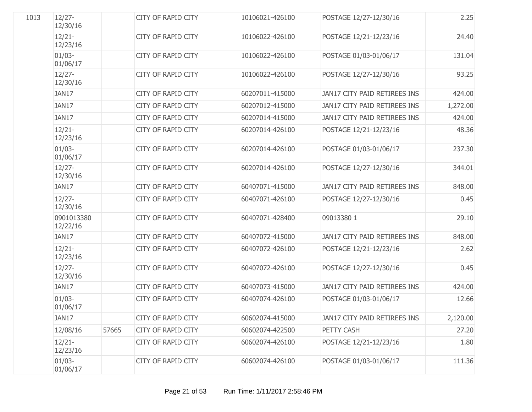| 1013 | $12/27 -$<br>12/30/16  |       | CITY OF RAPID CITY        | 10106021-426100 | POSTAGE 12/27-12/30/16       | 2.25     |
|------|------------------------|-------|---------------------------|-----------------|------------------------------|----------|
|      | $12/21 -$<br>12/23/16  |       | <b>CITY OF RAPID CITY</b> | 10106022-426100 | POSTAGE 12/21-12/23/16       | 24.40    |
|      | $01/03 -$<br>01/06/17  |       | <b>CITY OF RAPID CITY</b> | 10106022-426100 | POSTAGE 01/03-01/06/17       | 131.04   |
|      | $12/27 -$<br>12/30/16  |       | <b>CITY OF RAPID CITY</b> | 10106022-426100 | POSTAGE 12/27-12/30/16       | 93.25    |
|      | JAN17                  |       | <b>CITY OF RAPID CITY</b> | 60207011-415000 | JAN17 CITY PAID RETIREES INS | 424.00   |
|      | JAN17                  |       | <b>CITY OF RAPID CITY</b> | 60207012-415000 | JAN17 CITY PAID RETIREES INS | 1,272.00 |
|      | JAN17                  |       | <b>CITY OF RAPID CITY</b> | 60207014-415000 | JAN17 CITY PAID RETIREES INS | 424.00   |
|      | $12/21 -$<br>12/23/16  |       | <b>CITY OF RAPID CITY</b> | 60207014-426100 | POSTAGE 12/21-12/23/16       | 48.36    |
|      | $01/03 -$<br>01/06/17  |       | <b>CITY OF RAPID CITY</b> | 60207014-426100 | POSTAGE 01/03-01/06/17       | 237.30   |
|      | $12/27 -$<br>12/30/16  |       | <b>CITY OF RAPID CITY</b> | 60207014-426100 | POSTAGE 12/27-12/30/16       | 344.01   |
|      | JAN17                  |       | <b>CITY OF RAPID CITY</b> | 60407071-415000 | JAN17 CITY PAID RETIREES INS | 848.00   |
|      | $12/27 -$<br>12/30/16  |       | <b>CITY OF RAPID CITY</b> | 60407071-426100 | POSTAGE 12/27-12/30/16       | 0.45     |
|      | 0901013380<br>12/22/16 |       | <b>CITY OF RAPID CITY</b> | 60407071-428400 | 09013380 1                   | 29.10    |
|      | JAN17                  |       | <b>CITY OF RAPID CITY</b> | 60407072-415000 | JAN17 CITY PAID RETIREES INS | 848.00   |
|      | $12/21 -$<br>12/23/16  |       | <b>CITY OF RAPID CITY</b> | 60407072-426100 | POSTAGE 12/21-12/23/16       | 2.62     |
|      | $12/27 -$<br>12/30/16  |       | <b>CITY OF RAPID CITY</b> | 60407072-426100 | POSTAGE 12/27-12/30/16       | 0.45     |
|      | JAN17                  |       | CITY OF RAPID CITY        | 60407073-415000 | JAN17 CITY PAID RETIREES INS | 424.00   |
|      | $01/03 -$<br>01/06/17  |       | <b>CITY OF RAPID CITY</b> | 60407074-426100 | POSTAGE 01/03-01/06/17       | 12.66    |
|      | JAN17                  |       | <b>CITY OF RAPID CITY</b> | 60602074-415000 | JAN17 CITY PAID RETIREES INS | 2,120.00 |
|      | 12/08/16               | 57665 | <b>CITY OF RAPID CITY</b> | 60602074-422500 | PETTY CASH                   | 27.20    |
|      | $12/21 -$<br>12/23/16  |       | <b>CITY OF RAPID CITY</b> | 60602074-426100 | POSTAGE 12/21-12/23/16       | 1.80     |
|      | $01/03 -$<br>01/06/17  |       | <b>CITY OF RAPID CITY</b> | 60602074-426100 | POSTAGE 01/03-01/06/17       | 111.36   |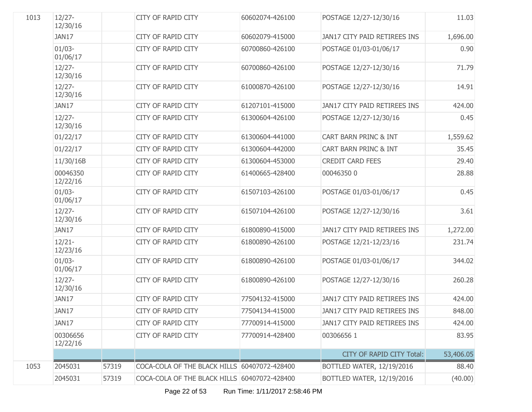| 1013 | $12/27 -$<br>12/30/16 |       | <b>CITY OF RAPID CITY</b>                    | 60602074-426100 | POSTAGE 12/27-12/30/16           | 11.03     |
|------|-----------------------|-------|----------------------------------------------|-----------------|----------------------------------|-----------|
|      | JAN17                 |       | <b>CITY OF RAPID CITY</b>                    | 60602079-415000 | JAN17 CITY PAID RETIREES INS     | 1,696.00  |
|      | $01/03 -$<br>01/06/17 |       | CITY OF RAPID CITY                           | 60700860-426100 | POSTAGE 01/03-01/06/17           | 0.90      |
|      | $12/27 -$<br>12/30/16 |       | <b>CITY OF RAPID CITY</b>                    | 60700860-426100 | POSTAGE 12/27-12/30/16           | 71.79     |
|      | $12/27 -$<br>12/30/16 |       | <b>CITY OF RAPID CITY</b>                    | 61000870-426100 | POSTAGE 12/27-12/30/16           | 14.91     |
|      | JAN17                 |       | <b>CITY OF RAPID CITY</b>                    | 61207101-415000 | JAN17 CITY PAID RETIREES INS     | 424.00    |
|      | $12/27 -$<br>12/30/16 |       | <b>CITY OF RAPID CITY</b>                    | 61300604-426100 | POSTAGE 12/27-12/30/16           | 0.45      |
|      | 01/22/17              |       | CITY OF RAPID CITY                           | 61300604-441000 | CART BARN PRINC & INT            | 1,559.62  |
|      | 01/22/17              |       | <b>CITY OF RAPID CITY</b>                    | 61300604-442000 | CART BARN PRINC & INT            | 35.45     |
|      | 11/30/16B             |       | <b>CITY OF RAPID CITY</b>                    | 61300604-453000 | <b>CREDIT CARD FEES</b>          | 29.40     |
|      | 00046350<br>12/22/16  |       | <b>CITY OF RAPID CITY</b>                    | 61400665-428400 | 000463500                        | 28.88     |
|      | $01/03 -$<br>01/06/17 |       | CITY OF RAPID CITY                           | 61507103-426100 | POSTAGE 01/03-01/06/17           | 0.45      |
|      | $12/27 -$<br>12/30/16 |       | <b>CITY OF RAPID CITY</b>                    | 61507104-426100 | POSTAGE 12/27-12/30/16           | 3.61      |
|      | JAN17                 |       | <b>CITY OF RAPID CITY</b>                    | 61800890-415000 | JAN17 CITY PAID RETIREES INS     | 1,272.00  |
|      | $12/21 -$<br>12/23/16 |       | CITY OF RAPID CITY                           | 61800890-426100 | POSTAGE 12/21-12/23/16           | 231.74    |
|      | $01/03 -$<br>01/06/17 |       | <b>CITY OF RAPID CITY</b>                    | 61800890-426100 | POSTAGE 01/03-01/06/17           | 344.02    |
|      | $12/27 -$<br>12/30/16 |       | <b>CITY OF RAPID CITY</b>                    | 61800890-426100 | POSTAGE 12/27-12/30/16           | 260.28    |
|      | JAN17                 |       | <b>CITY OF RAPID CITY</b>                    | 77504132-415000 | JAN17 CITY PAID RETIREES INS     | 424.00    |
|      | JAN17                 |       | <b>CITY OF RAPID CITY</b>                    | 77504134-415000 | JAN17 CITY PAID RETIREES INS     | 848.00    |
|      | JAN17                 |       | <b>CITY OF RAPID CITY</b>                    | 77700914-415000 | JAN17 CITY PAID RETIREES INS     | 424.00    |
|      | 00306656<br>12/22/16  |       | <b>CITY OF RAPID CITY</b>                    | 77700914-428400 | 003066561                        | 83.95     |
|      |                       |       |                                              |                 | <b>CITY OF RAPID CITY Total:</b> | 53,406.05 |
| 1053 | 2045031               | 57319 | COCA-COLA OF THE BLACK HILLS 60407072-428400 |                 | <b>BOTTLED WATER, 12/19/2016</b> | 88.40     |
|      | 2045031               | 57319 | COCA-COLA OF THE BLACK HILLS 60407072-428400 |                 | BOTTLED WATER, 12/19/2016        | (40.00)   |

Page 22 of 53 Run Time: 1/11/2017 2:58:46 PM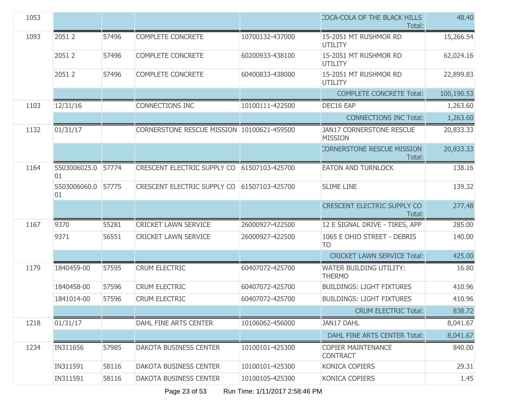| 1053 |                          |       |                                            |                 | COCA-COLA OF THE BLACK HILLS<br>Total:            | 48.40      |
|------|--------------------------|-------|--------------------------------------------|-----------------|---------------------------------------------------|------------|
| 1093 | 2051 2                   | 57496 | COMPLETE CONCRETE                          | 10700132-437000 | 15-2051 MT RUSHMOR RD<br>UTILITY                  | 15,266.54  |
|      | 2051 2                   | 57496 | COMPLETE CONCRETE                          | 60200933-438100 | 15-2051 MT RUSHMOR RD<br>UTILITY                  | 62,024.16  |
|      | 2051 2                   | 57496 | COMPLETE CONCRETE                          | 60400833-438000 | 15-2051 MT RUSHMOR RD<br><b>UTILITY</b>           | 22,899.83  |
|      |                          |       |                                            |                 | <b>COMPLETE CONCRETE Total:</b>                   | 100,190.53 |
| 1103 | 12/31/16                 |       | CONNECTIONS INC                            | 10100111-422500 | DEC16 EAP                                         | 1,263.60   |
|      |                          |       |                                            |                 | <b>CONNECTIONS INC Total:</b>                     | 1,263.60   |
| 1132 | 01/31/17                 |       | CORNERSTONE RESCUE MISSION 10100621-459500 |                 | <b>JAN17 CORNERSTONE RESCUE</b><br><b>MISSION</b> | 20,833.33  |
|      |                          |       |                                            |                 | <b>CORNERSTONE RESCUE MISSION</b><br>Total:       | 20,833.33  |
| 1164 | S503006025.0 57774<br>01 |       | CRESCENT ELECTRIC SUPPLY CO                | 61507103-425700 | <b>EATON AND TURNLOCK</b>                         | 138.16     |
|      | S503006060.0<br>01       | 57775 | CRESCENT ELECTRIC SUPPLY CO                | 61507103-425700 | <b>SLIME LINE</b>                                 | 139.32     |
|      |                          |       |                                            |                 | <b>CRESCENT ELECTRIC SUPPLY CO</b><br>Total:      | 277.48     |
| 1167 | 9370                     | 55281 | <b>CRICKET LAWN SERVICE</b>                | 26000927-422500 | 12 E SIGNAL DRIVE - TIRES, APP                    | 285.00     |
|      | 9371                     | 56551 | <b>CRICKET LAWN SERVICE</b>                | 26000927-422500 | 1065 E OHIO STREET - DEBRIS<br><b>TO</b>          | 140.00     |
|      |                          |       |                                            |                 | <b>CRICKET LAWN SERVICE Total:</b>                | 425.00     |
| 1179 | 1840459-00               | 57595 | <b>CRUM ELECTRIC</b>                       | 60407072-425700 | <b>WATER BUILDING UTILITY:</b><br><b>THERMO</b>   | 16.80      |
|      | 1840458-00               | 57596 | <b>CRUM ELECTRIC</b>                       | 60407072-425700 | <b>BUILDINGS: LIGHT FIXTURES</b>                  | 410.96     |
|      | 1841014-00               | 57596 | <b>CRUM ELECTRIC</b>                       | 60407072-425700 | <b>BUILDINGS: LIGHT FIXTURES</b>                  | 410.96     |
|      |                          |       |                                            |                 | <b>CRUM ELECTRIC Total:</b>                       | 838.72     |
| 1218 | 01/31/17                 |       | DAHL FINE ARTS CENTER                      | 10106062-456000 | <b>JAN17 DAHL</b>                                 | 8,041.67   |
|      |                          |       |                                            |                 | DAHL FINE ARTS CENTER Total:                      | 8,041.67   |
| 1234 | IN311656                 | 57985 | <b>DAKOTA BUSINESS CENTER</b>              | 10100101-425300 | <b>COPIER MAINTENANCE</b><br><b>CONTRACT</b>      | 840.00     |
|      | IN311591                 | 58116 | <b>DAKOTA BUSINESS CENTER</b>              | 10100101-425300 | KONICA COPIERS                                    | 29.31      |
|      | IN311591                 | 58116 | DAKOTA BUSINESS CENTER                     | 10100105-425300 | KONICA COPIERS                                    | 1.45       |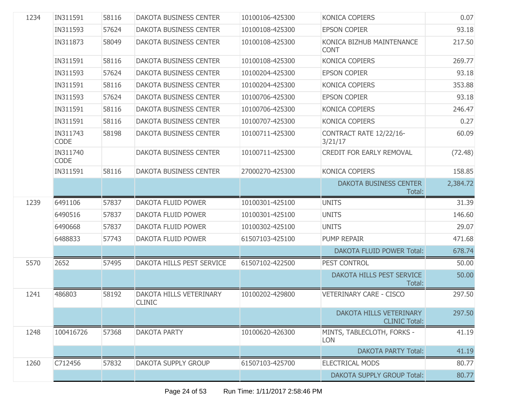| 1234 | IN311591                | 58116 | <b>DAKOTA BUSINESS CENTER</b>            | 10100106-425300 | KONICA COPIERS                                  | 0.07     |
|------|-------------------------|-------|------------------------------------------|-----------------|-------------------------------------------------|----------|
|      | IN311593                | 57624 | <b>DAKOTA BUSINESS CENTER</b>            | 10100108-425300 | <b>EPSON COPIER</b>                             | 93.18    |
|      | IN311873                | 58049 | <b>DAKOTA BUSINESS CENTER</b>            | 10100108-425300 | KONICA BIZHUB MAINTENANCE<br><b>CONT</b>        | 217.50   |
|      | IN311591                | 58116 | <b>DAKOTA BUSINESS CENTER</b>            | 10100108-425300 | <b>KONICA COPIERS</b>                           | 269.77   |
|      | IN311593                | 57624 | <b>DAKOTA BUSINESS CENTER</b>            | 10100204-425300 | <b>EPSON COPIER</b>                             | 93.18    |
|      | IN311591                | 58116 | <b>DAKOTA BUSINESS CENTER</b>            | 10100204-425300 | <b>KONICA COPIERS</b>                           | 353.88   |
|      | IN311593                | 57624 | <b>DAKOTA BUSINESS CENTER</b>            | 10100706-425300 | <b>EPSON COPIER</b>                             | 93.18    |
|      | IN311591                | 58116 | <b>DAKOTA BUSINESS CENTER</b>            | 10100706-425300 | <b>KONICA COPIERS</b>                           | 246.47   |
|      | IN311591                | 58116 | <b>DAKOTA BUSINESS CENTER</b>            | 10100707-425300 | KONICA COPIERS                                  | 0.27     |
|      | IN311743<br><b>CODE</b> | 58198 | <b>DAKOTA BUSINESS CENTER</b>            | 10100711-425300 | CONTRACT RATE 12/22/16-<br>3/21/17              | 60.09    |
|      | IN311740<br><b>CODE</b> |       | DAKOTA BUSINESS CENTER                   | 10100711-425300 | <b>CREDIT FOR EARLY REMOVAL</b>                 | (72.48)  |
|      | IN311591                | 58116 | <b>DAKOTA BUSINESS CENTER</b>            | 27000270-425300 | KONICA COPIERS                                  | 158.85   |
|      |                         |       |                                          |                 | <b>DAKOTA BUSINESS CENTER</b><br>Total:         | 2,384.72 |
| 1239 | 6491106                 | 57837 | DAKOTA FLUID POWER                       | 10100301-425100 | <b>UNITS</b>                                    | 31.39    |
|      |                         |       |                                          |                 |                                                 |          |
|      | 6490516                 | 57837 | DAKOTA FLUID POWER                       | 10100301-425100 | <b>UNITS</b>                                    | 146.60   |
|      | 6490668                 | 57837 | DAKOTA FLUID POWER                       | 10100302-425100 | <b>UNITS</b>                                    | 29.07    |
|      | 6488833                 | 57743 | DAKOTA FLUID POWER                       | 61507103-425100 | PUMP REPAIR                                     | 471.68   |
|      |                         |       |                                          |                 | <b>DAKOTA FLUID POWER Total:</b>                | 678.74   |
| 5570 | 2652                    | 57495 | DAKOTA HILLS PEST SERVICE                | 61507102-422500 | PEST CONTROL                                    | 50.00    |
|      |                         |       |                                          |                 | DAKOTA HILLS PEST SERVICE<br>Total:             | 50.00    |
| 1241 | 486803                  | 58192 | DAKOTA HILLS VETERINARY<br><b>CLINIC</b> | 10100202-429800 | <b>VETERINARY CARE - CISCO</b>                  | 297.50   |
|      |                         |       |                                          |                 | DAKOTA HILLS VETERINARY<br><b>CLINIC Total:</b> | 297.50   |
| 1248 | 100416726               | 57368 | <b>DAKOTA PARTY</b>                      | 10100620-426300 | MINTS, TABLECLOTH, FORKS -<br><b>LON</b>        | 41.19    |
|      |                         |       |                                          |                 | <b>DAKOTA PARTY Total:</b>                      | 41.19    |
| 1260 | C712456                 | 57832 | <b>DAKOTA SUPPLY GROUP</b>               | 61507103-425700 | <b>ELECTRICAL MODS</b>                          | 80.77    |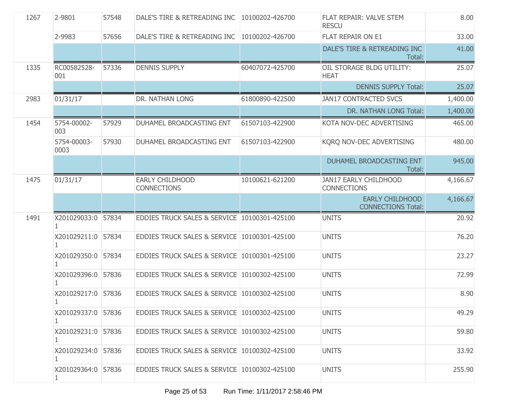| 1267 | 2-9801                  | 57548 | DALE'S TIRE & RETREADING INC   10100202-426700 |                 | FLAT REPAIR: VALVE STEM<br><b>RESCU</b>             | 8.00     |
|------|-------------------------|-------|------------------------------------------------|-----------------|-----------------------------------------------------|----------|
|      | 2-9983                  | 57656 | DALE'S TIRE & RETREADING INC   10100202-426700 |                 | FLAT REPAIR ON E1                                   | 33.00    |
|      |                         |       |                                                |                 | DALE'S TIRE & RETREADING INC<br>Total:              | 41.00    |
| 1335 | RC00582528-<br>001      | 57336 | <b>DENNIS SUPPLY</b>                           | 60407072-425700 | OIL STORAGE BLDG UTILITY:<br><b>HEAT</b>            | 25.07    |
|      |                         |       |                                                |                 | <b>DENNIS SUPPLY Total:</b>                         | 25.07    |
| 2983 | 01/31/17                |       | DR. NATHAN LONG                                | 61800890-422500 | <b>JAN17 CONTRACTED SVCS</b>                        | 1,400.00 |
|      |                         |       |                                                |                 | DR. NATHAN LONG Total:                              | 1,400.00 |
| 1454 | 5754-00002-<br>003      | 57929 | DUHAMEL BROADCASTING ENT                       | 61507103-422900 | KOTA NOV-DEC ADVERTISING                            | 465.00   |
|      | 5754-00003-<br>0003     | 57930 | DUHAMEL BROADCASTING ENT                       | 61507103-422900 | KORQ NOV-DEC ADVERTISING                            | 480.00   |
|      |                         |       |                                                |                 | DUHAMEL BROADCASTING ENT<br>Total:                  | 945.00   |
| 1475 | 01/31/17                |       | <b>EARLY CHILDHOOD</b><br><b>CONNECTIONS</b>   | 10100621-621200 | <b>JAN17 EARLY CHILDHOOD</b><br><b>CONNECTIONS</b>  | 4,166.67 |
|      |                         |       |                                                |                 | <b>EARLY CHILDHOOD</b><br><b>CONNECTIONS Total:</b> | 4,166.67 |
| 1491 | X201029033:0 57834      |       | EDDIES TRUCK SALES & SERVICE 10100301-425100   |                 | <b>UNITS</b>                                        | 20.92    |
|      | X201029211:0 57834      |       | EDDIES TRUCK SALES & SERVICE 10100301-425100   |                 | <b>UNITS</b>                                        | 76.20    |
|      | X201029350:0 57834      |       | EDDIES TRUCK SALES & SERVICE 10100301-425100   |                 | <b>UNITS</b>                                        | 23.27    |
|      | X201029396:0 57836      |       | EDDIES TRUCK SALES & SERVICE 10100302-425100   |                 | <b>UNITS</b>                                        | 72.99    |
|      | X201029217:0 57836      |       | EDDIES TRUCK SALES & SERVICE 10100302-425100   |                 | <b>UNITS</b>                                        | 8.90     |
|      | X201029337:0 57836      |       | EDDIES TRUCK SALES & SERVICE 10100302-425100   |                 | <b>UNITS</b>                                        | 49.29    |
|      | X201029231:0 57836      |       | EDDIES TRUCK SALES & SERVICE 10100302-425100   |                 | <b>UNITS</b>                                        | 59.80    |
|      | X201029234:0 57836<br>1 |       | EDDIES TRUCK SALES & SERVICE 10100302-425100   |                 | <b>UNITS</b>                                        | 33.92    |
|      | X201029364:0 57836      |       | EDDIES TRUCK SALES & SERVICE 10100302-425100   |                 | <b>UNITS</b>                                        | 255.90   |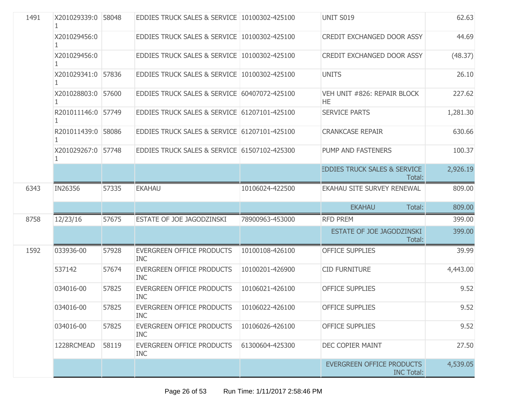| 1491 | X201029339:0 58048 |       | EDDIES TRUCK SALES & SERVICE 10100302-425100   |                 | UNIT S019                                             | 62.63    |
|------|--------------------|-------|------------------------------------------------|-----------------|-------------------------------------------------------|----------|
|      | X201029456:0       |       | EDDIES TRUCK SALES & SERVICE 10100302-425100   |                 | CREDIT EXCHANGED DOOR ASSY                            | 44.69    |
|      | X201029456:0       |       | EDDIES TRUCK SALES & SERVICE 10100302-425100   |                 | <b>CREDIT EXCHANGED DOOR ASSY</b>                     | (48.37)  |
|      | X201029341:0 57836 |       | EDDIES TRUCK SALES & SERVICE 10100302-425100   |                 | <b>UNITS</b>                                          | 26.10    |
|      | X201028803:0 57600 |       | EDDIES TRUCK SALES & SERVICE 60407072-425100   |                 | VEH UNIT #826: REPAIR BLOCK<br>HE.                    | 227.62   |
|      | R201011146:0 57749 |       | EDDIES TRUCK SALES & SERVICE 61207101-425100   |                 | <b>SERVICE PARTS</b>                                  | 1,281.30 |
|      | R201011439:0 58086 |       | EDDIES TRUCK SALES & SERVICE 61207101-425100   |                 | <b>CRANKCASE REPAIR</b>                               | 630.66   |
|      | X201029267:0 57748 |       | EDDIES TRUCK SALES & SERVICE 61507102-425300   |                 | PUMP AND FASTENERS                                    | 100.37   |
|      |                    |       |                                                |                 | <b>EDDIES TRUCK SALES &amp; SERVICE</b><br>Total:     | 2,926.19 |
| 6343 | IN26356            | 57335 | <b>EKAHAU</b>                                  | 10106024-422500 | <b>EKAHAU SITE SURVEY RENEWAL</b>                     | 809.00   |
|      |                    |       |                                                |                 | <b>EKAHAU</b><br>Total:                               | 809.00   |
| 8758 | 12/23/16           | 57675 | ESTATE OF JOE JAGODZINSKI                      | 78900963-453000 | <b>RFD PREM</b>                                       | 399.00   |
|      |                    |       |                                                |                 | <b>ESTATE OF JOE JAGODZINSKI</b><br>Total:            | 399.00   |
| 1592 | 033936-00          | 57928 | <b>EVERGREEN OFFICE PRODUCTS</b><br><b>INC</b> | 10100108-426100 | <b>OFFICE SUPPLIES</b>                                | 39.99    |
|      | 537142             | 57674 | <b>EVERGREEN OFFICE PRODUCTS</b><br><b>INC</b> | 10100201-426900 | <b>CID FURNITURE</b>                                  | 4,443.00 |
|      | 034016-00          | 57825 | EVERGREEN OFFICE PRODUCTS<br><b>INC</b>        | 10106021-426100 | <b>OFFICE SUPPLIES</b>                                | 9.52     |
|      | 034016-00          | 57825 | <b>EVERGREEN OFFICE PRODUCTS</b><br>INC        | 10106022-426100 | <b>OFFICE SUPPLIES</b>                                | 9.52     |
|      | 034016-00          | 57825 | <b>EVERGREEN OFFICE PRODUCTS</b><br><b>INC</b> | 10106026-426100 | <b>OFFICE SUPPLIES</b>                                | 9.52     |
|      | 1228RCMEAD         | 58119 | <b>EVERGREEN OFFICE PRODUCTS</b><br><b>INC</b> | 61300604-425300 | <b>DEC COPIER MAINT</b>                               | 27.50    |
|      |                    |       |                                                |                 | <b>EVERGREEN OFFICE PRODUCTS</b><br><b>INC Total:</b> | 4,539.05 |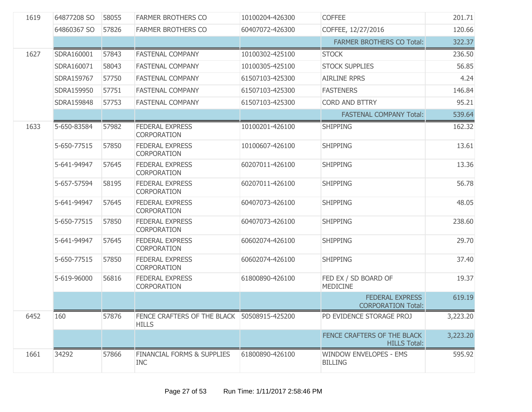| 1619 | 64877208 SO | 58055 | <b>FARMER BROTHERS CO</b>                                     | 10100204-426300 | <b>COFFEE</b>                                       | 201.71   |
|------|-------------|-------|---------------------------------------------------------------|-----------------|-----------------------------------------------------|----------|
|      | 64860367 SO | 57826 | <b>FARMER BROTHERS CO</b>                                     | 60407072-426300 | COFFEE, 12/27/2016                                  | 120.66   |
|      |             |       |                                                               |                 | <b>FARMER BROTHERS CO Total:</b>                    | 322.37   |
| 1627 | SDRA160001  | 57843 | <b>FASTENAL COMPANY</b>                                       | 10100302-425100 | <b>STOCK</b>                                        | 236.50   |
|      | SDRA160071  | 58043 | <b>FASTENAL COMPANY</b>                                       | 10100305-425100 | <b>STOCK SUPPLIES</b>                               | 56.85    |
|      | SDRA159767  | 57750 | <b>FASTENAL COMPANY</b>                                       | 61507103-425300 | <b>AIRLINE RPRS</b>                                 | 4.24     |
|      | SDRA159950  | 57751 | <b>FASTENAL COMPANY</b>                                       | 61507103-425300 | <b>FASTENERS</b>                                    | 146.84   |
|      | SDRA159848  | 57753 | <b>FASTENAL COMPANY</b>                                       | 61507103-425300 | <b>CORD AND BTTRY</b>                               | 95.21    |
|      |             |       |                                                               |                 | <b>FASTENAL COMPANY Total:</b>                      | 539.64   |
| 1633 | 5-650-83584 | 57982 | <b>FEDERAL EXPRESS</b><br><b>CORPORATION</b>                  | 10100201-426100 | <b>SHIPPING</b>                                     | 162.32   |
|      | 5-650-77515 | 57850 | <b>FEDERAL EXPRESS</b><br>CORPORATION                         | 10100607-426100 | <b>SHIPPING</b>                                     | 13.61    |
|      | 5-641-94947 | 57645 | <b>FEDERAL EXPRESS</b><br><b>CORPORATION</b>                  | 60207011-426100 | <b>SHIPPING</b>                                     | 13.36    |
|      | 5-657-57594 | 58195 | <b>FEDERAL EXPRESS</b><br><b>CORPORATION</b>                  | 60207011-426100 | <b>SHIPPING</b>                                     | 56.78    |
|      | 5-641-94947 | 57645 | <b>FEDERAL EXPRESS</b><br><b>CORPORATION</b>                  | 60407073-426100 | <b>SHIPPING</b>                                     | 48.05    |
|      | 5-650-77515 | 57850 | <b>FEDERAL EXPRESS</b><br>CORPORATION                         | 60407073-426100 | <b>SHIPPING</b>                                     | 238.60   |
|      | 5-641-94947 | 57645 | <b>FEDERAL EXPRESS</b><br>CORPORATION                         | 60602074-426100 | <b>SHIPPING</b>                                     | 29.70    |
|      | 5-650-77515 | 57850 | <b>FEDERAL EXPRESS</b><br><b>CORPORATION</b>                  | 60602074-426100 | <b>SHIPPING</b>                                     | 37.40    |
|      | 5-619-96000 | 56816 | <b>FEDERAL EXPRESS</b><br>CORPORATION                         | 61800890-426100 | FED EX / SD BOARD OF<br>MEDICINE                    | 19.37    |
|      |             |       |                                                               |                 | <b>FEDERAL EXPRESS</b><br><b>CORPORATION Total:</b> | 619.19   |
| 6452 | 160         | 57876 | FENCE CRAFTERS OF THE BLACK   50508915-425200<br><b>HILLS</b> |                 | PD EVIDENCE STORAGE PROJ                            | 3,223.20 |
|      |             |       |                                                               |                 | FENCE CRAFTERS OF THE BLACK<br><b>HILLS Total:</b>  | 3,223.20 |
| 1661 | 34292       | 57866 | <b>FINANCIAL FORMS &amp; SUPPLIES</b><br><b>INC</b>           | 61800890-426100 | <b>WINDOW ENVELOPES - EMS</b><br><b>BILLING</b>     | 595.92   |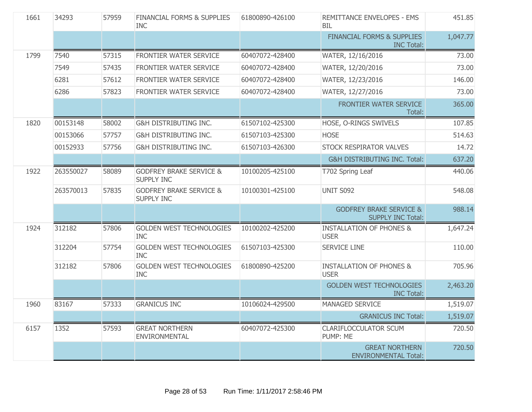| 1661 | 34293     | 57959 | <b>FINANCIAL FORMS &amp; SUPPLIES</b><br><b>INC</b>     | 61800890-426100 | REMITTANCE ENVELOPES - EMS<br><b>BIL</b>                       | 451.85   |
|------|-----------|-------|---------------------------------------------------------|-----------------|----------------------------------------------------------------|----------|
|      |           |       |                                                         |                 | <b>FINANCIAL FORMS &amp; SUPPLIES</b><br><b>INC Total:</b>     | 1,047.77 |
| 1799 | 7540      | 57315 | FRONTIER WATER SERVICE                                  | 60407072-428400 | WATER, 12/16/2016                                              | 73.00    |
|      | 7549      | 57435 | FRONTIER WATER SERVICE                                  | 60407072-428400 | WATER, 12/20/2016                                              | 73.00    |
|      | 6281      | 57612 | FRONTIER WATER SERVICE                                  | 60407072-428400 | WATER, 12/23/2016                                              | 146.00   |
|      | 6286      | 57823 | FRONTIER WATER SERVICE                                  | 60407072-428400 | WATER, 12/27/2016                                              | 73.00    |
|      |           |       |                                                         |                 | FRONTIER WATER SERVICE<br>Total:                               | 365.00   |
| 1820 | 00153148  | 58002 | <b>G&amp;H DISTRIBUTING INC.</b>                        | 61507102-425300 | HOSE, O-RINGS SWIVELS                                          | 107.85   |
|      | 00153066  | 57757 | G&H DISTRIBUTING INC.                                   | 61507103-425300 | <b>HOSE</b>                                                    | 514.63   |
|      | 00152933  | 57756 | <b>G&amp;H DISTRIBUTING INC.</b>                        | 61507103-426300 | <b>STOCK RESPIRATOR VALVES</b>                                 | 14.72    |
|      |           |       |                                                         |                 | G&H DISTRIBUTING INC. Total:                                   | 637.20   |
| 1922 | 263550027 | 58089 | <b>GODFREY BRAKE SERVICE &amp;</b><br><b>SUPPLY INC</b> | 10100205-425100 | T702 Spring Leaf                                               | 440.06   |
|      | 263570013 | 57835 | <b>GODFREY BRAKE SERVICE &amp;</b><br><b>SUPPLY INC</b> | 10100301-425100 | <b>UNIT S092</b>                                               | 548.08   |
|      |           |       |                                                         |                 | <b>GODFREY BRAKE SERVICE &amp;</b><br><b>SUPPLY INC Total:</b> | 988.14   |
| 1924 | 312182    | 57806 | <b>GOLDEN WEST TECHNOLOGIES</b><br><b>INC</b>           | 10100202-425200 | <b>INSTALLATION OF PHONES &amp;</b><br><b>USER</b>             | 1,647.24 |
|      | 312204    | 57754 | <b>GOLDEN WEST TECHNOLOGIES</b><br><b>INC</b>           | 61507103-425300 | <b>SERVICE LINE</b>                                            | 110.00   |
|      | 312182    | 57806 | <b>GOLDEN WEST TECHNOLOGIES</b><br><b>INC</b>           | 61800890-425200 | <b>INSTALLATION OF PHONES &amp;</b><br><b>USER</b>             | 705.96   |
|      |           |       |                                                         |                 | <b>GOLDEN WEST TECHNOLOGIES</b><br><b>INC Total:</b>           | 2,463.20 |
| 1960 | 83167     | 57333 | <b>GRANICUS INC</b>                                     | 10106024-429500 | <b>MANAGED SERVICE</b>                                         | 1,519.07 |
|      |           |       |                                                         |                 | <b>GRANICUS INC Total:</b>                                     | 1,519.07 |
| 6157 | 1352      | 57593 | <b>GREAT NORTHERN</b><br><b>ENVIRONMENTAL</b>           | 60407072-425300 | <b>CLARIFLOCCULATOR SCUM</b><br>PUMP: ME                       | 720.50   |
|      |           |       |                                                         |                 | <b>GREAT NORTHERN</b><br><b>ENVIRONMENTAL Total:</b>           | 720.50   |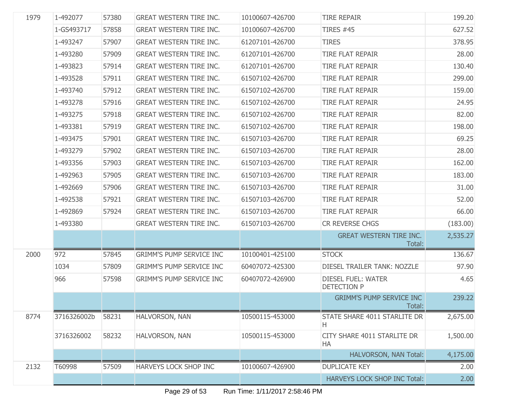| 1979 | 1-492077    | 57380 | <b>GREAT WESTERN TIRE INC.</b>  | 10100607-426700 | <b>TIRE REPAIR</b>                              | 199.20   |
|------|-------------|-------|---------------------------------|-----------------|-------------------------------------------------|----------|
|      | 1-GS493717  | 57858 | <b>GREAT WESTERN TIRE INC.</b>  | 10100607-426700 | <b>TIRES #45</b>                                | 627.52   |
|      | 1-493247    | 57907 | <b>GREAT WESTERN TIRE INC.</b>  | 61207101-426700 | <b>TIRES</b>                                    | 378.95   |
|      | 1-493280    | 57909 | <b>GREAT WESTERN TIRE INC.</b>  | 61207101-426700 | <b>TIRE FLAT REPAIR</b>                         | 28.00    |
|      | 1-493823    | 57914 | <b>GREAT WESTERN TIRE INC.</b>  | 61207101-426700 | <b>TIRE FLAT REPAIR</b>                         | 130.40   |
|      | 1-493528    | 57911 | <b>GREAT WESTERN TIRE INC.</b>  | 61507102-426700 | <b>TIRE FLAT REPAIR</b>                         | 299.00   |
|      | 1-493740    | 57912 | <b>GREAT WESTERN TIRE INC.</b>  | 61507102-426700 | <b>TIRE FLAT REPAIR</b>                         | 159.00   |
|      | 1-493278    | 57916 | <b>GREAT WESTERN TIRE INC.</b>  | 61507102-426700 | <b>TIRE FLAT REPAIR</b>                         | 24.95    |
|      | 1-493275    | 57918 | <b>GREAT WESTERN TIRE INC.</b>  | 61507102-426700 | <b>TIRE FLAT REPAIR</b>                         | 82.00    |
|      | 1-493381    | 57919 | <b>GREAT WESTERN TIRE INC.</b>  | 61507102-426700 | <b>TIRE FLAT REPAIR</b>                         | 198.00   |
|      | 1-493475    | 57901 | <b>GREAT WESTERN TIRE INC.</b>  | 61507103-426700 | <b>TIRE FLAT REPAIR</b>                         | 69.25    |
|      | 1-493279    | 57902 | <b>GREAT WESTERN TIRE INC.</b>  | 61507103-426700 | <b>TIRE FLAT REPAIR</b>                         | 28.00    |
|      | 1-493356    | 57903 | <b>GREAT WESTERN TIRE INC.</b>  | 61507103-426700 | <b>TIRE FLAT REPAIR</b>                         | 162.00   |
|      | 1-492963    | 57905 | <b>GREAT WESTERN TIRE INC.</b>  | 61507103-426700 | <b>TIRE FLAT REPAIR</b>                         | 183.00   |
|      | 1-492669    | 57906 | <b>GREAT WESTERN TIRE INC.</b>  | 61507103-426700 | <b>TIRE FLAT REPAIR</b>                         | 31.00    |
|      | 1-492538    | 57921 | <b>GREAT WESTERN TIRE INC.</b>  | 61507103-426700 | <b>TIRE FLAT REPAIR</b>                         | 52.00    |
|      | 1-492869    | 57924 | <b>GREAT WESTERN TIRE INC.</b>  | 61507103-426700 | <b>TIRE FLAT REPAIR</b>                         | 66.00    |
|      | 1-493380    |       | <b>GREAT WESTERN TIRE INC.</b>  | 61507103-426700 | CR REVERSE CHGS                                 | (183.00) |
|      |             |       |                                 |                 | <b>GREAT WESTERN TIRE INC.</b><br>Total:        | 2,535.27 |
| 2000 | 972         | 57845 | <b>GRIMM'S PUMP SERVICE INC</b> | 10100401-425100 | <b>STOCK</b>                                    | 136.67   |
|      | 1034        | 57809 | <b>GRIMM'S PUMP SERVICE INC</b> | 60407072-425300 | DIESEL TRAILER TANK: NOZZLE                     | 97.90    |
|      | 966         | 57598 | <b>GRIMM'S PUMP SERVICE INC</b> | 60407072-426900 | <b>DIESEL FUEL: WATER</b><br><b>DETECTION P</b> | 4.65     |
|      |             |       |                                 |                 | <b>GRIMM'S PUMP SERVICE INC</b><br>Total:       | 239.22   |
| 8774 | 3716326002b | 58231 | HALVORSON, NAN                  | 10500115-453000 | STATE SHARE 4011 STARLITE DR<br>H               | 2,675.00 |
|      | 3716326002  | 58232 | HALVORSON, NAN                  | 10500115-453000 | CITY SHARE 4011 STARLITE DR<br>HA               | 1,500.00 |
|      |             |       |                                 |                 | HALVORSON, NAN Total:                           | 4,175.00 |
| 2132 | T60998      | 57509 | HARVEYS LOCK SHOP INC           | 10100607-426900 | <b>DUPLICATE KEY</b>                            | 2.00     |
|      |             |       |                                 |                 | HARVEYS LOCK SHOP INC Total:                    | 2.00     |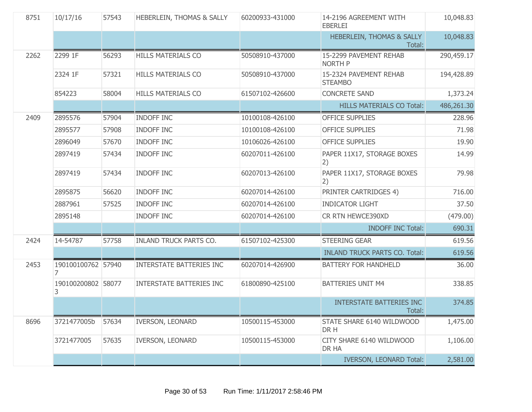| 8751 | 10/17/16                | 57543 | <b>HEBERLEIN, THOMAS &amp; SALLY</b> | 60200933-431000 | 14-2196 AGREEMENT WITH<br><b>EBERLEI</b>       | 10,048.83  |
|------|-------------------------|-------|--------------------------------------|-----------------|------------------------------------------------|------------|
|      |                         |       |                                      |                 | <b>HEBERLEIN, THOMAS &amp; SALLY</b><br>Total: | 10,048.83  |
| 2262 | 2299 1F                 | 56293 | <b>HILLS MATERIALS CO</b>            | 50508910-437000 | 15-2299 PAVEMENT REHAB<br><b>NORTH P</b>       | 290,459.17 |
|      | 2324 1F                 | 57321 | <b>HILLS MATERIALS CO</b>            | 50508910-437000 | 15-2324 PAVEMENT REHAB<br><b>STEAMBO</b>       | 194,428.89 |
|      | 854223                  | 58004 | <b>HILLS MATERIALS CO</b>            | 61507102-426600 | <b>CONCRETE SAND</b>                           | 1,373.24   |
|      |                         |       |                                      |                 | <b>HILLS MATERIALS CO Total:</b>               | 486,261.30 |
| 2409 | 2895576                 | 57904 | <b>INDOFF INC</b>                    | 10100108-426100 | <b>OFFICE SUPPLIES</b>                         | 228.96     |
|      | 2895577                 | 57908 | <b>INDOFF INC</b>                    | 10100108-426100 | <b>OFFICE SUPPLIES</b>                         | 71.98      |
|      | 2896049                 | 57670 | <b>INDOFF INC</b>                    | 10106026-426100 | <b>OFFICE SUPPLIES</b>                         | 19.90      |
|      | 2897419                 | 57434 | <b>INDOFF INC</b>                    | 60207011-426100 | PAPER 11X17, STORAGE BOXES<br> 2)              | 14.99      |
|      | 2897419                 | 57434 | <b>INDOFF INC</b>                    | 60207013-426100 | PAPER 11X17, STORAGE BOXES<br> 2)              | 79.98      |
|      | 2895875                 | 56620 | <b>INDOFF INC</b>                    | 60207014-426100 | PRINTER CARTRIDGES 4)                          | 716.00     |
|      | 2887961                 | 57525 | <b>INDOFF INC</b>                    | 60207014-426100 | <b>INDICATOR LIGHT</b>                         | 37.50      |
|      | 2895148                 |       | <b>INDOFF INC</b>                    | 60207014-426100 | CR RTN HEWCE390XD                              | (479.00)   |
|      |                         |       |                                      |                 | <b>INDOFF INC Total:</b>                       | 690.31     |
| 2424 | 14-54787                | 57758 | <b>INLAND TRUCK PARTS CO.</b>        | 61507102-425300 | <b>STEERING GEAR</b>                           | 619.56     |
|      |                         |       |                                      |                 | <b>INLAND TRUCK PARTS CO. Total:</b>           | 619.56     |
| 2453 | 190100100762 57940<br>7 |       | <b>INTERSTATE BATTERIES INC</b>      | 60207014-426900 | <b>BATTERY FOR HANDHELD</b>                    | 36.00      |
|      | 190100200802 58077<br>3 |       | <b>INTERSTATE BATTERIES INC</b>      | 61800890-425100 | <b>BATTERIES UNIT M4</b>                       | 338.85     |
|      |                         |       |                                      |                 | INTERSTATE BATTERIES INC<br>Total:             | 374.85     |
| 8696 | 3721477005b             | 57634 | <b>IVERSON, LEONARD</b>              | 10500115-453000 | STATE SHARE 6140 WILDWOOD<br>DR H              | 1,475.00   |
|      | 3721477005              | 57635 | <b>IVERSON, LEONARD</b>              | 10500115-453000 | CITY SHARE 6140 WILDWOOD<br>DR HA              | 1,106.00   |
|      |                         |       |                                      |                 | <b>IVERSON, LEONARD Total:</b>                 | 2,581.00   |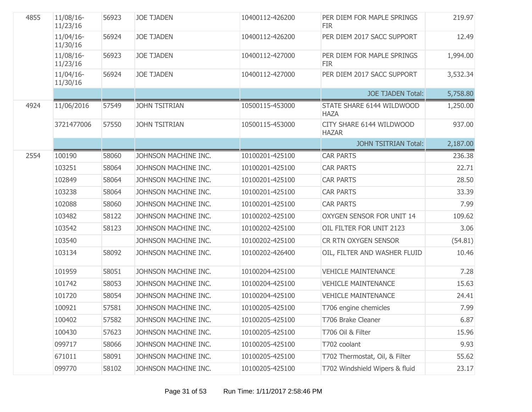| 4855 | $11/08/16$ -<br>11/23/16 | 56923 | <b>JOE TJADEN</b>    | 10400112-426200 | PER DIEM FOR MAPLE SPRINGS<br><b>FIR</b> | 219.97   |
|------|--------------------------|-------|----------------------|-----------------|------------------------------------------|----------|
|      | $11/04/16$ -<br>11/30/16 | 56924 | <b>JOE TJADEN</b>    | 10400112-426200 | PER DIEM 2017 SACC SUPPORT               | 12.49    |
|      | $11/08/16$ -<br>11/23/16 | 56923 | <b>JOE TJADEN</b>    | 10400112-427000 | PER DIEM FOR MAPLE SPRINGS<br><b>FIR</b> | 1,994.00 |
|      | $11/04/16$ -<br>11/30/16 | 56924 | <b>JOE TJADEN</b>    | 10400112-427000 | PER DIEM 2017 SACC SUPPORT               | 3,532.34 |
|      |                          |       |                      |                 | <b>JOE TJADEN Total:</b>                 | 5,758.80 |
| 4924 | 11/06/2016               | 57549 | <b>JOHN TSITRIAN</b> | 10500115-453000 | STATE SHARE 6144 WILDWOOD<br><b>HAZA</b> | 1,250.00 |
|      | 3721477006               | 57550 | <b>JOHN TSITRIAN</b> | 10500115-453000 | CITY SHARE 6144 WILDWOOD<br><b>HAZAR</b> | 937.00   |
|      |                          |       |                      |                 | <b>JOHN TSITRIAN Total:</b>              | 2,187.00 |
| 2554 | 100190                   | 58060 | JOHNSON MACHINE INC. | 10100201-425100 | <b>CAR PARTS</b>                         | 236.38   |
|      | 103251                   | 58064 | JOHNSON MACHINE INC. | 10100201-425100 | <b>CAR PARTS</b>                         | 22.71    |
|      | 102849                   | 58064 | JOHNSON MACHINE INC. | 10100201-425100 | <b>CAR PARTS</b>                         | 28.50    |
|      | 103238                   | 58064 | JOHNSON MACHINE INC. | 10100201-425100 | <b>CAR PARTS</b>                         | 33.39    |
|      | 102088                   | 58060 | JOHNSON MACHINE INC. | 10100201-425100 | <b>CAR PARTS</b>                         | 7.99     |
|      | 103482                   | 58122 | JOHNSON MACHINE INC. | 10100202-425100 | OXYGEN SENSOR FOR UNIT 14                | 109.62   |
|      | 103542                   | 58123 | JOHNSON MACHINE INC. | 10100202-425100 | OIL FILTER FOR UNIT 2123                 | 3.06     |
|      | 103540                   |       | JOHNSON MACHINE INC. | 10100202-425100 | CR RTN OXYGEN SENSOR                     | (54.81)  |
|      | 103134                   | 58092 | JOHNSON MACHINE INC. | 10100202-426400 | OIL, FILTER AND WASHER FLUID             | 10.46    |
|      | 101959                   | 58051 | JOHNSON MACHINE INC. | 10100204-425100 | <b>VEHICLE MAINTENANCE</b>               | 7.28     |
|      | 101742                   | 58053 | JOHNSON MACHINE INC. | 10100204-425100 | <b>VEHICLE MAINTENANCE</b>               | 15.63    |
|      | 101720                   | 58054 | JOHNSON MACHINE INC. | 10100204-425100 | <b>VEHICLE MAINTENANCE</b>               | 24.41    |
|      | 100921                   | 57581 | JOHNSON MACHINE INC. | 10100205-425100 | T706 engine chemicles                    | 7.99     |
|      | 100402                   | 57582 | JOHNSON MACHINE INC. | 10100205-425100 | T706 Brake Cleaner                       | 6.87     |
|      | 100430                   | 57623 | JOHNSON MACHINE INC. | 10100205-425100 | T706 Oil & Filter                        | 15.96    |
|      | 099717                   | 58066 | JOHNSON MACHINE INC. | 10100205-425100 | T702 coolant                             | 9.93     |
|      | 671011                   | 58091 | JOHNSON MACHINE INC. | 10100205-425100 | T702 Thermostat, Oil, & Filter           | 55.62    |
|      | 099770                   | 58102 | JOHNSON MACHINE INC. | 10100205-425100 | T702 Windshield Wipers & fluid           | 23.17    |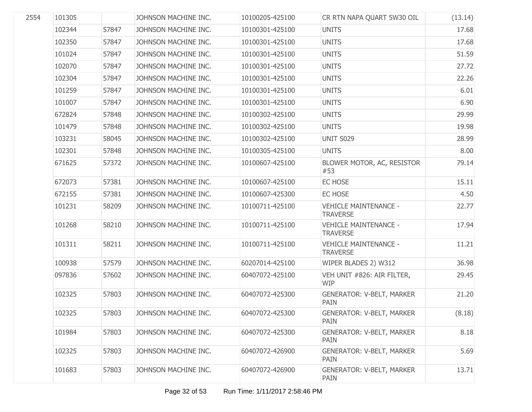| 2554 | 101305 |       | JOHNSON MACHINE INC. | 10100205-425100 | CR RTN NAPA QUART 5W30 OIL                      | (13.14) |
|------|--------|-------|----------------------|-----------------|-------------------------------------------------|---------|
|      | 102344 | 57847 | JOHNSON MACHINE INC. | 10100301-425100 | <b>UNITS</b>                                    | 17.68   |
|      | 102350 | 57847 | JOHNSON MACHINE INC. | 10100301-425100 | <b>UNITS</b>                                    | 17.68   |
|      | 101024 | 57847 | JOHNSON MACHINE INC. | 10100301-425100 | <b>UNITS</b>                                    | 51.59   |
|      | 102070 | 57847 | JOHNSON MACHINE INC. | 10100301-425100 | <b>UNITS</b>                                    | 27.72   |
|      | 102304 | 57847 | JOHNSON MACHINE INC. | 10100301-425100 | <b>UNITS</b>                                    | 22.26   |
|      | 101259 | 57847 | JOHNSON MACHINE INC. | 10100301-425100 | <b>UNITS</b>                                    | 6.01    |
|      | 101007 | 57847 | JOHNSON MACHINE INC. | 10100301-425100 | <b>UNITS</b>                                    | 6.90    |
|      | 672824 | 57848 | JOHNSON MACHINE INC. | 10100302-425100 | <b>UNITS</b>                                    | 29.99   |
|      | 101479 | 57848 | JOHNSON MACHINE INC. | 10100302-425100 | <b>UNITS</b>                                    | 19.98   |
|      | 103231 | 58045 | JOHNSON MACHINE INC. | 10100302-425100 | <b>UNIT S029</b>                                | 28.99   |
|      | 102301 | 57848 | JOHNSON MACHINE INC. | 10100305-425100 | <b>UNITS</b>                                    | 8.00    |
|      | 671625 | 57372 | JOHNSON MACHINE INC. | 10100607-425100 | BLOWER MOTOR, AC, RESISTOR<br>#53               | 79.14   |
|      | 672073 | 57381 | JOHNSON MACHINE INC. | 10100607-425100 | EC HOSE                                         | 15.11   |
|      | 672155 | 57381 | JOHNSON MACHINE INC. | 10100607-425300 | EC HOSE                                         | 4.50    |
|      | 101231 | 58209 | JOHNSON MACHINE INC. | 10100711-425100 | <b>VEHICLE MAINTENANCE -</b><br><b>TRAVERSE</b> | 22.77   |
|      | 101268 | 58210 | JOHNSON MACHINE INC. | 10100711-425100 | <b>VEHICLE MAINTENANCE -</b><br><b>TRAVERSE</b> | 17.94   |
|      | 101311 | 58211 | JOHNSON MACHINE INC. | 10100711-425100 | <b>VEHICLE MAINTENANCE -</b><br><b>TRAVERSE</b> | 11.21   |
|      | 100938 | 57579 | JOHNSON MACHINE INC. | 60207014-425100 | WIPER BLADES 2) W312                            | 36.98   |
|      | 097836 | 57602 | JOHNSON MACHINE INC. | 60407072-425100 | VEH UNIT #826: AIR FILTER,<br><b>WIP</b>        | 29.45   |
|      | 102325 | 57803 | JOHNSON MACHINE INC. | 60407072-425300 | <b>GENERATOR: V-BELT, MARKER</b><br><b>PAIN</b> | 21.20   |
|      | 102325 | 57803 | JOHNSON MACHINE INC. | 60407072-425300 | <b>GENERATOR: V-BELT, MARKER</b><br>PAIN        | (8.18)  |
|      | 101984 | 57803 | JOHNSON MACHINE INC. | 60407072-425300 | <b>GENERATOR: V-BELT, MARKER</b><br>PAIN        | 8.18    |
|      | 102325 | 57803 | JOHNSON MACHINE INC. | 60407072-426900 | <b>GENERATOR: V-BELT, MARKER</b><br>PAIN        | 5.69    |
|      | 101683 | 57803 | JOHNSON MACHINE INC. | 60407072-426900 | <b>GENERATOR: V-BELT, MARKER</b><br>PAIN        | 13.71   |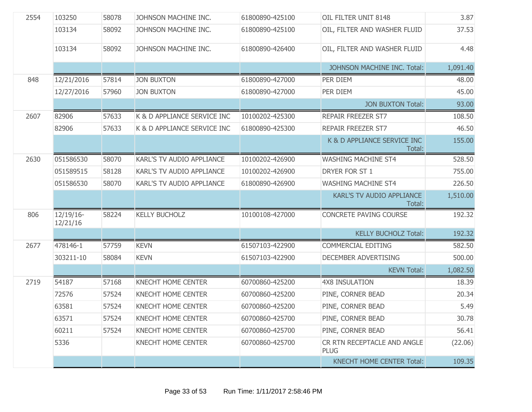| 2554 | 103250                   | 58078 | JOHNSON MACHINE INC.             | 61800890-425100 | OIL FILTER UNIT 8148                       | 3.87     |
|------|--------------------------|-------|----------------------------------|-----------------|--------------------------------------------|----------|
|      | 103134                   | 58092 | JOHNSON MACHINE INC.             | 61800890-425100 | OIL, FILTER AND WASHER FLUID               | 37.53    |
|      | 103134                   | 58092 | JOHNSON MACHINE INC.             | 61800890-426400 | OIL, FILTER AND WASHER FLUID               | 4.48     |
|      |                          |       |                                  |                 | JOHNSON MACHINE INC. Total:                | 1,091.40 |
| 848  | 12/21/2016               | 57814 | <b>JON BUXTON</b>                | 61800890-427000 | PER DIEM                                   | 48.00    |
|      | 12/27/2016               | 57960 | <b>JON BUXTON</b>                | 61800890-427000 | PER DIEM                                   | 45.00    |
|      |                          |       |                                  |                 | <b>JON BUXTON Total:</b>                   | 93.00    |
| 2607 | 82906                    | 57633 | K & D APPLIANCE SERVICE INC      | 10100202-425300 | REPAIR FREEZER ST7                         | 108.50   |
|      | 82906                    | 57633 | K & D APPLIANCE SERVICE INC      | 61800890-425300 | REPAIR FREEZER ST7                         | 46.50    |
|      |                          |       |                                  |                 | K & D APPLIANCE SERVICE INC<br>Total:      | 155.00   |
| 2630 | 051586530                | 58070 | <b>KARL'S TV AUDIO APPLIANCE</b> | 10100202-426900 | <b>WASHING MACHINE ST4</b>                 | 528.50   |
|      | 051589515                | 58128 | <b>KARL'S TV AUDIO APPLIANCE</b> | 10100202-426900 | DRYER FOR ST 1                             | 755.00   |
|      | 051586530                | 58070 | <b>KARL'S TV AUDIO APPLIANCE</b> | 61800890-426900 | <b>WASHING MACHINE ST4</b>                 | 226.50   |
|      |                          |       |                                  |                 | KARL'S TV AUDIO APPLIANCE<br>Total:        | 1,510.00 |
| 806  | $12/19/16$ -<br>12/21/16 | 58224 | <b>KELLY BUCHOLZ</b>             | 10100108-427000 | CONCRETE PAVING COURSE                     | 192.32   |
|      |                          |       |                                  |                 | <b>KELLY BUCHOLZ Total:</b>                | 192.32   |
| 2677 | 478146-1                 | 57759 | <b>KEVN</b>                      | 61507103-422900 | COMMERCIAL EDITING                         | 582.50   |
|      | 303211-10                | 58084 | <b>KEVN</b>                      | 61507103-422900 | DECEMBER ADVERTISING                       | 500.00   |
|      |                          |       |                                  |                 | <b>KEVN Total:</b>                         | 1,082.50 |
| 2719 | 54187                    | 57168 | <b>KNECHT HOME CENTER</b>        | 60700860-425200 | <b>4X8 INSULATION</b>                      | 18.39    |
|      | 72576                    | 57524 | <b>KNECHT HOME CENTER</b>        | 60700860-425200 | PINE, CORNER BEAD                          | 20.34    |
|      | 63581                    | 57524 | <b>KNECHT HOME CENTER</b>        | 60700860-425200 | PINE, CORNER BEAD                          | 5.49     |
|      | 63571                    | 57524 | <b>KNECHT HOME CENTER</b>        | 60700860-425700 | PINE, CORNER BEAD                          | 30.78    |
|      | 60211                    | 57524 | <b>KNECHT HOME CENTER</b>        | 60700860-425700 | PINE, CORNER BEAD                          | 56.41    |
|      | 5336                     |       | KNECHT HOME CENTER               | 60700860-425700 | CR RTN RECEPTACLE AND ANGLE<br><b>PLUG</b> | (22.06)  |
|      |                          |       |                                  |                 | <b>KNECHT HOME CENTER Total:</b>           | 109.35   |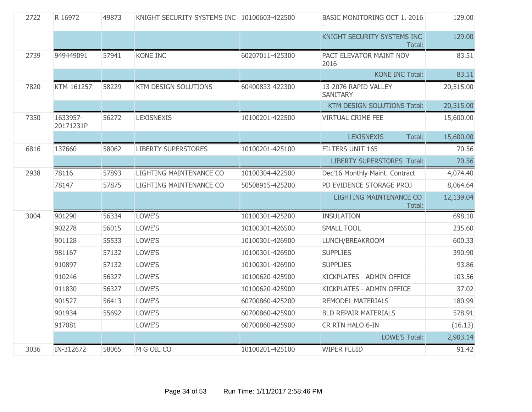| 2722 | R 16972               | 49873 | KNIGHT SECURITY SYSTEMS INC 10100603-422500 |                 | BASIC MONITORING OCT 1, 2016            | 129.00    |
|------|-----------------------|-------|---------------------------------------------|-----------------|-----------------------------------------|-----------|
|      |                       |       |                                             |                 | KNIGHT SECURITY SYSTEMS INC<br>Total:   | 129.00    |
| 2739 | 949449091             | 57941 | <b>KONE INC</b>                             | 60207011-425300 | PACT ELEVATOR MAINT NOV<br>2016         | 83.51     |
|      |                       |       |                                             |                 | <b>KONE INC Total:</b>                  | 83.51     |
| 7820 | KTM-161257            | 58229 | KTM DESIGN SOLUTIONS                        | 60400833-422300 | 13-2076 RAPID VALLEY<br><b>SANITARY</b> | 20,515.00 |
|      |                       |       |                                             |                 | KTM DESIGN SOLUTIONS Total:             | 20,515.00 |
| 7350 | 1633957-<br>20171231P | 56272 | <b>LEXISNEXIS</b>                           | 10100201-422500 | <b>VIRTUAL CRIME FEE</b>                | 15,600.00 |
|      |                       |       |                                             |                 | <b>LEXISNEXIS</b><br>Total:             | 15,600.00 |
| 6816 | 137660                | 58062 | <b>LIBERTY SUPERSTORES</b>                  | 10100201-425100 | FILTERS UNIT 165                        | 70.56     |
|      |                       |       |                                             |                 | <b>LIBERTY SUPERSTORES Total:</b>       | 70.56     |
| 2938 | 78116                 | 57893 | LIGHTING MAINTENANCE CO                     | 10100304-422500 | Dec'16 Monthly Maint. Contract          | 4,074.40  |
|      | 78147                 | 57875 | LIGHTING MAINTENANCE CO                     | 50508915-425200 | PD EVIDENCE STORAGE PROJ                | 8,064.64  |
|      |                       |       |                                             |                 | LIGHTING MAINTENANCE CO<br>Total:       | 12,139.04 |
| 3004 | 901290                | 56334 | LOWE'S                                      | 10100301-425200 | <b>INSULATION</b>                       | 698.10    |
|      | 902278                | 56015 | LOWE'S                                      | 10100301-426500 | <b>SMALL TOOL</b>                       | 235.60    |
|      | 901128                | 55533 | LOWE'S                                      | 10100301-426900 | LUNCH/BREAKROOM                         | 600.33    |
|      | 981167                | 57132 | LOWE'S                                      | 10100301-426900 | <b>SUPPLIES</b>                         | 390.90    |
|      | 910897                | 57132 | LOWE'S                                      | 10100301-426900 | <b>SUPPLIES</b>                         | 93.86     |
|      | 910246                | 56327 | LOWE'S                                      | 10100620-425900 | KICKPLATES - ADMIN OFFICE               | 103.56    |
|      | 911830                | 56327 | LOWE'S                                      | 10100620-425900 | KICKPLATES - ADMIN OFFICE               | 37.02     |
|      | 901527                | 56413 | LOWE'S                                      | 60700860-425200 | <b>REMODEL MATERIALS</b>                | 180.99    |
|      | 901934                | 55692 | LOWE'S                                      | 60700860-425900 | <b>BLD REPAIR MATERIALS</b>             | 578.91    |
|      | 917081                |       | LOWE'S                                      | 60700860-425900 | CR RTN HALO 6-IN                        | (16.13)   |
|      |                       |       |                                             |                 | <b>LOWE'S Total:</b>                    | 2,903.14  |
| 3036 | IN-312672             | 58065 | M G OIL CO                                  | 10100201-425100 | <b>WIPER FLUID</b>                      | 91.42     |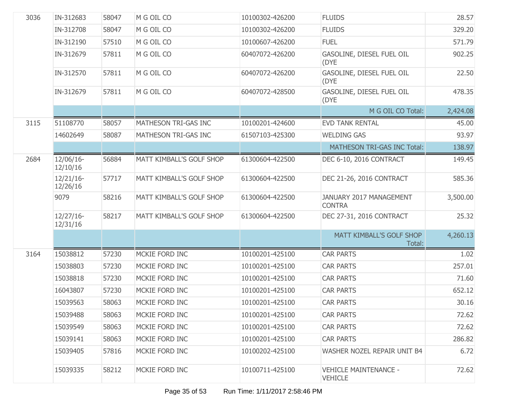| 3036 | IN-312683                | 58047 | M G OIL CO               | 10100302-426200 | <b>FLUIDS</b>                                  | 28.57    |
|------|--------------------------|-------|--------------------------|-----------------|------------------------------------------------|----------|
|      | IN-312708                | 58047 | M G OIL CO               | 10100302-426200 | <b>FLUIDS</b>                                  | 329.20   |
|      | IN-312190                | 57510 | M G OIL CO               | 10100607-426200 | <b>FUEL</b>                                    | 571.79   |
|      | IN-312679                | 57811 | M G OIL CO               | 60407072-426200 | GASOLINE, DIESEL FUEL OIL<br>(DYE              | 902.25   |
|      | IN-312570                | 57811 | M G OIL CO               | 60407072-426200 | GASOLINE, DIESEL FUEL OIL<br>(DYE              | 22.50    |
|      | IN-312679                | 57811 | M G OIL CO               | 60407072-428500 | GASOLINE, DIESEL FUEL OIL<br>(DYE              | 478.35   |
|      |                          |       |                          |                 | M G OIL CO Total:                              | 2,424.08 |
| 3115 | 51108770                 | 58057 | MATHESON TRI-GAS INC     | 10100201-424600 | <b>EVD TANK RENTAL</b>                         | 45.00    |
|      | 14602649                 | 58087 | MATHESON TRI-GAS INC     | 61507103-425300 | <b>WELDING GAS</b>                             | 93.97    |
|      |                          |       |                          |                 | MATHESON TRI-GAS INC Total:                    | 138.97   |
| 2684 | 12/06/16-<br>12/10/16    | 56884 | MATT KIMBALL'S GOLF SHOP | 61300604-422500 | DEC 6-10, 2016 CONTRACT                        | 149.45   |
|      | $12/21/16$ -<br>12/26/16 | 57717 | MATT KIMBALL'S GOLF SHOP | 61300604-422500 | DEC 21-26, 2016 CONTRACT                       | 585.36   |
|      | 9079                     | 58216 | MATT KIMBALL'S GOLF SHOP | 61300604-422500 | JANUARY 2017 MANAGEMENT<br><b>CONTRA</b>       | 3,500.00 |
|      | $12/27/16$ -<br>12/31/16 | 58217 | MATT KIMBALL'S GOLF SHOP | 61300604-422500 | DEC 27-31, 2016 CONTRACT                       | 25.32    |
|      |                          |       |                          |                 | MATT KIMBALL'S GOLF SHOP<br>Total:             | 4,260.13 |
| 3164 | 15038812                 | 57230 | MCKIE FORD INC           | 10100201-425100 | <b>CAR PARTS</b>                               | 1.02     |
|      | 15038803                 | 57230 | MCKIE FORD INC           | 10100201-425100 | <b>CAR PARTS</b>                               | 257.01   |
|      | 15038818                 | 57230 | MCKIE FORD INC           | 10100201-425100 | <b>CAR PARTS</b>                               | 71.60    |
|      | 16043807                 | 57230 | MCKIE FORD INC           | 10100201-425100 | <b>CAR PARTS</b>                               | 652.12   |
|      | 15039563                 | 58063 | MCKIE FORD INC           | 10100201-425100 | <b>CAR PARTS</b>                               | 30.16    |
|      | 15039488                 | 58063 | MCKIE FORD INC           | 10100201-425100 | <b>CAR PARTS</b>                               | 72.62    |
|      | 15039549                 | 58063 | MCKIE FORD INC           | 10100201-425100 | <b>CAR PARTS</b>                               | 72.62    |
|      | 15039141                 | 58063 | MCKIE FORD INC           | 10100201-425100 | <b>CAR PARTS</b>                               | 286.82   |
|      | 15039405                 | 57816 | MCKIE FORD INC           | 10100202-425100 | WASHER NOZEL REPAIR UNIT B4                    | 6.72     |
|      | 15039335                 | 58212 | MCKIE FORD INC           | 10100711-425100 | <b>VEHICLE MAINTENANCE -</b><br><b>VEHICLE</b> | 72.62    |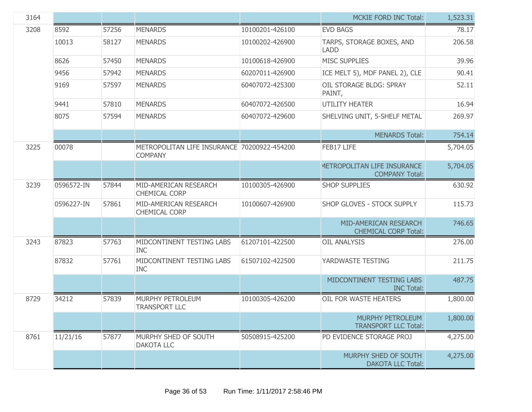| 3164 |            |       |                                                               |                 | <b>MCKIE FORD INC Total:</b>                           | 1,523.31 |
|------|------------|-------|---------------------------------------------------------------|-----------------|--------------------------------------------------------|----------|
| 3208 | 8592       | 57256 | <b>MENARDS</b>                                                | 10100201-426100 | <b>EVD BAGS</b>                                        | 78.17    |
|      | 10013      | 58127 | <b>MENARDS</b>                                                | 10100202-426900 | TARPS, STORAGE BOXES, AND<br><b>LADD</b>               | 206.58   |
|      | 8626       | 57450 | <b>MENARDS</b>                                                | 10100618-426900 | <b>MISC SUPPLIES</b>                                   | 39.96    |
|      | 9456       | 57942 | <b>MENARDS</b>                                                | 60207011-426900 | ICE MELT 5), MDF PANEL 2), CLE                         | 90.41    |
|      | 9169       | 57597 | <b>MENARDS</b>                                                | 60407072-425300 | OIL STORAGE BLDG: SPRAY<br>PAINT,                      | 52.11    |
|      | 9441       | 57810 | <b>MENARDS</b>                                                | 60407072-426500 | <b>UTILITY HEATER</b>                                  | 16.94    |
|      | 8075       | 57594 | <b>MENARDS</b>                                                | 60407072-429600 | SHELVING UNIT, 5-SHELF METAL                           | 269.97   |
|      |            |       |                                                               |                 | <b>MENARDS Total:</b>                                  | 754.14   |
| 3225 | 00078      |       | METROPOLITAN LIFE INSURANCE 70200922-454200<br><b>COMPANY</b> |                 | FEB17 LIFE                                             | 5,704.05 |
|      |            |       |                                                               |                 | METROPOLITAN LIFE INSURANCE<br><b>COMPANY Total:</b>   | 5,704.05 |
| 3239 | 0596572-IN | 57844 | MID-AMERICAN RESEARCH<br><b>CHEMICAL CORP</b>                 | 10100305-426900 | <b>SHOP SUPPLIES</b>                                   | 630.92   |
|      | 0596227-IN | 57861 | MID-AMERICAN RESEARCH<br><b>CHEMICAL CORP</b>                 | 10100607-426900 | SHOP GLOVES - STOCK SUPPLY                             | 115.73   |
|      |            |       |                                                               |                 | MID-AMERICAN RESEARCH<br><b>CHEMICAL CORP Total:</b>   | 746.65   |
| 3243 | 87823      | 57763 | MIDCONTINENT TESTING LABS<br><b>INC</b>                       | 61207101-422500 | <b>OIL ANALYSIS</b>                                    | 276.00   |
|      | 87832      | 57761 | MIDCONTINENT TESTING LABS<br><b>INC</b>                       | 61507102-422500 | YARDWASTE TESTING                                      | 211.75   |
|      |            |       |                                                               |                 | MIDCONTINENT TESTING LABS<br><b>INC Total:</b>         | 487.75   |
| 8729 | 34212      | 57839 | MURPHY PETROLEUM<br><b>TRANSPORT LLC</b>                      | 10100305-426200 | OIL FOR WASTE HEATERS                                  | 1,800.00 |
|      |            |       |                                                               |                 | <b>MURPHY PETROLEUM</b><br><b>TRANSPORT LLC Total:</b> | 1,800.00 |
| 8761 | 11/21/16   | 57877 | MURPHY SHED OF SOUTH<br><b>DAKOTA LLC</b>                     | 50508915-425200 | PD EVIDENCE STORAGE PROJ                               | 4,275.00 |
|      |            |       |                                                               |                 | MURPHY SHED OF SOUTH<br><b>DAKOTA LLC Total:</b>       | 4,275.00 |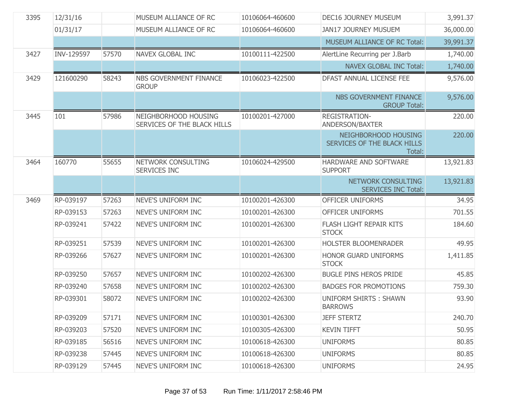| 3395 | 12/31/16   |       | MUSEUM ALLIANCE OF RC                               | 10106064-460600 | <b>DEC16 JOURNEY MUSEUM</b>                                   | 3,991.37  |
|------|------------|-------|-----------------------------------------------------|-----------------|---------------------------------------------------------------|-----------|
|      | 01/31/17   |       | MUSEUM ALLIANCE OF RC                               | 10106064-460600 | <b>JAN17 JOURNEY MUSUEM</b>                                   | 36,000.00 |
|      |            |       |                                                     |                 | <b>MUSEUM ALLIANCE OF RC Total:</b>                           | 39,991.37 |
| 3427 | INV-129597 | 57570 | <b>NAVEX GLOBAL INC</b>                             | 10100111-422500 | AlertLine Recurring per J.Barb                                | 1,740.00  |
|      |            |       |                                                     |                 | <b>NAVEX GLOBAL INC Total:</b>                                | 1,740.00  |
| 3429 | 121600290  | 58243 | NBS GOVERNMENT FINANCE<br><b>GROUP</b>              | 10106023-422500 | DFAST ANNUAL LICENSE FEE                                      | 9,576.00  |
|      |            |       |                                                     |                 | NBS GOVERNMENT FINANCE<br><b>GROUP Total:</b>                 | 9,576.00  |
| 3445 | 101        | 57986 | NEIGHBORHOOD HOUSING<br>SERVICES OF THE BLACK HILLS | 10100201-427000 | <b>REGISTRATION-</b><br>ANDERSON/BAXTER                       | 220.00    |
|      |            |       |                                                     |                 | NEIGHBORHOOD HOUSING<br>SERVICES OF THE BLACK HILLS<br>Total: | 220.00    |
| 3464 | 160770     | 55655 | NETWORK CONSULTING<br>SERVICES INC                  | 10106024-429500 | HARDWARE AND SOFTWARE<br><b>SUPPORT</b>                       | 13,921.83 |
|      |            |       |                                                     |                 | NETWORK CONSULTING<br><b>SERVICES INC Total:</b>              | 13,921.83 |
|      |            |       |                                                     |                 |                                                               |           |
| 3469 | RP-039197  | 57263 | NEVE'S UNIFORM INC                                  | 10100201-426300 | OFFICER UNIFORMS                                              | 34.95     |
|      | RP-039153  | 57263 | NEVE'S UNIFORM INC                                  | 10100201-426300 | OFFICER UNIFORMS                                              | 701.55    |
|      | RP-039241  | 57422 | NEVE'S UNIFORM INC                                  | 10100201-426300 | FLASH LIGHT REPAIR KITS<br><b>STOCK</b>                       | 184.60    |
|      | RP-039251  | 57539 | NEVE'S UNIFORM INC                                  | 10100201-426300 | HOLSTER BLOOMENRADER                                          | 49.95     |
|      | RP-039266  | 57627 | NEVE'S UNIFORM INC                                  | 10100201-426300 | <b>HONOR GUARD UNIFORMS</b><br><b>STOCK</b>                   | 1,411.85  |
|      | RP-039250  | 57657 | NEVE'S UNIFORM INC                                  | 10100202-426300 | <b>BUGLE PINS HEROS PRIDE</b>                                 | 45.85     |
|      | RP-039240  | 57658 | NEVE'S UNIFORM INC                                  | 10100202-426300 | <b>BADGES FOR PROMOTIONS</b>                                  | 759.30    |
|      | RP-039301  | 58072 | <b>NEVE'S UNIFORM INC</b>                           | 10100202-426300 | <b>UNIFORM SHIRTS: SHAWN</b><br><b>BARROWS</b>                | 93.90     |
|      | RP-039209  | 57171 | NEVE'S UNIFORM INC                                  | 10100301-426300 | <b>JEFF STERTZ</b>                                            | 240.70    |
|      | RP-039203  | 57520 | NEVE'S UNIFORM INC                                  | 10100305-426300 | <b>KEVIN TIFFT</b>                                            | 50.95     |
|      | RP-039185  | 56516 | NEVE'S UNIFORM INC                                  | 10100618-426300 | <b>UNIFORMS</b>                                               | 80.85     |
|      | RP-039238  | 57445 | NEVE'S UNIFORM INC                                  | 10100618-426300 | <b>UNIFORMS</b>                                               | 80.85     |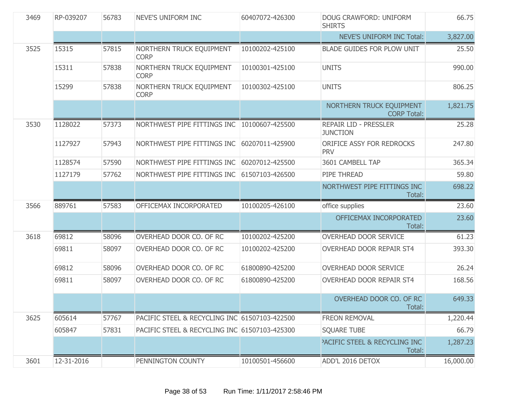| 3469 | RP-039207  | 56783 | NEVE'S UNIFORM INC                            | 60407072-426300 | DOUG CRAWFORD: UNIFORM<br><b>SHIRTS</b>            | 66.75     |
|------|------------|-------|-----------------------------------------------|-----------------|----------------------------------------------------|-----------|
|      |            |       |                                               |                 | <b>NEVE'S UNIFORM INC Total:</b>                   | 3,827.00  |
| 3525 | 15315      | 57815 | NORTHERN TRUCK EQUIPMENT<br><b>CORP</b>       | 10100202-425100 | <b>BLADE GUIDES FOR PLOW UNIT</b>                  | 25.50     |
|      | 15311      | 57838 | NORTHERN TRUCK EQUIPMENT<br><b>CORP</b>       | 10100301-425100 | <b>UNITS</b>                                       | 990.00    |
|      | 15299      | 57838 | NORTHERN TRUCK EQUIPMENT<br><b>CORP</b>       | 10100302-425100 | <b>UNITS</b>                                       | 806.25    |
|      |            |       |                                               |                 | NORTHERN TRUCK EQUIPMENT<br><b>CORP Total:</b>     | 1,821.75  |
| 3530 | 1128022    | 57373 | NORTHWEST PIPE FITTINGS INC 10100607-425500   |                 | <b>REPAIR LID - PRESSLER</b><br><b>JUNCTION</b>    | 25.28     |
|      | 1127927    | 57943 | NORTHWEST PIPE FITTINGS INC                   | 60207011-425900 | ORIFICE ASSY FOR REDROCKS<br><b>PRV</b>            | 247.80    |
|      | 1128574    | 57590 | NORTHWEST PIPE FITTINGS INC                   | 60207012-425500 | 3601 CAMBELL TAP                                   | 365.34    |
|      | 1127179    | 57762 | NORTHWEST PIPE FITTINGS INC                   | 61507103-426500 | PIPE THREAD                                        | 59.80     |
|      |            |       |                                               |                 | NORTHWEST PIPE FITTINGS INC<br>Total:              | 698.22    |
| 3566 | 889761     | 57583 | OFFICEMAX INCORPORATED                        | 10100205-426100 | office supplies                                    | 23.60     |
|      |            |       |                                               |                 | OFFICEMAX INCORPORATED<br>Total:                   | 23.60     |
| 3618 | 69812      | 58096 | OVERHEAD DOOR CO. OF RC                       | 10100202-425200 | OVERHEAD DOOR SERVICE                              | 61.23     |
|      | 69811      | 58097 | OVERHEAD DOOR CO. OF RC                       | 10100202-425200 | OVERHEAD DOOR REPAIR ST4                           | 393.30    |
|      | 69812      | 58096 | OVERHEAD DOOR CO. OF RC                       | 61800890-425200 | OVERHEAD DOOR SERVICE                              | 26.24     |
|      | 69811      | 58097 | OVERHEAD DOOR CO. OF RC                       | 61800890-425200 | OVERHEAD DOOR REPAIR ST4                           | 168.56    |
|      |            |       |                                               |                 | OVERHEAD DOOR CO. OF RC<br>Total:                  | 649.33    |
| 3625 | 605614     | 57767 | PACIFIC STEEL & RECYCLING INC 61507103-422500 |                 | FREON REMOVAL                                      | 1,220.44  |
|      | 605847     | 57831 | PACIFIC STEEL & RECYCLING INC 61507103-425300 |                 | <b>SQUARE TUBE</b>                                 | 66.79     |
|      |            |       |                                               |                 | <b>PACIFIC STEEL &amp; RECYCLING INC</b><br>Total: | 1,287.23  |
| 3601 | 12-31-2016 |       | PENNINGTON COUNTY                             | 10100501-456600 | ADD'L 2016 DETOX                                   | 16,000.00 |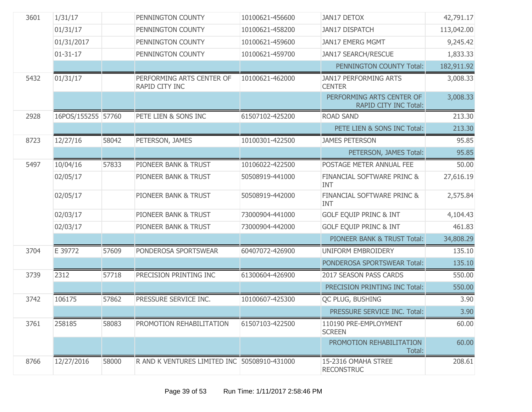| 3601 | 1/31/17            |       | PENNINGTON COUNTY                            | 10100621-456600 | <b>JAN17 DETOX</b>                                        | 42,791.17  |
|------|--------------------|-------|----------------------------------------------|-----------------|-----------------------------------------------------------|------------|
|      | 01/31/17           |       | PENNINGTON COUNTY                            | 10100621-458200 | <b>JAN17 DISPATCH</b>                                     | 113,042.00 |
|      | 01/31/2017         |       | PENNINGTON COUNTY                            | 10100621-459600 | JAN17 EMERG MGMT                                          | 9,245.42   |
|      | $01 - 31 - 17$     |       | PENNINGTON COUNTY                            | 10100621-459700 | <b>JAN17 SEARCH/RESCUE</b>                                | 1,833.33   |
|      |                    |       |                                              |                 | PENNINGTON COUNTY Total:                                  | 182,911.92 |
| 5432 | 01/31/17           |       | PERFORMING ARTS CENTER OF<br>RAPID CITY INC  | 10100621-462000 | <b>JAN17 PERFORMING ARTS</b><br><b>CENTER</b>             | 3,008.33   |
|      |                    |       |                                              |                 | PERFORMING ARTS CENTER OF<br><b>RAPID CITY INC Total:</b> | 3,008.33   |
| 2928 | 16POS/155255 57760 |       | PETE LIEN & SONS INC                         | 61507102-425200 | <b>ROAD SAND</b>                                          | 213.30     |
|      |                    |       |                                              |                 | PETE LIEN & SONS INC Total:                               | 213.30     |
| 8723 | 12/27/16           | 58042 | PETERSON, JAMES                              | 10100301-422500 | <b>JAMES PETERSON</b>                                     | 95.85      |
|      |                    |       |                                              |                 | PETERSON, JAMES Total:                                    | 95.85      |
| 5497 | 10/04/16           | 57833 | PIONEER BANK & TRUST                         | 10106022-422500 | POSTAGE METER ANNUAL FEE                                  | 50.00      |
|      | 02/05/17           |       | PIONEER BANK & TRUST                         | 50508919-441000 | FINANCIAL SOFTWARE PRINC &<br><b>INT</b>                  | 27,616.19  |
|      | 02/05/17           |       | PIONEER BANK & TRUST                         | 50508919-442000 | FINANCIAL SOFTWARE PRINC &<br><b>INT</b>                  | 2,575.84   |
|      | 02/03/17           |       | PIONEER BANK & TRUST                         | 73000904-441000 | <b>GOLF EQUIP PRINC &amp; INT</b>                         | 4,104.43   |
|      | 02/03/17           |       | PIONEER BANK & TRUST                         | 73000904-442000 | <b>GOLF EQUIP PRINC &amp; INT</b>                         | 461.83     |
|      |                    |       |                                              |                 | PIONEER BANK & TRUST Total:                               | 34,808.29  |
| 3704 | E 39772            | 57609 | PONDEROSA SPORTSWEAR                         | 60407072-426900 | UNIFORM EMBROIDERY                                        | 135.10     |
|      |                    |       |                                              |                 | PONDEROSA SPORTSWEAR Total:                               | 135.10     |
| 3739 | 2312               | 57718 | PRECISION PRINTING INC                       | 61300604-426900 | 2017 SEASON PASS CARDS                                    | 550.00     |
|      |                    |       |                                              |                 | PRECISION PRINTING INC Total:                             | 550.00     |
| 3742 | 106175             | 57862 | PRESSURE SERVICE INC.                        | 10100607-425300 | QC PLUG, BUSHING                                          | 3.90       |
|      |                    |       |                                              |                 | PRESSURE SERVICE INC. Total:                              | 3.90       |
| 3761 | 258185             | 58083 | PROMOTION REHABILITATION                     | 61507103-422500 | 110190 PRE-EMPLOYMENT<br><b>SCREEN</b>                    | 60.00      |
|      |                    |       |                                              |                 | PROMOTION REHABILITATION<br>Total:                        | 60.00      |
| 8766 | 12/27/2016         | 58000 | R AND K VENTURES LIMITED INC 50508910-431000 |                 | 15-2316 OMAHA STREE<br><b>RECONSTRUC</b>                  | 208.61     |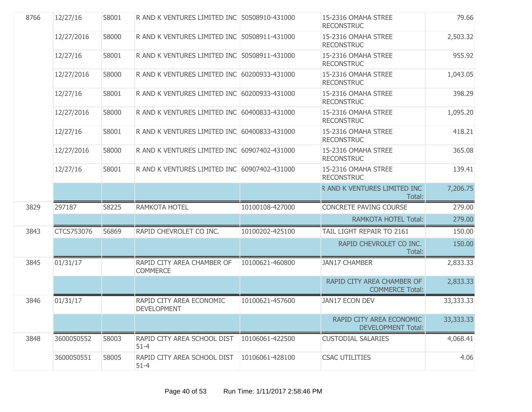| 8766 | 12/27/16   | 58001 | R AND K VENTURES LIMITED INC 50508910-431000   |                 | 15-2316 OMAHA STREE<br><b>RECONSTRUC</b>              | 79.66     |
|------|------------|-------|------------------------------------------------|-----------------|-------------------------------------------------------|-----------|
|      | 12/27/2016 | 58000 | R AND K VENTURES LIMITED INC 50508911-431000   |                 | 15-2316 OMAHA STREE<br><b>RECONSTRUC</b>              | 2,503.32  |
|      | 12/27/16   | 58001 | R AND K VENTURES LIMITED INC 50508911-431000   |                 | 15-2316 OMAHA STREE<br><b>RECONSTRUC</b>              | 955.92    |
|      | 12/27/2016 | 58000 | R AND K VENTURES LIMITED INC 60200933-431000   |                 | 15-2316 OMAHA STREE<br><b>RECONSTRUC</b>              | 1,043.05  |
|      | 12/27/16   | 58001 | R AND K VENTURES LIMITED INC 60200933-431000   |                 | 15-2316 OMAHA STREE<br><b>RECONSTRUC</b>              | 398.29    |
|      | 12/27/2016 | 58000 | R AND K VENTURES LIMITED INC 60400833-431000   |                 | 15-2316 OMAHA STREE<br><b>RECONSTRUC</b>              | 1,095.20  |
|      | 12/27/16   | 58001 | R AND K VENTURES LIMITED INC 60400833-431000   |                 | 15-2316 OMAHA STREE<br><b>RECONSTRUC</b>              | 418.21    |
|      | 12/27/2016 | 58000 | R AND K VENTURES LIMITED INC 60907402-431000   |                 | 15-2316 OMAHA STREE<br><b>RECONSTRUC</b>              | 365.08    |
|      | 12/27/16   | 58001 | R AND K VENTURES LIMITED INC 60907402-431000   |                 | 15-2316 OMAHA STREE<br><b>RECONSTRUC</b>              | 139.41    |
|      |            |       |                                                |                 | R AND K VENTURES LIMITED INC<br>Total:                | 7,206.75  |
| 3829 | 297187     | 58225 | RAMKOTA HOTEL                                  | 10100108-427000 | <b>CONCRETE PAVING COURSE</b>                         | 279.00    |
|      |            |       |                                                |                 | <b>RAMKOTA HOTEL Total:</b>                           | 279.00    |
| 3843 | CTCS753076 | 56869 | RAPID CHEVROLET CO INC.                        | 10100202-425100 | TAIL LIGHT REPAIR TO 2161                             | 150.00    |
|      |            |       |                                                |                 | RAPID CHEVROLET CO INC.<br>Total:                     | 150.00    |
| 3845 | 01/31/17   |       | RAPID CITY AREA CHAMBER OF<br><b>COMMERCE</b>  | 10100621-460800 | <b>JAN17 CHAMBER</b>                                  | 2,833.33  |
|      |            |       |                                                |                 | RAPID CITY AREA CHAMBER OF<br><b>COMMERCE Total:</b>  | 2,833.33  |
| 3846 | 01/31/17   |       | RAPID CITY AREA ECONOMIC<br><b>DEVELOPMENT</b> | 10100621-457600 | <b>JAN17 ECON DEV</b>                                 | 33,333.33 |
|      |            |       |                                                |                 | RAPID CITY AREA ECONOMIC<br><b>DEVELOPMENT Total:</b> | 33,333.33 |
| 3848 | 3600050552 | 58003 | RAPID CITY AREA SCHOOL DIST<br>$51 - 4$        | 10106061-422500 | <b>CUSTODIAL SALARIES</b>                             | 4,068.41  |
|      | 3600050551 | 58005 | RAPID CITY AREA SCHOOL DIST<br>$51 - 4$        | 10106061-428100 | <b>CSAC UTILITIES</b>                                 | 4.06      |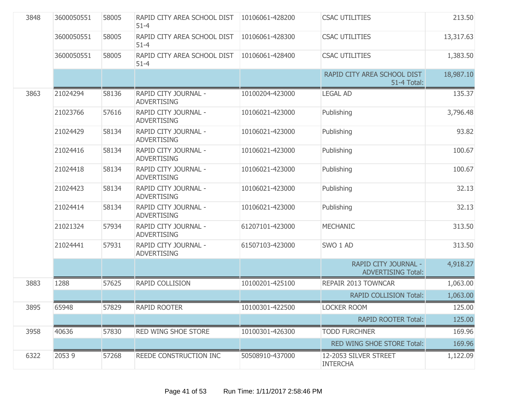| 3848 | 3600050551 | 58005 | RAPID CITY AREA SCHOOL DIST<br>$51 - 4$    | 10106061-428200 | <b>CSAC UTILITIES</b>                             | 213.50    |
|------|------------|-------|--------------------------------------------|-----------------|---------------------------------------------------|-----------|
|      | 3600050551 | 58005 | RAPID CITY AREA SCHOOL DIST<br>$51 - 4$    | 10106061-428300 | <b>CSAC UTILITIES</b>                             | 13,317.63 |
|      | 3600050551 | 58005 | RAPID CITY AREA SCHOOL DIST<br>$51 - 4$    | 10106061-428400 | <b>CSAC UTILITIES</b>                             | 1,383.50  |
|      |            |       |                                            |                 | RAPID CITY AREA SCHOOL DIST<br>51-4 Total:        | 18,987.10 |
| 3863 | 21024294   | 58136 | RAPID CITY JOURNAL -<br><b>ADVERTISING</b> | 10100204-423000 | <b>LEGAL AD</b>                                   | 135.37    |
|      | 21023766   | 57616 | RAPID CITY JOURNAL -<br><b>ADVERTISING</b> | 10106021-423000 | Publishing                                        | 3,796.48  |
|      | 21024429   | 58134 | RAPID CITY JOURNAL -<br><b>ADVERTISING</b> | 10106021-423000 | Publishing                                        | 93.82     |
|      | 21024416   | 58134 | RAPID CITY JOURNAL -<br><b>ADVERTISING</b> | 10106021-423000 | Publishing                                        | 100.67    |
|      | 21024418   | 58134 | RAPID CITY JOURNAL -<br><b>ADVERTISING</b> | 10106021-423000 | Publishing                                        | 100.67    |
|      | 21024423   | 58134 | RAPID CITY JOURNAL -<br><b>ADVERTISING</b> | 10106021-423000 | Publishing                                        | 32.13     |
|      | 21024414   | 58134 | RAPID CITY JOURNAL -<br><b>ADVERTISING</b> | 10106021-423000 | Publishing                                        | 32.13     |
|      | 21021324   | 57934 | RAPID CITY JOURNAL -<br><b>ADVERTISING</b> | 61207101-423000 | <b>MECHANIC</b>                                   | 313.50    |
|      | 21024441   | 57931 | RAPID CITY JOURNAL -<br><b>ADVERTISING</b> | 61507103-423000 | SWO 1 AD                                          | 313.50    |
|      |            |       |                                            |                 | RAPID CITY JOURNAL -<br><b>ADVERTISING Total:</b> | 4,918.27  |
| 3883 | 1288       | 57625 | RAPID COLLISION                            | 10100201-425100 | REPAIR 2013 TOWNCAR                               | 1,063.00  |
|      |            |       |                                            |                 | <b>RAPID COLLISION Total:</b>                     | 1,063.00  |
| 3895 | 65948      | 57829 | <b>RAPID ROOTER</b>                        | 10100301-422500 | <b>LOCKER ROOM</b>                                | 125.00    |
|      |            |       |                                            |                 | <b>RAPID ROOTER Total:</b>                        | 125.00    |
| 3958 | 40636      | 57830 | RED WING SHOE STORE                        | 10100301-426300 | <b>TODD FURCHNER</b>                              | 169.96    |
|      |            |       |                                            |                 | RED WING SHOE STORE Total:                        | 169.96    |
| 6322 | 20539      | 57268 | REEDE CONSTRUCTION INC                     | 50508910-437000 | 12-2053 SILVER STREET<br><b>INTERCHA</b>          | 1,122.09  |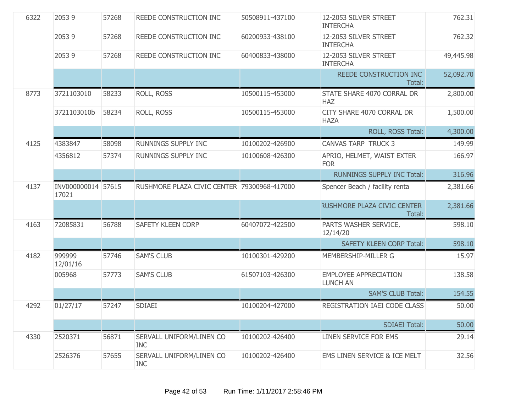| 6322 | 20539                       | 57268 | REEDE CONSTRUCTION INC                      | 50508911-437100 | 12-2053 SILVER STREET<br><b>INTERCHA</b>        | 762.31    |
|------|-----------------------------|-------|---------------------------------------------|-----------------|-------------------------------------------------|-----------|
|      | 20539                       | 57268 | REEDE CONSTRUCTION INC                      | 60200933-438100 | 12-2053 SILVER STREET<br><b>INTERCHA</b>        | 762.32    |
|      | 20539                       | 57268 | REEDE CONSTRUCTION INC                      | 60400833-438000 | 12-2053 SILVER STREET<br><b>INTERCHA</b>        | 49,445.98 |
|      |                             |       |                                             |                 | REEDE CONSTRUCTION INC<br>Total:                | 52,092.70 |
| 8773 | 3721103010                  | 58233 | ROLL, ROSS                                  | 10500115-453000 | STATE SHARE 4070 CORRAL DR<br><b>HAZ</b>        | 2,800.00  |
|      | 3721103010b                 | 58234 | ROLL, ROSS                                  | 10500115-453000 | CITY SHARE 4070 CORRAL DR<br><b>HAZA</b>        | 1,500.00  |
|      |                             |       |                                             |                 | ROLL, ROSS Total:                               | 4,300.00  |
| 4125 | 4383847                     | 58098 | RUNNINGS SUPPLY INC                         | 10100202-426900 | <b>CANVAS TARP TRUCK 3</b>                      | 149.99    |
|      | 4356812                     | 57374 | RUNNINGS SUPPLY INC                         | 10100608-426300 | APRIO, HELMET, WAIST EXTER<br><b>FOR</b>        | 166.97    |
|      |                             |       |                                             |                 | <b>RUNNINGS SUPPLY INC Total:</b>               | 316.96    |
| 4137 | INV000000014 57615<br>17021 |       | RUSHMORE PLAZA CIVIC CENTER 79300968-417000 |                 | Spencer Beach / facility renta                  | 2,381.66  |
|      |                             |       |                                             |                 | <b>RUSHMORE PLAZA CIVIC CENTER</b><br>Total:    | 2,381.66  |
| 4163 | 72085831                    | 56788 | <b>SAFETY KLEEN CORP</b>                    | 60407072-422500 | PARTS WASHER SERVICE,<br>12/14/20               | 598.10    |
|      |                             |       |                                             |                 | <b>SAFETY KLEEN CORP Total:</b>                 | 598.10    |
| 4182 | 999999<br>12/01/16          | 57746 | <b>SAM'S CLUB</b>                           | 10100301-429200 | MEMBERSHIP-MILLER G                             | 15.97     |
|      | 005968                      | 57773 | <b>SAM'S CLUB</b>                           | 61507103-426300 | <b>EMPLOYEE APPRECIATION</b><br><b>LUNCH AN</b> | 138.58    |
|      |                             |       |                                             |                 | <b>SAM'S CLUB Total:</b>                        | 154.55    |
| 4292 | 01/27/17                    | 57247 | <b>SDIAEI</b>                               | 10100204-427000 | REGISTRATION IAEI CODE CLASS                    | 50.00     |
|      |                             |       |                                             |                 | <b>SDIAEI Total:</b>                            | 50.00     |
| 4330 | 2520371                     | 56871 | SERVALL UNIFORM/LINEN CO<br><b>INC</b>      | 10100202-426400 | LINEN SERVICE FOR EMS                           | 29.14     |
|      | 2526376                     | 57655 | SERVALL UNIFORM/LINEN CO<br><b>INC</b>      | 10100202-426400 | EMS LINEN SERVICE & ICE MELT                    | 32.56     |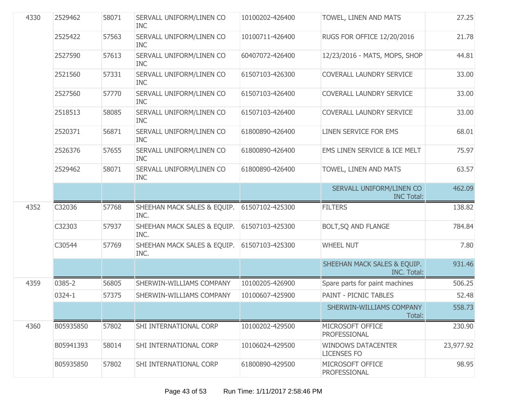| 4330 | 2529462   | 58071 | SERVALL UNIFORM/LINEN CO<br><b>INC</b> | 10100202-426400 | TOWEL, LINEN AND MATS                             | 27.25     |
|------|-----------|-------|----------------------------------------|-----------------|---------------------------------------------------|-----------|
|      | 2525422   | 57563 | SERVALL UNIFORM/LINEN CO<br><b>INC</b> | 10100711-426400 | RUGS FOR OFFICE 12/20/2016                        | 21.78     |
|      | 2527590   | 57613 | SERVALL UNIFORM/LINEN CO<br><b>INC</b> | 60407072-426400 | 12/23/2016 - MATS, MOPS, SHOP                     | 44.81     |
|      | 2521560   | 57331 | SERVALL UNIFORM/LINEN CO<br><b>INC</b> | 61507103-426300 | COVERALL LAUNDRY SERVICE                          | 33.00     |
|      | 2527560   | 57770 | SERVALL UNIFORM/LINEN CO<br><b>INC</b> | 61507103-426400 | COVERALL LAUNDRY SERVICE                          | 33.00     |
|      | 2518513   | 58085 | SERVALL UNIFORM/LINEN CO<br><b>INC</b> | 61507103-426400 | COVERALL LAUNDRY SERVICE                          | 33.00     |
|      | 2520371   | 56871 | SERVALL UNIFORM/LINEN CO<br><b>INC</b> | 61800890-426400 | LINEN SERVICE FOR EMS                             | 68.01     |
|      | 2526376   | 57655 | SERVALL UNIFORM/LINEN CO<br><b>INC</b> | 61800890-426400 | EMS LINEN SERVICE & ICE MELT                      | 75.97     |
|      | 2529462   | 58071 | SERVALL UNIFORM/LINEN CO<br><b>INC</b> | 61800890-426400 | TOWEL, LINEN AND MATS                             | 63.57     |
|      |           |       |                                        |                 | SERVALL UNIFORM/LINEN CO<br><b>INC Total:</b>     | 462.09    |
| 4352 | C32036    | 57768 | SHEEHAN MACK SALES & EQUIP.<br>INC.    | 61507102-425300 | <b>FILTERS</b>                                    | 138.82    |
|      | C32303    | 57937 | SHEEHAN MACK SALES & EQUIP.<br>INC.    | 61507103-425300 | BOLT, SQ AND FLANGE                               | 784.84    |
|      | C30544    | 57769 | SHEEHAN MACK SALES & EQUIP.<br>INC.    | 61507103-425300 | <b>WHEEL NUT</b>                                  | 7.80      |
|      |           |       |                                        |                 | SHEEHAN MACK SALES & EQUIP.<br><b>INC. Total:</b> | 931.46    |
| 4359 | 0385-2    | 56805 | SHERWIN-WILLIAMS COMPANY               | 10100205-426900 | Spare parts for paint machines                    | 506.25    |
|      | 0324-1    | 57375 | SHERWIN-WILLIAMS COMPANY               | 10100607-425900 | <b>PAINT - PICNIC TABLES</b>                      | 52.48     |
|      |           |       |                                        |                 | SHERWIN-WILLIAMS COMPANY<br>Total:                | 558.73    |
| 4360 | B05935850 | 57802 | SHI INTERNATIONAL CORP                 | 10100202-429500 | MICROSOFT OFFICE                                  | 230.90    |
|      |           |       |                                        |                 | PROFESSIONAL                                      |           |
|      | B05941393 | 58014 | SHI INTERNATIONAL CORP                 | 10106024-429500 | <b>WINDOWS DATACENTER</b><br><b>LICENSES FO</b>   | 23,977.92 |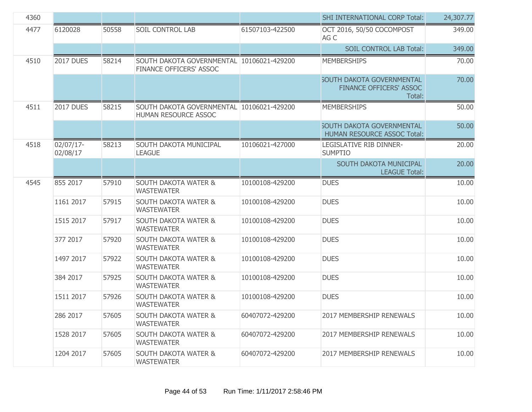| 4360 |                       |       |                                                                      |                 | <b>SHI INTERNATIONAL CORP Total:</b>                                         | 24,307.77 |
|------|-----------------------|-------|----------------------------------------------------------------------|-----------------|------------------------------------------------------------------------------|-----------|
| 4477 | 6120028               | 50558 | <b>SOIL CONTROL LAB</b>                                              | 61507103-422500 | OCT 2016, 50/50 COCOMPOST<br>AG C                                            | 349.00    |
|      |                       |       |                                                                      |                 | <b>SOIL CONTROL LAB Total:</b>                                               | 349.00    |
| 4510 | <b>2017 DUES</b>      | 58214 | SOUTH DAKOTA GOVERNMENTAL 10106021-429200<br>FINANCE OFFICERS' ASSOC |                 | <b>MEMBERSHIPS</b>                                                           | 70.00     |
|      |                       |       |                                                                      |                 | <b>SOUTH DAKOTA GOVERNMENTAL</b><br><b>FINANCE OFFICERS' ASSOC</b><br>Total: | 70.00     |
| 4511 | <b>2017 DUES</b>      | 58215 | SOUTH DAKOTA GOVERNMENTAL 10106021-429200<br>HUMAN RESOURCE ASSOC    |                 | <b>MEMBERSHIPS</b>                                                           | 50.00     |
|      |                       |       |                                                                      |                 | <b>SOUTH DAKOTA GOVERNMENTAL</b><br><b>HUMAN RESOURCE ASSOC Total:</b>       | 50.00     |
| 4518 | 02/07/17-<br>02/08/17 | 58213 | SOUTH DAKOTA MUNICIPAL<br><b>LEAGUE</b>                              | 10106021-427000 | LEGISLATIVE RIB DINNER-<br><b>SUMPTIO</b>                                    | 20.00     |
|      |                       |       |                                                                      |                 | SOUTH DAKOTA MUNICIPAL<br><b>LEAGUE Total:</b>                               | 20.00     |
| 4545 | 855 2017              | 57910 | <b>SOUTH DAKOTA WATER &amp;</b><br><b>WASTEWATER</b>                 | 10100108-429200 | <b>DUES</b>                                                                  | 10.00     |
|      | 1161 2017             | 57915 | <b>SOUTH DAKOTA WATER &amp;</b><br><b>WASTEWATER</b>                 | 10100108-429200 | <b>DUES</b>                                                                  | 10.00     |
|      | 1515 2017             | 57917 | <b>SOUTH DAKOTA WATER &amp;</b><br><b>WASTEWATER</b>                 | 10100108-429200 | <b>DUES</b>                                                                  | 10.00     |
|      | 377 2017              | 57920 | <b>SOUTH DAKOTA WATER &amp;</b><br><b>WASTEWATER</b>                 | 10100108-429200 | <b>DUES</b>                                                                  | 10.00     |
|      | 1497 2017             | 57922 | <b>SOUTH DAKOTA WATER &amp;</b><br><b>WASTEWATER</b>                 | 10100108-429200 | <b>DUES</b>                                                                  | 10.00     |
|      | 384 2017              | 57925 | <b>SOUTH DAKOTA WATER &amp;</b><br><b>WASTEWATER</b>                 | 10100108-429200 | <b>DUES</b>                                                                  | 10.00     |
|      | 1511 2017             | 57926 | <b>SOUTH DAKOTA WATER &amp;</b><br><b>WASTEWATER</b>                 | 10100108-429200 | <b>DUES</b>                                                                  | 10.00     |
|      | 286 2017              | 57605 | <b>SOUTH DAKOTA WATER &amp;</b><br><b>WASTEWATER</b>                 | 60407072-429200 | 2017 MEMBERSHIP RENEWALS                                                     | 10.00     |
|      | 1528 2017             | 57605 | <b>SOUTH DAKOTA WATER &amp;</b><br><b>WASTEWATER</b>                 | 60407072-429200 | 2017 MEMBERSHIP RENEWALS                                                     | 10.00     |
|      | 1204 2017             | 57605 | <b>SOUTH DAKOTA WATER &amp;</b><br><b>WASTEWATER</b>                 | 60407072-429200 | 2017 MEMBERSHIP RENEWALS                                                     | 10.00     |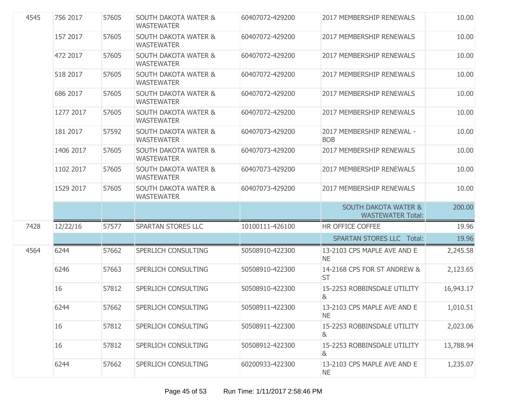| 4545 | 756 2017  | 57605 | <b>SOUTH DAKOTA WATER &amp;</b><br><b>WASTEWATER</b> | 60407072-429200 | <b>2017 MEMBERSHIP RENEWALS</b>                             | 10.00     |
|------|-----------|-------|------------------------------------------------------|-----------------|-------------------------------------------------------------|-----------|
|      | 157 2017  | 57605 | <b>SOUTH DAKOTA WATER &amp;</b><br><b>WASTEWATER</b> | 60407072-429200 | 2017 MEMBERSHIP RENEWALS                                    | 10.00     |
|      | 472 2017  | 57605 | <b>SOUTH DAKOTA WATER &amp;</b><br><b>WASTEWATER</b> | 60407072-429200 | 2017 MEMBERSHIP RENEWALS                                    | 10.00     |
|      | 518 2017  | 57605 | <b>SOUTH DAKOTA WATER &amp;</b><br><b>WASTEWATER</b> | 60407072-429200 | 2017 MEMBERSHIP RENEWALS                                    | 10.00     |
|      | 686 2017  | 57605 | <b>SOUTH DAKOTA WATER &amp;</b><br><b>WASTEWATER</b> | 60407072-429200 | 2017 MEMBERSHIP RENEWALS                                    | 10.00     |
|      | 1277 2017 | 57605 | <b>SOUTH DAKOTA WATER &amp;</b><br><b>WASTEWATER</b> | 60407072-429200 | 2017 MEMBERSHIP RENEWALS                                    | 10.00     |
|      | 181 2017  | 57592 | <b>SOUTH DAKOTA WATER &amp;</b><br><b>WASTEWATER</b> | 60407073-429200 | 2017 MEMBERSHIP RENEWAL -<br><b>BOB</b>                     | 10.00     |
|      | 1406 2017 | 57605 | <b>SOUTH DAKOTA WATER &amp;</b><br><b>WASTEWATER</b> | 60407073-429200 | 2017 MEMBERSHIP RENEWALS                                    | 10.00     |
|      | 1102 2017 | 57605 | <b>SOUTH DAKOTA WATER &amp;</b><br><b>WASTEWATER</b> | 60407073-429200 | 2017 MEMBERSHIP RENEWALS                                    | 10.00     |
|      | 1529 2017 | 57605 | <b>SOUTH DAKOTA WATER &amp;</b><br><b>WASTEWATER</b> | 60407073-429200 | 2017 MEMBERSHIP RENEWALS                                    | 10.00     |
|      |           |       |                                                      |                 | <b>SOUTH DAKOTA WATER &amp;</b><br><b>WASTEWATER Total:</b> | 200.00    |
| 7428 | 12/22/16  | 57577 | <b>SPARTAN STORES LLC</b>                            | 10100111-426100 | HR OFFICE COFFEE                                            | 19.96     |
|      |           |       |                                                      |                 | <b>SPARTAN STORES LLC Total:</b>                            | 19.96     |
| 4564 | 6244      | 57662 | SPERLICH CONSULTING                                  | 50508910-422300 | 13-2103 CPS MAPLE AVE AND E<br><b>NE</b>                    | 2,245.58  |
|      | 6246      | 57663 | SPERLICH CONSULTING                                  | 50508910-422300 | 14-2168 CPS FOR ST ANDREW &<br><b>ST</b>                    | 2,123.65  |
|      | 16        | 57812 | SPERLICH CONSULTING                                  | 50508910-422300 | 15-2253 ROBBINSDALE UTILITY<br>&                            | 16,943.17 |
|      | 6244      | 57662 | SPERLICH CONSULTING                                  | 50508911-422300 | 13-2103 CPS MAPLE AVE AND E<br>NE.                          | 1,010.51  |
|      | 16        | 57812 | SPERLICH CONSULTING                                  | 50508911-422300 | 15-2253 ROBBINSDALE UTILITY<br>8 <sub>k</sub>               | 2,023.06  |
|      | 16        | 57812 | SPERLICH CONSULTING                                  | 50508912-422300 | 15-2253 ROBBINSDALE UTILITY<br>&                            | 13,788.94 |
|      | 6244      | 57662 | SPERLICH CONSULTING                                  | 60200933-422300 | 13-2103 CPS MAPLE AVE AND E<br><b>NE</b>                    | 1,235.07  |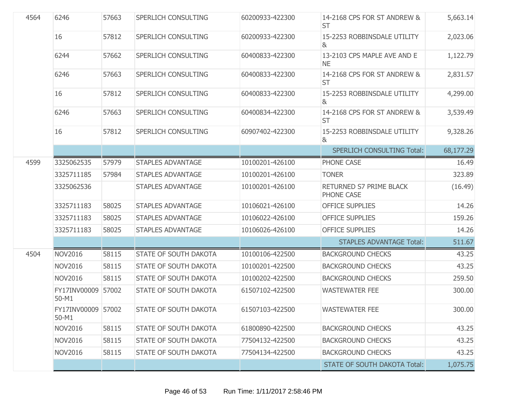| 4564 | 6246                        | 57663 | <b>SPERLICH CONSULTING</b>   | 60200933-422300 | 14-2168 CPS FOR ST ANDREW &<br><b>ST</b>      | 5,663.14  |
|------|-----------------------------|-------|------------------------------|-----------------|-----------------------------------------------|-----------|
|      | 16                          | 57812 | <b>SPERLICH CONSULTING</b>   | 60200933-422300 | 15-2253 ROBBINSDALE UTILITY<br>ା&             | 2,023.06  |
|      | 6244                        | 57662 | SPERLICH CONSULTING          | 60400833-422300 | 13-2103 CPS MAPLE AVE AND E<br><b>NE</b>      | 1,122.79  |
|      | 6246                        | 57663 | SPERLICH CONSULTING          | 60400833-422300 | 14-2168 CPS FOR ST ANDREW &<br><b>ST</b>      | 2,831.57  |
|      | 16                          | 57812 | SPERLICH CONSULTING          | 60400833-422300 | 15-2253 ROBBINSDALE UTILITY<br>8              | 4,299.00  |
|      | 6246                        | 57663 | SPERLICH CONSULTING          | 60400834-422300 | 14-2168 CPS FOR ST ANDREW &<br><b>ST</b>      | 3,539.49  |
|      | 16                          | 57812 | <b>SPERLICH CONSULTING</b>   | 60907402-422300 | 15-2253 ROBBINSDALE UTILITY<br>8 <sub>k</sub> | 9,328.26  |
|      |                             |       |                              |                 | <b>SPERLICH CONSULTING Total:</b>             | 68,177.29 |
| 4599 | 3325062535                  | 57979 | <b>STAPLES ADVANTAGE</b>     | 10100201-426100 | PHONE CASE                                    | 16.49     |
|      | 3325711185                  | 57984 | <b>STAPLES ADVANTAGE</b>     | 10100201-426100 | <b>TONER</b>                                  | 323.89    |
|      | 3325062536                  |       | <b>STAPLES ADVANTAGE</b>     | 10100201-426100 | RETURNED S7 PRIME BLACK<br>PHONE CASE         | (16.49)   |
|      | 3325711183                  | 58025 | <b>STAPLES ADVANTAGE</b>     | 10106021-426100 | <b>OFFICE SUPPLIES</b>                        | 14.26     |
|      | 3325711183                  | 58025 | <b>STAPLES ADVANTAGE</b>     | 10106022-426100 | <b>OFFICE SUPPLIES</b>                        | 159.26    |
|      | 3325711183                  | 58025 | <b>STAPLES ADVANTAGE</b>     | 10106026-426100 | <b>OFFICE SUPPLIES</b>                        | 14.26     |
|      |                             |       |                              |                 | <b>STAPLES ADVANTAGE Total:</b>               | 511.67    |
| 4504 | <b>NOV2016</b>              | 58115 | <b>STATE OF SOUTH DAKOTA</b> | 10100106-422500 | <b>BACKGROUND CHECKS</b>                      | 43.25     |
|      | <b>NOV2016</b>              | 58115 | <b>STATE OF SOUTH DAKOTA</b> | 10100201-422500 | <b>BACKGROUND CHECKS</b>                      | 43.25     |
|      | <b>NOV2016</b>              | 58115 | <b>STATE OF SOUTH DAKOTA</b> | 10100202-422500 | <b>BACKGROUND CHECKS</b>                      | 259.50    |
|      | FY17INV00009<br>50-M1       | 57002 | STATE OF SOUTH DAKOTA        | 61507102-422500 | <b>WASTEWATER FEE</b>                         | 300.00    |
|      | FY17INV00009 57002<br>50-M1 |       | <b>STATE OF SOUTH DAKOTA</b> | 61507103-422500 | <b>WASTEWATER FEE</b>                         | 300.00    |
|      | <b>NOV2016</b>              | 58115 | STATE OF SOUTH DAKOTA        | 61800890-422500 | <b>BACKGROUND CHECKS</b>                      | 43.25     |
|      | <b>NOV2016</b>              | 58115 | <b>STATE OF SOUTH DAKOTA</b> | 77504132-422500 | <b>BACKGROUND CHECKS</b>                      | 43.25     |
|      | <b>NOV2016</b>              | 58115 | STATE OF SOUTH DAKOTA        | 77504134-422500 | <b>BACKGROUND CHECKS</b>                      | 43.25     |
|      |                             |       |                              |                 | <b>STATE OF SOUTH DAKOTA Total:</b>           | 1,075.75  |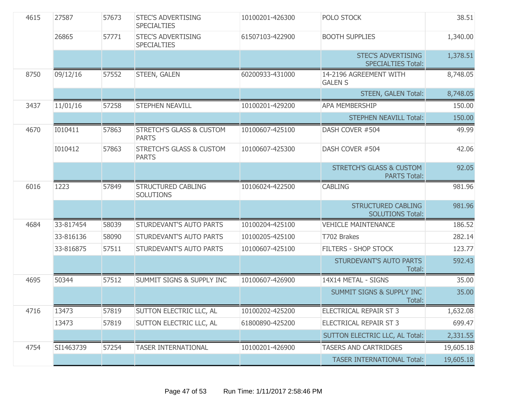| 4615 | 27587     | 57673 | <b>STEC'S ADVERTISING</b><br><b>SPECIALTIES</b>     | 10100201-426300 | POLO STOCK                                                 | 38.51     |
|------|-----------|-------|-----------------------------------------------------|-----------------|------------------------------------------------------------|-----------|
|      | 26865     | 57771 | <b>STEC'S ADVERTISING</b><br><b>SPECIALTIES</b>     | 61507103-422900 | <b>BOOTH SUPPLIES</b>                                      | 1,340.00  |
|      |           |       |                                                     |                 | <b>STEC'S ADVERTISING</b><br><b>SPECIALTIES Total:</b>     | 1,378.51  |
| 8750 | 09/12/16  | 57552 | STEEN, GALEN                                        | 60200933-431000 | 14-2196 AGREEMENT WITH<br><b>GALEN S</b>                   | 8,748.05  |
|      |           |       |                                                     |                 | <b>STEEN, GALEN Total:</b>                                 | 8,748.05  |
| 3437 | 11/01/16  | 57258 | STEPHEN NEAVILL                                     | 10100201-429200 | APA MEMBERSHIP                                             | 150.00    |
|      |           |       |                                                     |                 | <b>STEPHEN NEAVILL Total:</b>                              | 150.00    |
| 4670 | I010411   | 57863 | <b>STRETCH'S GLASS &amp; CUSTOM</b><br><b>PARTS</b> | 10100607-425100 | DASH COVER #504                                            | 49.99     |
|      | 1010412   | 57863 | <b>STRETCH'S GLASS &amp; CUSTOM</b><br><b>PARTS</b> | 10100607-425300 | DASH COVER #504                                            | 42.06     |
|      |           |       |                                                     |                 | <b>STRETCH'S GLASS &amp; CUSTOM</b><br><b>PARTS Total:</b> | 92.05     |
| 6016 | 1223      | 57849 | STRUCTURED CABLING<br><b>SOLUTIONS</b>              | 10106024-422500 | <b>CABLING</b>                                             | 981.96    |
|      |           |       |                                                     |                 | <b>STRUCTURED CABLING</b><br><b>SOLUTIONS Total:</b>       | 981.96    |
| 4684 | 33-817454 | 58039 | STURDEVANT'S AUTO PARTS                             | 10100204-425100 | <b>VEHICLE MAINTENANCE</b>                                 | 186.52    |
|      | 33-816136 | 58090 | STURDEVANT'S AUTO PARTS                             | 10100205-425100 | T702 Brakes                                                | 282.14    |
|      | 33-816875 | 57511 | STURDEVANT'S AUTO PARTS                             | 10100607-425100 | FILTERS - SHOP STOCK                                       | 123.77    |
|      |           |       |                                                     |                 | STURDEVANT'S AUTO PARTS<br>Total:                          | 592.43    |
| 4695 | 50344     | 57512 | SUMMIT SIGNS & SUPPLY INC                           | 10100607-426900 | 14X14 METAL - SIGNS                                        | 35.00     |
|      |           |       |                                                     |                 | SUMMIT SIGNS & SUPPLY INC<br>Total:                        | 35.00     |
| 4716 | 13473     | 57819 | SUTTON ELECTRIC LLC, AL                             | 10100202-425200 | ELECTRICAL REPAIR ST 3                                     | 1,632.08  |
|      | 13473     | 57819 | SUTTON ELECTRIC LLC, AL                             | 61800890-425200 | ELECTRICAL REPAIR ST 3                                     | 699.47    |
|      |           |       |                                                     |                 | SUTTON ELECTRIC LLC, AL Total:                             | 2,331.55  |
| 4754 | SI1463739 | 57254 | <b>TASER INTERNATIONAL</b>                          | 10100201-426900 | <b>TASERS AND CARTRIDGES</b>                               | 19,605.18 |
|      |           |       |                                                     |                 | <b>TASER INTERNATIONAL Total:</b>                          | 19,605.18 |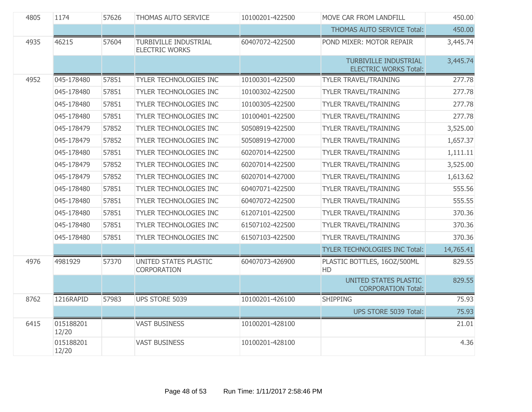| 4805 | 1174               | 57626 | THOMAS AUTO SERVICE                                   | 10100201-422500 | MOVE CAR FROM LANDFILL                                       | 450.00    |
|------|--------------------|-------|-------------------------------------------------------|-----------------|--------------------------------------------------------------|-----------|
|      |                    |       |                                                       |                 | THOMAS AUTO SERVICE Total:                                   | 450.00    |
| 4935 | 46215              | 57604 | <b>TURBIVILLE INDUSTRIAL</b><br><b>ELECTRIC WORKS</b> | 60407072-422500 | POND MIXER: MOTOR REPAIR                                     | 3,445.74  |
|      |                    |       |                                                       |                 | <b>TURBIVILLE INDUSTRIAL</b><br><b>ELECTRIC WORKS Total:</b> | 3,445.74  |
| 4952 | 045-178480         | 57851 | TYLER TECHNOLOGIES INC                                | 10100301-422500 | <b>TYLER TRAVEL/TRAINING</b>                                 | 277.78    |
|      | 045-178480         | 57851 | TYLER TECHNOLOGIES INC                                | 10100302-422500 | <b>TYLER TRAVEL/TRAINING</b>                                 | 277.78    |
|      | 045-178480         | 57851 | TYLER TECHNOLOGIES INC                                | 10100305-422500 | <b>TYLER TRAVEL/TRAINING</b>                                 | 277.78    |
|      | 045-178480         | 57851 | TYLER TECHNOLOGIES INC                                | 10100401-422500 | <b>TYLER TRAVEL/TRAINING</b>                                 | 277.78    |
|      | 045-178479         | 57852 | TYLER TECHNOLOGIES INC                                | 50508919-422500 | <b>TYLER TRAVEL/TRAINING</b>                                 | 3,525.00  |
|      | 045-178479         | 57852 | TYLER TECHNOLOGIES INC                                | 50508919-427000 | <b>TYLER TRAVEL/TRAINING</b>                                 | 1,657.37  |
|      | 045-178480         | 57851 | TYLER TECHNOLOGIES INC                                | 60207014-422500 | <b>TYLER TRAVEL/TRAINING</b>                                 | 1,111.11  |
|      | 045-178479         | 57852 | TYLER TECHNOLOGIES INC                                | 60207014-422500 | <b>TYLER TRAVEL/TRAINING</b>                                 | 3,525.00  |
|      | 045-178479         | 57852 | TYLER TECHNOLOGIES INC                                | 60207014-427000 | TYLER TRAVEL/TRAINING                                        | 1,613.62  |
|      | 045-178480         | 57851 | TYLER TECHNOLOGIES INC                                | 60407071-422500 | <b>TYLER TRAVEL/TRAINING</b>                                 | 555.56    |
|      | 045-178480         | 57851 | TYLER TECHNOLOGIES INC                                | 60407072-422500 | <b>TYLER TRAVEL/TRAINING</b>                                 | 555.55    |
|      | 045-178480         | 57851 | TYLER TECHNOLOGIES INC                                | 61207101-422500 | <b>TYLER TRAVEL/TRAINING</b>                                 | 370.36    |
|      | 045-178480         | 57851 | TYLER TECHNOLOGIES INC                                | 61507102-422500 | <b>TYLER TRAVEL/TRAINING</b>                                 | 370.36    |
|      | 045-178480         | 57851 | TYLER TECHNOLOGIES INC                                | 61507103-422500 | <b>TYLER TRAVEL/TRAINING</b>                                 | 370.36    |
|      |                    |       |                                                       |                 | TYLER TECHNOLOGIES INC Total:                                | 14,765.41 |
| 4976 | 4981929            | 57370 | UNITED STATES PLASTIC<br><b>CORPORATION</b>           | 60407073-426900 | PLASTIC BOTTLES, 16OZ/500ML<br>HD                            | 829.55    |
|      |                    |       |                                                       |                 | UNITED STATES PLASTIC<br><b>CORPORATION Total:</b>           | 829.55    |
| 8762 | 1216RAPID          | 57983 | UPS STORE 5039                                        | 10100201-426100 | <b>SHIPPING</b>                                              | 75.93     |
|      |                    |       |                                                       |                 | UPS STORE 5039 Total:                                        | 75.93     |
| 6415 | 015188201<br>12/20 |       | <b>VAST BUSINESS</b>                                  | 10100201-428100 |                                                              | 21.01     |
|      | 015188201<br>12/20 |       | <b>VAST BUSINESS</b>                                  | 10100201-428100 |                                                              | 4.36      |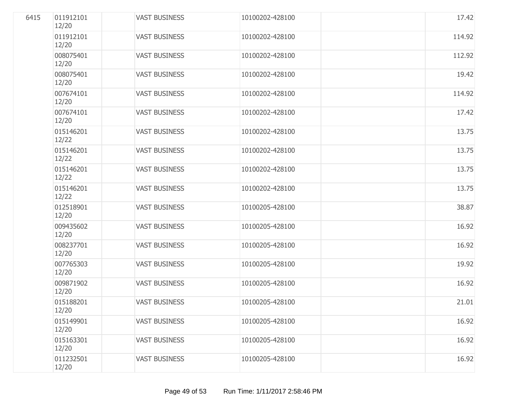| 6415 | 011912101<br>12/20 | <b>VAST BUSINESS</b> | 10100202-428100 | 17.42  |
|------|--------------------|----------------------|-----------------|--------|
|      | 011912101<br>12/20 | <b>VAST BUSINESS</b> | 10100202-428100 | 114.92 |
|      | 008075401<br>12/20 | <b>VAST BUSINESS</b> | 10100202-428100 | 112.92 |
|      | 008075401<br>12/20 | <b>VAST BUSINESS</b> | 10100202-428100 | 19.42  |
|      | 007674101<br>12/20 | <b>VAST BUSINESS</b> | 10100202-428100 | 114.92 |
|      | 007674101<br>12/20 | <b>VAST BUSINESS</b> | 10100202-428100 | 17.42  |
|      | 015146201<br>12/22 | <b>VAST BUSINESS</b> | 10100202-428100 | 13.75  |
|      | 015146201<br>12/22 | <b>VAST BUSINESS</b> | 10100202-428100 | 13.75  |
|      | 015146201<br>12/22 | <b>VAST BUSINESS</b> | 10100202-428100 | 13.75  |
|      | 015146201<br>12/22 | <b>VAST BUSINESS</b> | 10100202-428100 | 13.75  |
|      | 012518901<br>12/20 | <b>VAST BUSINESS</b> | 10100205-428100 | 38.87  |
|      | 009435602<br>12/20 | <b>VAST BUSINESS</b> | 10100205-428100 | 16.92  |
|      | 008237701<br>12/20 | <b>VAST BUSINESS</b> | 10100205-428100 | 16.92  |
|      | 007765303<br>12/20 | <b>VAST BUSINESS</b> | 10100205-428100 | 19.92  |
|      | 009871902<br>12/20 | <b>VAST BUSINESS</b> | 10100205-428100 | 16.92  |
|      | 015188201<br>12/20 | <b>VAST BUSINESS</b> | 10100205-428100 | 21.01  |
|      | 015149901<br>12/20 | <b>VAST BUSINESS</b> | 10100205-428100 | 16.92  |
|      | 015163301<br>12/20 | <b>VAST BUSINESS</b> | 10100205-428100 | 16.92  |
|      | 011232501<br>12/20 | <b>VAST BUSINESS</b> | 10100205-428100 | 16.92  |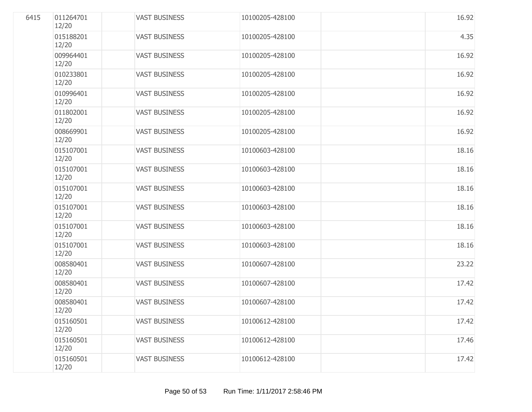| 6415 | 011264701<br>12/20 | <b>VAST BUSINESS</b> | 10100205-428100 | 16.92 |
|------|--------------------|----------------------|-----------------|-------|
|      | 015188201<br>12/20 | <b>VAST BUSINESS</b> | 10100205-428100 | 4.35  |
|      | 009964401<br>12/20 | <b>VAST BUSINESS</b> | 10100205-428100 | 16.92 |
|      | 010233801<br>12/20 | <b>VAST BUSINESS</b> | 10100205-428100 | 16.92 |
|      | 010996401<br>12/20 | <b>VAST BUSINESS</b> | 10100205-428100 | 16.92 |
|      | 011802001<br>12/20 | <b>VAST BUSINESS</b> | 10100205-428100 | 16.92 |
|      | 008669901<br>12/20 | <b>VAST BUSINESS</b> | 10100205-428100 | 16.92 |
|      | 015107001<br>12/20 | <b>VAST BUSINESS</b> | 10100603-428100 | 18.16 |
|      | 015107001<br>12/20 | <b>VAST BUSINESS</b> | 10100603-428100 | 18.16 |
|      | 015107001<br>12/20 | <b>VAST BUSINESS</b> | 10100603-428100 | 18.16 |
|      | 015107001<br>12/20 | <b>VAST BUSINESS</b> | 10100603-428100 | 18.16 |
|      | 015107001<br>12/20 | <b>VAST BUSINESS</b> | 10100603-428100 | 18.16 |
|      | 015107001<br>12/20 | <b>VAST BUSINESS</b> | 10100603-428100 | 18.16 |
|      | 008580401<br>12/20 | <b>VAST BUSINESS</b> | 10100607-428100 | 23.22 |
|      | 008580401<br>12/20 | <b>VAST BUSINESS</b> | 10100607-428100 | 17.42 |
|      | 008580401<br>12/20 | <b>VAST BUSINESS</b> | 10100607-428100 | 17.42 |
|      | 015160501<br>12/20 | <b>VAST BUSINESS</b> | 10100612-428100 | 17.42 |
|      | 015160501<br>12/20 | <b>VAST BUSINESS</b> | 10100612-428100 | 17.46 |
|      | 015160501<br>12/20 | <b>VAST BUSINESS</b> | 10100612-428100 | 17.42 |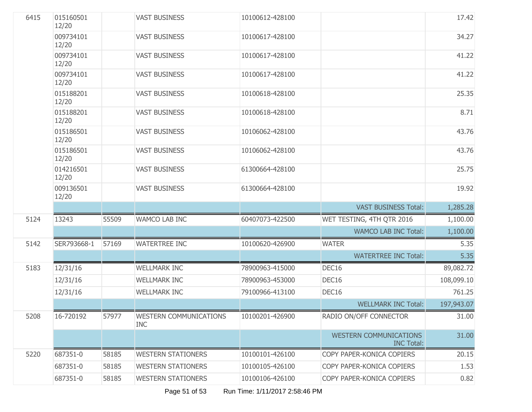| 6415 | 015160501<br>12/20 |       | <b>VAST BUSINESS</b>                        | 10100612-428100 |                                                    | 17.42      |
|------|--------------------|-------|---------------------------------------------|-----------------|----------------------------------------------------|------------|
|      | 009734101<br>12/20 |       | <b>VAST BUSINESS</b>                        | 10100617-428100 |                                                    | 34.27      |
|      | 009734101<br>12/20 |       | <b>VAST BUSINESS</b>                        | 10100617-428100 |                                                    | 41.22      |
|      | 009734101<br>12/20 |       | <b>VAST BUSINESS</b>                        | 10100617-428100 |                                                    | 41.22      |
|      | 015188201<br>12/20 |       | <b>VAST BUSINESS</b>                        | 10100618-428100 |                                                    | 25.35      |
|      | 015188201<br>12/20 |       | <b>VAST BUSINESS</b>                        | 10100618-428100 |                                                    | 8.71       |
|      | 015186501<br>12/20 |       | <b>VAST BUSINESS</b>                        | 10106062-428100 |                                                    | 43.76      |
|      | 015186501<br>12/20 |       | <b>VAST BUSINESS</b>                        | 10106062-428100 |                                                    | 43.76      |
|      | 014216501<br>12/20 |       | <b>VAST BUSINESS</b>                        | 61300664-428100 |                                                    | 25.75      |
|      | 009136501<br>12/20 |       | <b>VAST BUSINESS</b>                        | 61300664-428100 |                                                    | 19.92      |
|      |                    |       |                                             |                 | <b>VAST BUSINESS Total:</b>                        | 1,285.28   |
| 5124 | 13243              | 55509 | WAMCO LAB INC                               | 60407073-422500 | WET TESTING, 4TH QTR 2016                          | 1,100.00   |
|      |                    |       |                                             |                 | <b>WAMCO LAB INC Total:</b>                        | 1,100.00   |
| 5142 | SER793668-1        | 57169 | <b>WATERTREE INC</b>                        | 10100620-426900 | <b>WATER</b>                                       | 5.35       |
|      |                    |       |                                             |                 | <b>WATERTREE INC Total:</b>                        | 5.35       |
| 5183 | 12/31/16           |       | <b>WELLMARK INC</b>                         | 78900963-415000 | DEC16                                              | 89,082.72  |
|      | 12/31/16           |       | <b>WELLMARK INC</b>                         | 78900963-453000 | DEC16                                              | 108,099.10 |
|      | 12/31/16           |       | <b>WELLMARK INC</b>                         | 79100966-413100 | DEC16                                              | 761.25     |
|      |                    |       |                                             |                 | <b>WELLMARK INC Total:</b>                         | 197,943.07 |
| 5208 | 16-720192          | 57977 | <b>WESTERN COMMUNICATIONS</b><br><b>INC</b> | 10100201-426900 | RADIO ON/OFF CONNECTOR                             | 31.00      |
|      |                    |       |                                             |                 | <b>WESTERN COMMUNICATIONS</b><br><b>INC Total:</b> | 31.00      |
| 5220 | 687351-0           | 58185 | <b>WESTERN STATIONERS</b>                   | 10100101-426100 | COPY PAPER-KONICA COPIERS                          | 20.15      |
|      | 687351-0           | 58185 | <b>WESTERN STATIONERS</b>                   | 10100105-426100 | COPY PAPER-KONICA COPIERS                          | 1.53       |
|      | 687351-0           | 58185 | <b>WESTERN STATIONERS</b>                   | 10100106-426100 | COPY PAPER-KONICA COPIERS                          | 0.82       |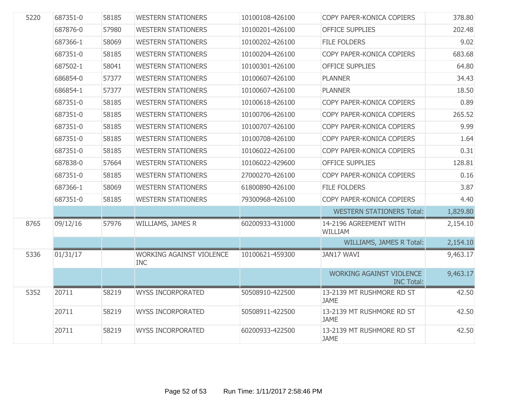| 5220 | 687351-0 | 58185 | <b>WESTERN STATIONERS</b>                     | 10100108-426100 | COPY PAPER-KONICA COPIERS                            | 378.80   |
|------|----------|-------|-----------------------------------------------|-----------------|------------------------------------------------------|----------|
|      | 687876-0 | 57980 | <b>WESTERN STATIONERS</b>                     | 10100201-426100 | <b>OFFICE SUPPLIES</b>                               | 202.48   |
|      | 687366-1 | 58069 | <b>WESTERN STATIONERS</b>                     | 10100202-426100 | <b>FILE FOLDERS</b>                                  | 9.02     |
|      | 687351-0 | 58185 | <b>WESTERN STATIONERS</b>                     | 10100204-426100 | COPY PAPER-KONICA COPIERS                            | 683.68   |
|      | 687502-1 | 58041 | <b>WESTERN STATIONERS</b>                     | 10100301-426100 | <b>OFFICE SUPPLIES</b>                               | 64.80    |
|      | 686854-0 | 57377 | <b>WESTERN STATIONERS</b>                     | 10100607-426100 | <b>PLANNER</b>                                       | 34.43    |
|      | 686854-1 | 57377 | <b>WESTERN STATIONERS</b>                     | 10100607-426100 | <b>PLANNER</b>                                       | 18.50    |
|      | 687351-0 | 58185 | <b>WESTERN STATIONERS</b>                     | 10100618-426100 | COPY PAPER-KONICA COPIERS                            | 0.89     |
|      | 687351-0 | 58185 | <b>WESTERN STATIONERS</b>                     | 10100706-426100 | COPY PAPER-KONICA COPIERS                            | 265.52   |
|      | 687351-0 | 58185 | <b>WESTERN STATIONERS</b>                     | 10100707-426100 | COPY PAPER-KONICA COPIERS                            | 9.99     |
|      | 687351-0 | 58185 | <b>WESTERN STATIONERS</b>                     | 10100708-426100 | COPY PAPER-KONICA COPIERS                            | 1.64     |
|      | 687351-0 | 58185 | <b>WESTERN STATIONERS</b>                     | 10106022-426100 | COPY PAPER-KONICA COPIERS                            | 0.31     |
|      | 687838-0 | 57664 | <b>WESTERN STATIONERS</b>                     | 10106022-429600 | <b>OFFICE SUPPLIES</b>                               | 128.81   |
|      | 687351-0 | 58185 | <b>WESTERN STATIONERS</b>                     | 27000270-426100 | COPY PAPER-KONICA COPIERS                            | 0.16     |
|      | 687366-1 | 58069 | <b>WESTERN STATIONERS</b>                     | 61800890-426100 | <b>FILE FOLDERS</b>                                  | 3.87     |
|      | 687351-0 | 58185 | <b>WESTERN STATIONERS</b>                     | 79300968-426100 | COPY PAPER-KONICA COPIERS                            | 4.40     |
|      |          |       |                                               |                 | <b>WESTERN STATIONERS Total:</b>                     | 1,829.80 |
| 8765 | 09/12/16 | 57976 | WILLIAMS, JAMES R                             | 60200933-431000 | 14-2196 AGREEMENT WITH<br>WILLIAM                    | 2,154.10 |
|      |          |       |                                               |                 | WILLIAMS, JAMES R Total:                             | 2,154.10 |
| 5336 | 01/31/17 |       | <b>WORKING AGAINST VIOLENCE</b><br><b>INC</b> | 10100621-459300 | JAN17 WAVI                                           | 9,463.17 |
|      |          |       |                                               |                 | <b>WORKING AGAINST VIOLENCE</b><br><b>INC Total:</b> | 9,463.17 |
| 5352 | 20711    | 58219 | <b>WYSS INCORPORATED</b>                      | 50508910-422500 | 13-2139 MT RUSHMORE RD ST<br><b>JAME</b>             | 42.50    |
|      | 20711    | 58219 | <b>WYSS INCORPORATED</b>                      | 50508911-422500 | 13-2139 MT RUSHMORE RD ST<br><b>JAME</b>             | 42.50    |
|      | 20711    | 58219 | <b>WYSS INCORPORATED</b>                      | 60200933-422500 | 13-2139 MT RUSHMORE RD ST<br><b>JAME</b>             | 42.50    |